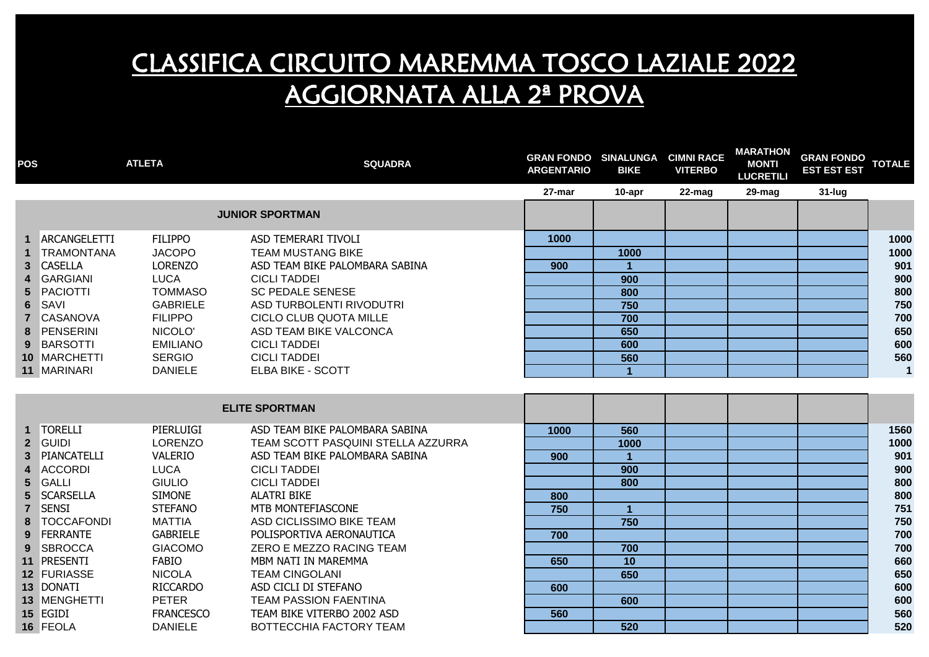| <b>POS</b>      |                   | <b>ATLETA</b>    | <b>SQUADRA</b>                     | <b>GRAN FONDO SINALUNGA CIMNI RACE</b><br><b>ARGENTARIO</b> | <b>BIKE</b>          | <b>VITERBO</b> | <b>MARATHON</b><br><b>MONTI</b><br><b>LUCRETILI</b> | GRAN FONDO TOTALE<br><b>EST EST EST</b> |              |
|-----------------|-------------------|------------------|------------------------------------|-------------------------------------------------------------|----------------------|----------------|-----------------------------------------------------|-----------------------------------------|--------------|
|                 |                   |                  |                                    | 27-mar                                                      | 10-apr               | 22-mag         | 29-mag                                              | $31$ -lug                               |              |
|                 |                   |                  | <b>JUNIOR SPORTMAN</b>             |                                                             |                      |                |                                                     |                                         |              |
| 1.              | ARCANGELETTI      | <b>FILIPPO</b>   | ASD TEMERARI TIVOLI                | 1000                                                        |                      |                |                                                     |                                         | 1000         |
| $\mathbf{1}$    | <b>TRAMONTANA</b> | <b>JACOPO</b>    | <b>TEAM MUSTANG BIKE</b>           |                                                             | 1000                 |                |                                                     |                                         | 1000         |
| $3\phantom{.0}$ | <b>CASELLA</b>    | <b>LORENZO</b>   | ASD TEAM BIKE PALOMBARA SABINA     | 900                                                         | $\blacktriangleleft$ |                |                                                     |                                         | 901          |
| 4               | <b>GARGIANI</b>   | <b>LUCA</b>      | <b>CICLI TADDEI</b>                |                                                             | 900                  |                |                                                     |                                         | 900          |
| 5 <sup>5</sup>  | PACIOTTI          | <b>TOMMASO</b>   | <b>SC PEDALE SENESE</b>            |                                                             | 800                  |                |                                                     |                                         | 800          |
| 6               | SAVI              | <b>GABRIELE</b>  | ASD TURBOLENTI RIVODUTRI           |                                                             | 750                  |                |                                                     |                                         | 750          |
|                 | 7 CASANOVA        | <b>FILIPPO</b>   | CICLO CLUB QUOTA MILLE             |                                                             | 700                  |                |                                                     |                                         | 700          |
|                 | 8 PENSERINI       | NICOLO'          | ASD TEAM BIKE VALCONCA             |                                                             | 650                  |                |                                                     |                                         | 650          |
|                 | 9 BARSOTTI        | <b>EMILIANO</b>  | <b>CICLI TADDEI</b>                |                                                             | 600                  |                |                                                     |                                         | 600          |
|                 | 10 MARCHETTI      | <b>SERGIO</b>    | <b>CICLI TADDEI</b>                |                                                             | 560                  |                |                                                     |                                         | 560          |
|                 | 11 MARINARI       | <b>DANIELE</b>   | <b>ELBA BIKE - SCOTT</b>           |                                                             | $\blacktriangleleft$ |                |                                                     |                                         | $\mathbf{1}$ |
|                 |                   |                  | <b>ELITE SPORTMAN</b>              |                                                             |                      |                |                                                     |                                         |              |
|                 | 1 TORELLI         | PIERLUIGI        | ASD TEAM BIKE PALOMBARA SABINA     | 1000                                                        | 560                  |                |                                                     |                                         | 1560         |
| 2 <sup>1</sup>  | <b>GUIDI</b>      | <b>LORENZO</b>   | TEAM SCOTT PASQUINI STELLA AZZURRA |                                                             | 1000                 |                |                                                     |                                         | 1000         |
| 3 <sup>1</sup>  | PIANCATELLI       | VALERIO          | ASD TEAM BIKE PALOMBARA SABINA     | 900                                                         |                      |                |                                                     |                                         | 901          |
| 4               | <b>ACCORDI</b>    | <b>LUCA</b>      | <b>CICLI TADDEI</b>                |                                                             | 900                  |                |                                                     |                                         | 900          |
| $5\phantom{.0}$ | GALLI             | <b>GIULIO</b>    | <b>CICLI TADDEI</b>                |                                                             | 800                  |                |                                                     |                                         | 800          |
| $5\phantom{.0}$ | <b>SCARSELLA</b>  | <b>SIMONE</b>    | <b>ALATRI BIKE</b>                 | 800                                                         |                      |                |                                                     |                                         | 800          |
| $\overline{7}$  | <b>SENSI</b>      | <b>STEFANO</b>   | MTB MONTEFIASCONE                  | 750                                                         | $\mathbf{1}$         |                |                                                     |                                         | 751          |
|                 | <b>TOCCAFONDI</b> | <b>MATTIA</b>    | ASD CICLISSIMO BIKE TEAM           |                                                             | 750                  |                |                                                     |                                         | 750          |
| 9               | FERRANTE          | <b>GABRIELE</b>  | POLISPORTIVA AERONAUTICA           | 700                                                         |                      |                |                                                     |                                         | 700          |
| 9               | <b>SBROCCA</b>    | <b>GIACOMO</b>   | ZERO E MEZZO RACING TEAM           |                                                             | 700                  |                |                                                     |                                         | 700          |
|                 | 11 PRESENTI       | <b>FABIO</b>     | MBM NATI IN MAREMMA                | 650                                                         | 10                   |                |                                                     |                                         | 660          |
|                 | 12 FURIASSE       | <b>NICOLA</b>    | <b>TEAM CINGOLANI</b>              |                                                             | 650                  |                |                                                     |                                         | 650          |
|                 | 13 DONATI         | <b>RICCARDO</b>  | ASD CICLI DI STEFANO               | 600                                                         |                      |                |                                                     |                                         | 600          |
|                 | 13 MENGHETTI      | <b>PETER</b>     | <b>TEAM PASSION FAENTINA</b>       |                                                             | 600                  |                |                                                     |                                         | 600          |
|                 | 15 EGIDI          | <b>FRANCESCO</b> | TEAM BIKE VITERBO 2002 ASD         | 560                                                         |                      |                |                                                     |                                         | 560          |
|                 | 16 FEOLA          | <b>DANIELE</b>   | BOTTECCHIA FACTORY TEAM            |                                                             | 520                  |                |                                                     |                                         | 520          |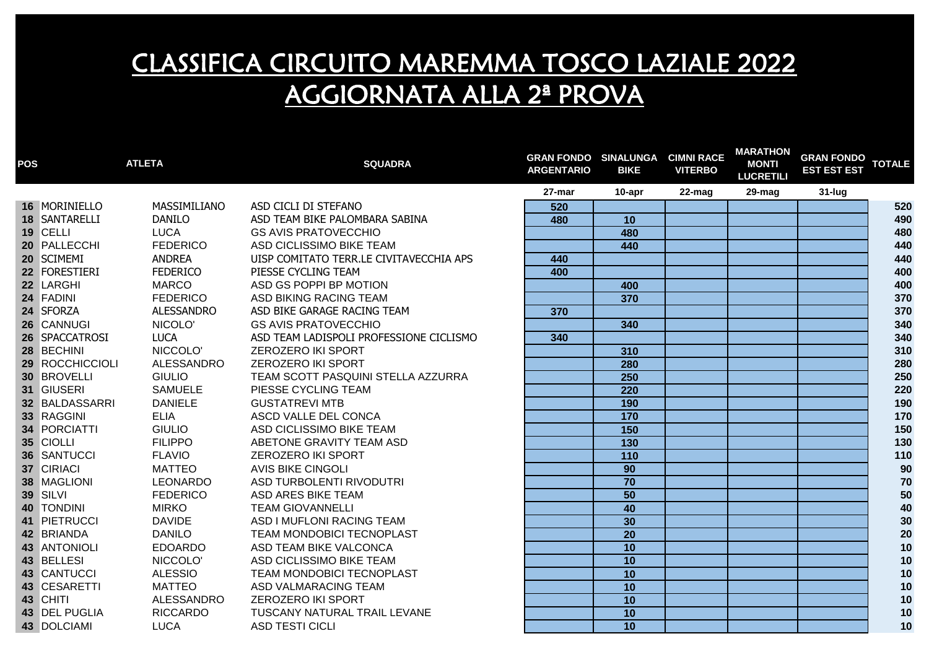| <b>POS</b> |                 | <b>ATLETA</b>     | <b>SQUADRA</b>                          | <b>GRAN FONDO SINALUNGA CIMNI RACE</b><br><b>ARGENTARIO</b> | <b>BIKE</b>       | <b>VITERBO</b> | <b>MARATHON</b><br><b>MONTI</b><br><b>LUCRETILI</b> | <b>GRAN FONDO</b><br><b>EST EST EST</b> | <b>TOTALE</b> |
|------------|-----------------|-------------------|-----------------------------------------|-------------------------------------------------------------|-------------------|----------------|-----------------------------------------------------|-----------------------------------------|---------------|
|            |                 |                   |                                         | 27-mar                                                      | 10-apr            | 22-mag         | 29-mag                                              | $31$ -lug                               |               |
|            | 16 MORINIELLO   | MASSIMILIANO      | ASD CICLI DI STEFANO                    | 520                                                         |                   |                |                                                     |                                         | 520           |
|            | 18 SANTARELLI   | <b>DANILO</b>     | ASD TEAM BIKE PALOMBARA SABINA          | 480                                                         | 10                |                |                                                     |                                         | 490           |
|            | 19 CELLI        | <b>LUCA</b>       | <b>GS AVIS PRATOVECCHIO</b>             |                                                             | 480               |                |                                                     |                                         | 480           |
|            | 20 PALLECCHI    | <b>FEDERICO</b>   | ASD CICLISSIMO BIKE TEAM                |                                                             | 440               |                |                                                     |                                         | 440           |
|            | 20 SCIMEMI      | <b>ANDREA</b>     | UISP COMITATO TERR.LE CIVITAVECCHIA APS | 440                                                         |                   |                |                                                     |                                         | 440           |
|            | 22 FORESTIERI   | <b>FEDERICO</b>   | PIESSE CYCLING TEAM                     | 400                                                         |                   |                |                                                     |                                         | 400           |
|            | 22 LARGHI       | <b>MARCO</b>      | ASD GS POPPI BP MOTION                  |                                                             | 400               |                |                                                     |                                         | 400           |
|            | 24 FADINI       | <b>FEDERICO</b>   | ASD BIKING RACING TEAM                  |                                                             | 370               |                |                                                     |                                         | 370           |
|            | 24 SFORZA       | <b>ALESSANDRO</b> | ASD BIKE GARAGE RACING TEAM             | 370                                                         |                   |                |                                                     |                                         | 370           |
|            | 26 CANNUGI      | NICOLO'           | <b>GS AVIS PRATOVECCHIO</b>             |                                                             | 340               |                |                                                     |                                         | 340           |
|            | 26 SPACCATROSI  | <b>LUCA</b>       | ASD TEAM LADISPOLI PROFESSIONE CICLISMO | 340                                                         |                   |                |                                                     |                                         | 340           |
|            | 28 BECHINI      | NICCOLO'          | <b>ZEROZERO IKI SPORT</b>               |                                                             | 310               |                |                                                     |                                         | 310           |
|            | 29 ROCCHICCIOLI | ALESSANDRO        | ZEROZERO IKI SPORT                      |                                                             | 280               |                |                                                     |                                         | 280           |
|            | 30 BROVELLI     | <b>GIULIO</b>     | TEAM SCOTT PASQUINI STELLA AZZURRA      |                                                             | 250               |                |                                                     |                                         | 250           |
|            | 31 GIUSERI      | <b>SAMUELE</b>    | PIESSE CYCLING TEAM                     |                                                             | 220               |                |                                                     |                                         | 220           |
|            | 32 BALDASSARRI  | <b>DANIELE</b>    | <b>GUSTATREVI MTB</b>                   |                                                             | 190               |                |                                                     |                                         | 190           |
|            | 33 RAGGINI      | <b>ELIA</b>       | ASCD VALLE DEL CONCA                    |                                                             | 170               |                |                                                     |                                         | 170           |
|            | 34 PORCIATTI    | <b>GIULIO</b>     | ASD CICLISSIMO BIKE TEAM                |                                                             | 150               |                |                                                     |                                         | 150           |
|            | 35 CIOLLI       | <b>FILIPPO</b>    | ABETONE GRAVITY TEAM ASD                |                                                             | 130               |                |                                                     |                                         | 130           |
|            | 36 SANTUCCI     | <b>FLAVIO</b>     | <b>ZEROZERO IKI SPORT</b>               |                                                             | $\frac{110}{110}$ |                |                                                     |                                         | 110           |
|            | 37 CIRIACI      | <b>MATTEO</b>     | <b>AVIS BIKE CINGOLI</b>                |                                                             | 90                |                |                                                     |                                         | 90            |
|            | 38 MAGLIONI     | LEONARDO          | ASD TURBOLENTI RIVODUTRI                |                                                             | $\overline{70}$   |                |                                                     |                                         | 70            |
|            | 39 SILVI        | <b>FEDERICO</b>   | ASD ARES BIKE TEAM                      |                                                             | 50                |                |                                                     |                                         | $50\,$        |
|            | 40 TONDINI      | <b>MIRKO</b>      | <b>TEAM GIOVANNELLI</b>                 |                                                             | 40                |                |                                                     |                                         | 40            |
|            | 41 PIETRUCCI    | <b>DAVIDE</b>     | ASD I MUFLONI RACING TEAM               |                                                             | 30                |                |                                                     |                                         | 30            |
|            | 42 BRIANDA      | <b>DANILO</b>     | TEAM MONDOBICI TECNOPLAST               |                                                             | $\overline{20}$   |                |                                                     |                                         | 20            |
|            | 43 ANTONIOLI    | <b>EDOARDO</b>    | ASD TEAM BIKE VALCONCA                  |                                                             | 10                |                |                                                     |                                         | $10$          |
|            | 43 BELLESI      | NICCOLO'          | ASD CICLISSIMO BIKE TEAM                |                                                             | 10                |                |                                                     |                                         | 10            |
|            | 43 CANTUCCI     | <b>ALESSIO</b>    | TEAM MONDOBICI TECNOPLAST               |                                                             | 10                |                |                                                     |                                         | 10            |
|            | 43 CESARETTI    | <b>MATTEO</b>     | ASD VALMARACING TEAM                    |                                                             | 10                |                |                                                     |                                         | 10            |
|            | 43 CHITI        | ALESSANDRO        | <b>ZEROZERO IKI SPORT</b>               |                                                             | 10                |                |                                                     |                                         | 10            |
|            | 43 DEL PUGLIA   | <b>RICCARDO</b>   | TUSCANY NATURAL TRAIL LEVANE            |                                                             | 10                |                |                                                     |                                         | 10            |
|            | 43 DOLCIAMI     | <b>LUCA</b>       | <b>ASD TESTI CICLI</b>                  |                                                             | $\overline{10}$   |                |                                                     |                                         | 10            |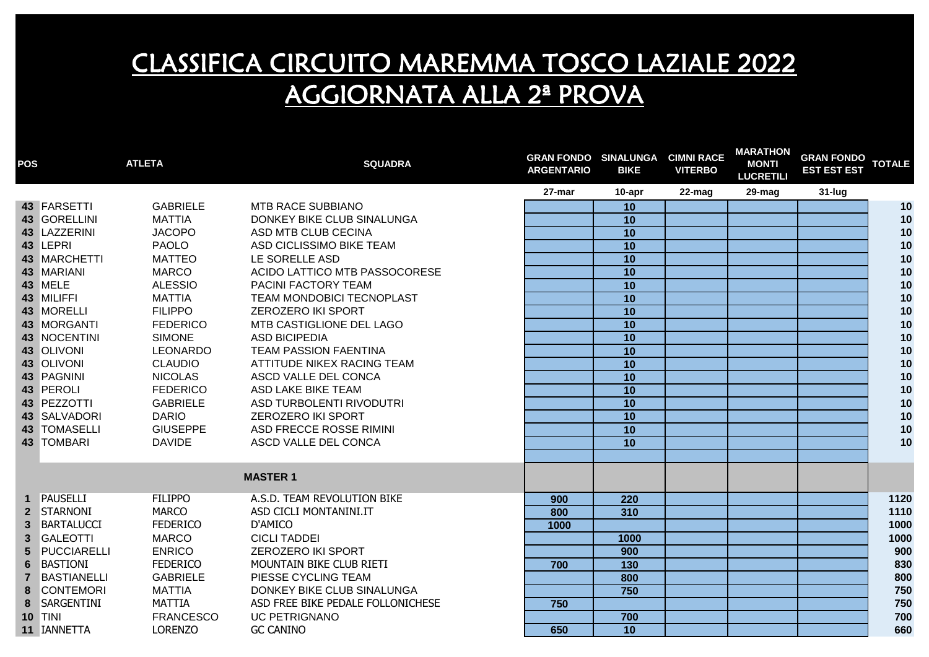| <b>POS</b>       |                     | <b>ATLETA</b>    | <b>SQUADRA</b>                    | <b>GRAN FONDO SINALUNGA</b><br><b>ARGENTARIO</b> | <b>BIKE</b>      | <b>CIMNI RACE</b><br><b>VITERBO</b> | <b>MARATHON</b><br><b>MONTI</b><br><b>LUCRETILI</b> | <b>GRAN FONDO</b><br><b>EST EST EST</b> | <b>TOTALE</b> |
|------------------|---------------------|------------------|-----------------------------------|--------------------------------------------------|------------------|-------------------------------------|-----------------------------------------------------|-----------------------------------------|---------------|
|                  |                     |                  |                                   | 27-mar                                           | 10-apr           | 22-mag                              | 29-mag                                              | $31$ -lug                               |               |
|                  | 43 FARSETTI         | <b>GABRIELE</b>  | <b>MTB RACE SUBBIANO</b>          |                                                  | 10               |                                     |                                                     |                                         | 10            |
|                  | 43 GORELLINI        | <b>MATTIA</b>    | DONKEY BIKE CLUB SINALUNGA        |                                                  | 10               |                                     |                                                     |                                         | $10$          |
|                  | 43 LAZZERINI        | <b>JACOPO</b>    | ASD MTB CLUB CECINA               |                                                  | 10               |                                     |                                                     |                                         | 10            |
|                  | 43 LEPRI            | <b>PAOLO</b>     | ASD CICLISSIMO BIKE TEAM          |                                                  | 10               |                                     |                                                     |                                         | 10            |
|                  | 43 MARCHETTI        | <b>MATTEO</b>    | LE SORELLE ASD                    |                                                  | 10               |                                     |                                                     |                                         | 10            |
|                  | 43 MARIANI          | <b>MARCO</b>     | ACIDO LATTICO MTB PASSOCORESE     |                                                  | 10               |                                     |                                                     |                                         | 10            |
|                  | 43 MELE             | <b>ALESSIO</b>   | PACINI FACTORY TEAM               |                                                  | 10               |                                     |                                                     |                                         | $10$          |
|                  | 43 MILIFFI          | <b>MATTIA</b>    | TEAM MONDOBICI TECNOPLAST         |                                                  | 10               |                                     |                                                     |                                         | 10            |
|                  | 43 MORELLI          | <b>FILIPPO</b>   | <b>ZEROZERO IKI SPORT</b>         |                                                  | 10               |                                     |                                                     |                                         | 10            |
|                  | 43 MORGANTI         | <b>FEDERICO</b>  | MTB CASTIGLIONE DEL LAGO          |                                                  | $\overline{10}$  |                                     |                                                     |                                         | 10            |
|                  | 43 NOCENTINI        | <b>SIMONE</b>    | <b>ASD BICIPEDIA</b>              |                                                  | 10               |                                     |                                                     |                                         | 10            |
|                  | 43 OLIVONI          | LEONARDO         | <b>TEAM PASSION FAENTINA</b>      |                                                  | 10               |                                     |                                                     |                                         | 10            |
|                  | 43 OLIVONI          | <b>CLAUDIO</b>   | ATTITUDE NIKEX RACING TEAM        |                                                  | 10               |                                     |                                                     |                                         | 10            |
|                  | 43 PAGNINI          | <b>NICOLAS</b>   | ASCD VALLE DEL CONCA              |                                                  | 10               |                                     |                                                     |                                         | 10            |
|                  | 43 PEROLI           | <b>FEDERICO</b>  | ASD LAKE BIKE TEAM                |                                                  | 10               |                                     |                                                     |                                         | 10            |
|                  | 43 PEZZOTTI         | <b>GABRIELE</b>  | ASD TURBOLENTI RIVODUTRI          |                                                  | 10               |                                     |                                                     |                                         | 10            |
|                  | 43 SALVADORI        | <b>DARIO</b>     | <b>ZEROZERO IKI SPORT</b>         |                                                  | 10               |                                     |                                                     |                                         | 10            |
|                  | <b>43 TOMASELLI</b> | <b>GIUSEPPE</b>  | ASD FRECCE ROSSE RIMINI           |                                                  | 10               |                                     |                                                     |                                         | 10            |
|                  | 43 TOMBARI          | <b>DAVIDE</b>    | ASCD VALLE DEL CONCA              |                                                  | 10               |                                     |                                                     |                                         | 10            |
|                  |                     |                  |                                   |                                                  |                  |                                     |                                                     |                                         |               |
|                  |                     |                  | <b>MASTER 1</b>                   |                                                  |                  |                                     |                                                     |                                         |               |
|                  | 1 PAUSELLI          | <b>FILIPPO</b>   | A.S.D. TEAM REVOLUTION BIKE       | 900                                              | 220              |                                     |                                                     |                                         | 1120          |
|                  | 2 STARNONI          | <b>MARCO</b>     | ASD CICLI MONTANINI.IT            | 800                                              | 310              |                                     |                                                     |                                         | 1110          |
|                  | 3 BARTALUCCI        | <b>FEDERICO</b>  | D'AMICO                           | 1000                                             |                  |                                     |                                                     |                                         | 1000          |
| $\mathbf{3}$     | <b>GALEOTTI</b>     | <b>MARCO</b>     | <b>CICLI TADDEI</b>               |                                                  | 1000             |                                     |                                                     |                                         | 1000          |
| 5                | PUCCIARELLI         | <b>ENRICO</b>    | <b>ZEROZERO IKI SPORT</b>         |                                                  | 900              |                                     |                                                     |                                         | 900           |
| $6 \overline{6}$ | <b>BASTIONI</b>     | <b>FEDERICO</b>  | MOUNTAIN BIKE CLUB RIETI          | 700                                              | $\overline{130}$ |                                     |                                                     |                                         | 830           |
| $\overline{7}$   | <b>BASTIANELLI</b>  | <b>GABRIELE</b>  | PIESSE CYCLING TEAM               |                                                  | 800              |                                     |                                                     |                                         | 800           |
| 8                | <b>CONTEMORI</b>    | <b>MATTIA</b>    | DONKEY BIKE CLUB SINALUNGA        |                                                  | 750              |                                     |                                                     |                                         | 750           |
| 8                | SARGENTINI          | <b>MATTIA</b>    | ASD FREE BIKE PEDALE FOLLONICHESE | 750                                              |                  |                                     |                                                     |                                         | 750           |
|                  | <b>10 TINI</b>      | <b>FRANCESCO</b> | <b>UC PETRIGNANO</b>              |                                                  | 700              |                                     |                                                     |                                         | 700           |
|                  | 11 IANNETTA         | <b>LORENZO</b>   | <b>GC CANINO</b>                  | 650                                              | 10               |                                     |                                                     |                                         | 660           |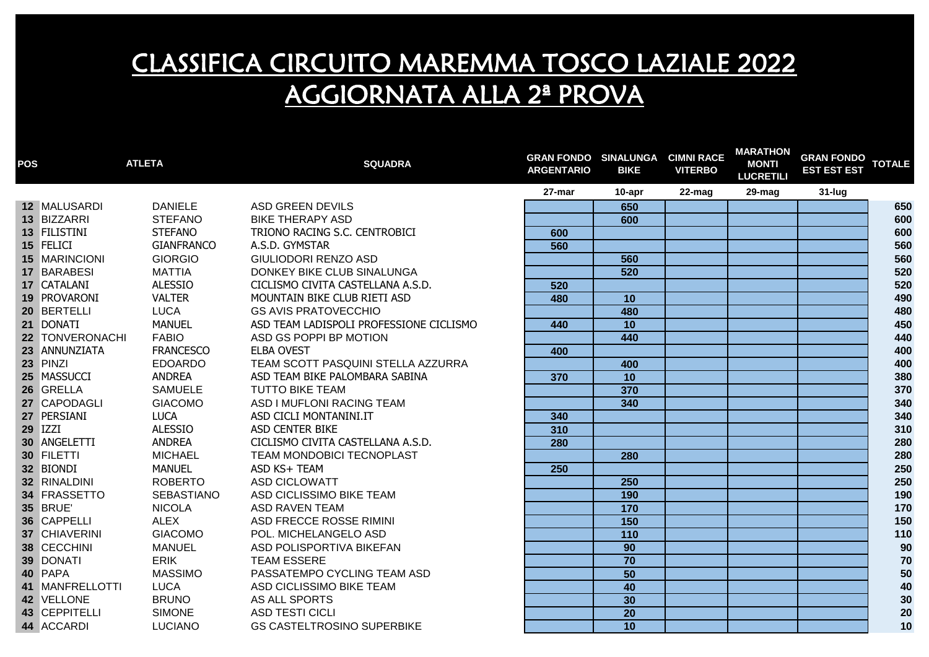| <b>POS</b> |                 | <b>ATLETA</b>     | <b>SQUADRA</b>                          | <b>GRAN FONDO SINALUNGA CIMNI RACE</b><br><b>ARGENTARIO</b> | <b>BIKE</b>       | <b>VITERBO</b> | <b>MARATHON</b><br><b>MONTI</b><br><b>LUCRETILI</b> | <b>GRAN FONDO</b><br><b>EST EST EST</b> | <b>TOTALE</b> |
|------------|-----------------|-------------------|-----------------------------------------|-------------------------------------------------------------|-------------------|----------------|-----------------------------------------------------|-----------------------------------------|---------------|
|            |                 |                   |                                         | 27-mar                                                      | 10-apr            | 22-mag         | 29-mag                                              | $31$ -lug                               |               |
|            | 12 MALUSARDI    | <b>DANIELE</b>    | ASD GREEN DEVILS                        |                                                             | 650               |                |                                                     |                                         | 650           |
|            | 13 BIZZARRI     | <b>STEFANO</b>    | <b>BIKE THERAPY ASD</b>                 |                                                             | 600               |                |                                                     |                                         | 600           |
|            | 13 FILISTINI    | <b>STEFANO</b>    | TRIONO RACING S.C. CENTROBICI           | 600                                                         |                   |                |                                                     |                                         | 600           |
|            | 15 FELICI       | <b>GIANFRANCO</b> | A.S.D. GYMSTAR                          | 560                                                         |                   |                |                                                     |                                         | 560           |
|            | 15 MARINCIONI   | <b>GIORGIO</b>    | <b>GIULIODORI RENZO ASD</b>             |                                                             | 560               |                |                                                     |                                         | 560           |
|            | 17 BARABESI     | <b>MATTIA</b>     | DONKEY BIKE CLUB SINALUNGA              |                                                             | 520               |                |                                                     |                                         | 520           |
|            | 17 CATALANI     | <b>ALESSIO</b>    | CICLISMO CIVITA CASTELLANA A.S.D.       | 520                                                         |                   |                |                                                     |                                         | 520           |
|            | 19 PROVARONI    | <b>VALTER</b>     | MOUNTAIN BIKE CLUB RIETI ASD            | 480                                                         | 10                |                |                                                     |                                         | 490           |
|            | 20 BERTELLI     | <b>LUCA</b>       | <b>GS AVIS PRATOVECCHIO</b>             |                                                             | 480               |                |                                                     |                                         | 480           |
|            | 21 DONATI       | <b>MANUEL</b>     | ASD TEAM LADISPOLI PROFESSIONE CICLISMO | 440                                                         | $\overline{10}$   |                |                                                     |                                         | 450           |
|            | 22 TONVERONACHI | <b>FABIO</b>      | ASD GS POPPI BP MOTION                  |                                                             | 440               |                |                                                     |                                         | 440           |
|            | 23 ANNUNZIATA   | <b>FRANCESCO</b>  | <b>ELBA OVEST</b>                       | 400                                                         |                   |                |                                                     |                                         | 400           |
|            | 23 PINZI        | <b>EDOARDO</b>    | TEAM SCOTT PASQUINI STELLA AZZURRA      |                                                             | 400               |                |                                                     |                                         | 400           |
|            | 25 MASSUCCI     | <b>ANDREA</b>     | ASD TEAM BIKE PALOMBARA SABINA          | 370                                                         | 10                |                |                                                     |                                         | 380           |
|            | 26 GRELLA       | <b>SAMUELE</b>    | <b>TUTTO BIKE TEAM</b>                  |                                                             | 370               |                |                                                     |                                         | 370           |
|            | 27 CAPODAGLI    | <b>GIACOMO</b>    | ASD I MUFLONI RACING TEAM               |                                                             | 340               |                |                                                     |                                         | 340           |
|            | 27 PERSIANI     | <b>LUCA</b>       | ASD CICLI MONTANINI.IT                  | 340                                                         |                   |                |                                                     |                                         | 340           |
|            | <b>29 IZZI</b>  | <b>ALESSIO</b>    | ASD CENTER BIKE                         | 310                                                         |                   |                |                                                     |                                         | 310           |
|            | 30 ANGELETTI    | ANDREA            | CICLISMO CIVITA CASTELLANA A.S.D.       | 280                                                         |                   |                |                                                     |                                         | 280           |
|            | 30 FILETTI      | MICHAEL           | TEAM MONDOBICI TECNOPLAST               |                                                             | 280               |                |                                                     |                                         | 280           |
|            | 32 BIONDI       | <b>MANUEL</b>     | ASD KS+ TEAM                            | 250                                                         |                   |                |                                                     |                                         | 250           |
|            | 32 RINALDINI    | <b>ROBERTO</b>    | ASD CICLOWATT                           |                                                             | 250               |                |                                                     |                                         | 250           |
|            | 34 FRASSETTO    | <b>SEBASTIANO</b> | ASD CICLISSIMO BIKE TEAM                |                                                             | 190               |                |                                                     |                                         | 190           |
|            | <b>35 BRUE</b>  | <b>NICOLA</b>     | <b>ASD RAVEN TEAM</b>                   |                                                             | 170               |                |                                                     |                                         | 170           |
|            | 36 CAPPELLI     | <b>ALEX</b>       | ASD FRECCE ROSSE RIMINI                 |                                                             | 150               |                |                                                     |                                         | 150           |
|            | 37 CHIAVERINI   | <b>GIACOMO</b>    | POL. MICHELANGELO ASD                   |                                                             | $\frac{110}{110}$ |                |                                                     |                                         | 110           |
|            | 38 CECCHINI     | <b>MANUEL</b>     | ASD POLISPORTIVA BIKEFAN                |                                                             | 90                |                |                                                     |                                         | 90            |
|            | 39 DONATI       | <b>ERIK</b>       | <b>TEAM ESSERE</b>                      |                                                             | $\overline{70}$   |                |                                                     |                                         | 70            |
|            | 40 PAPA         | <b>MASSIMO</b>    | PASSATEMPO CYCLING TEAM ASD             |                                                             | 50                |                |                                                     |                                         | 50            |
|            | 41 MANFRELLOTTI | <b>LUCA</b>       | ASD CICLISSIMO BIKE TEAM                |                                                             | 40                |                |                                                     |                                         | 40            |
|            | 42 VELLONE      | <b>BRUNO</b>      | AS ALL SPORTS                           |                                                             | 30                |                |                                                     |                                         | 30            |
|            | 43 CEPPITELLI   | <b>SIMONE</b>     | <b>ASD TESTI CICLI</b>                  |                                                             | 20                |                |                                                     |                                         | 20            |
|            | 44 ACCARDI      | <b>LUCIANO</b>    | <b>GS CASTELTROSINO SUPERBIKE</b>       |                                                             | $\overline{10}$   |                |                                                     |                                         | 10            |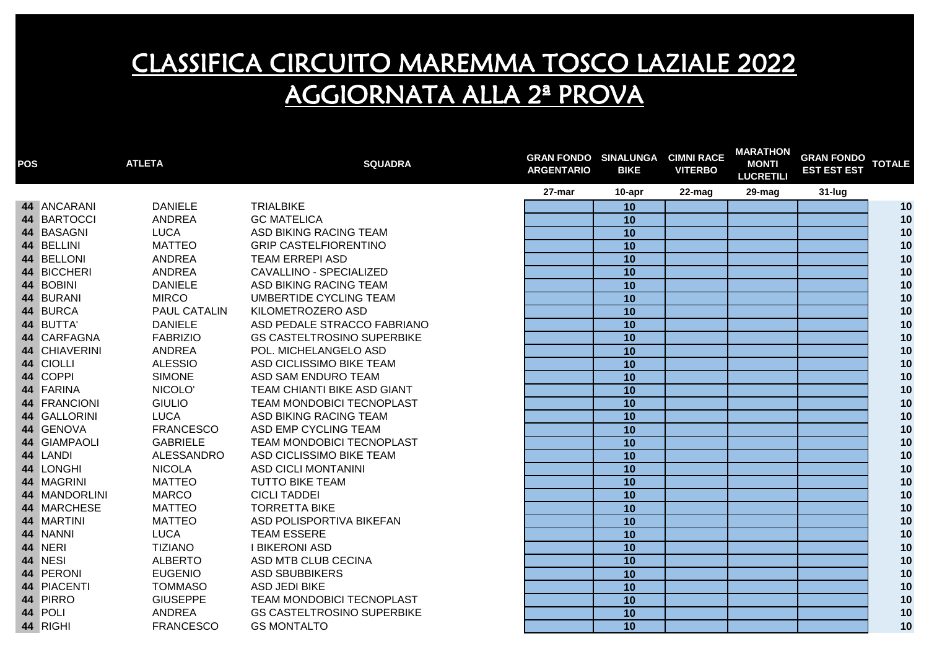| <b>POS</b> |               | <b>ATLETA</b>    | <b>SQUADRA</b>                    | <b>GRAN FONDO SINALUNGA</b><br><b>ARGENTARIO</b> | <b>BIKE</b>     | <b>CIMNI RACE</b><br><b>VITERBO</b> | <b>MARATHON</b><br><b>MONTI</b><br><b>LUCRETILI</b> | <b>GRAN FONDO</b><br><b>EST EST EST</b> | <b>TOTALE</b> |
|------------|---------------|------------------|-----------------------------------|--------------------------------------------------|-----------------|-------------------------------------|-----------------------------------------------------|-----------------------------------------|---------------|
|            |               |                  |                                   | 27-mar                                           | 10-apr          | 22-mag                              | 29-mag                                              | 31-lug                                  |               |
|            | 44 ANCARANI   | <b>DANIELE</b>   | <b>TRIALBIKE</b>                  |                                                  | 10              |                                     |                                                     |                                         | 10            |
|            | 44 BARTOCCI   | <b>ANDREA</b>    | <b>GC MATELICA</b>                |                                                  | 10              |                                     |                                                     |                                         | 10            |
|            | 44 BASAGNI    | <b>LUCA</b>      | ASD BIKING RACING TEAM            |                                                  | 10              |                                     |                                                     |                                         | 10            |
|            | 44 BELLINI    | <b>MATTEO</b>    | <b>GRIP CASTELFIORENTINO</b>      |                                                  | 10              |                                     |                                                     |                                         | 10            |
|            | 44 BELLONI    | <b>ANDREA</b>    | <b>TEAM ERREPI ASD</b>            |                                                  | $\overline{10}$ |                                     |                                                     |                                         | 10            |
|            | 44 BICCHERI   | <b>ANDREA</b>    | CAVALLINO - SPECIALIZED           |                                                  | 10              |                                     |                                                     |                                         | 10            |
|            | 44 BOBINI     | <b>DANIELE</b>   | ASD BIKING RACING TEAM            |                                                  | $\overline{10}$ |                                     |                                                     |                                         | 10            |
|            | 44 BURANI     | <b>MIRCO</b>     | <b>UMBERTIDE CYCLING TEAM</b>     |                                                  | 10              |                                     |                                                     |                                         | 10            |
|            | 44 BURCA      | PAUL CATALIN     | KILOMETROZERO ASD                 |                                                  | 10              |                                     |                                                     |                                         | 10            |
|            | 44 BUTTA'     | <b>DANIELE</b>   | ASD PEDALE STRACCO FABRIANO       |                                                  | $\overline{10}$ |                                     |                                                     |                                         | 10            |
|            | 44 CARFAGNA   | <b>FABRIZIO</b>  | <b>GS CASTELTROSINO SUPERBIKE</b> |                                                  | 10              |                                     |                                                     |                                         | 10            |
|            | 44 CHIAVERINI | ANDREA           | POL. MICHELANGELO ASD             |                                                  | 10              |                                     |                                                     |                                         | $10$          |
|            | 44 CIOLLI     | <b>ALESSIO</b>   | ASD CICLISSIMO BIKE TEAM          |                                                  | 10              |                                     |                                                     |                                         | 10            |
|            | 44 COPPI      | <b>SIMONE</b>    | ASD SAM ENDURO TEAM               |                                                  | 10              |                                     |                                                     |                                         | 10            |
|            | 44 FARINA     | NICOLO'          | TEAM CHIANTI BIKE ASD GIANT       |                                                  | 10              |                                     |                                                     |                                         | $10$          |
|            | 44 FRANCIONI  | <b>GIULIO</b>    | TEAM MONDOBICI TECNOPLAST         |                                                  | 10              |                                     |                                                     |                                         | $10$          |
|            | 44 GALLORINI  | <b>LUCA</b>      | ASD BIKING RACING TEAM            |                                                  | 10              |                                     |                                                     |                                         | $10$          |
|            | 44 GENOVA     | <b>FRANCESCO</b> | ASD EMP CYCLING TEAM              |                                                  | $\overline{10}$ |                                     |                                                     |                                         | 10            |
|            | 44 GIAMPAOLI  | <b>GABRIELE</b>  | TEAM MONDOBICI TECNOPLAST         |                                                  | 10              |                                     |                                                     |                                         | 10            |
|            | 44 LANDI      | ALESSANDRO       | ASD CICLISSIMO BIKE TEAM          |                                                  | 10              |                                     |                                                     |                                         | 10            |
|            | 44 LONGHI     | <b>NICOLA</b>    | <b>ASD CICLI MONTANINI</b>        |                                                  | 10              |                                     |                                                     |                                         | 10            |
|            | 44 MAGRINI    | <b>MATTEO</b>    | <b>TUTTO BIKE TEAM</b>            |                                                  | 10              |                                     |                                                     |                                         | 10            |
|            | 44 MANDORLINI | <b>MARCO</b>     | <b>CICLI TADDEI</b>               |                                                  | 10              |                                     |                                                     |                                         | 10            |
|            | 44 MARCHESE   | <b>MATTEO</b>    | <b>TORRETTA BIKE</b>              |                                                  | $\overline{10}$ |                                     |                                                     |                                         | 10            |
|            | 44 MARTINI    | <b>MATTEO</b>    | ASD POLISPORTIVA BIKEFAN          |                                                  | 10              |                                     |                                                     |                                         | 10            |
|            | 44 NANNI      | <b>LUCA</b>      | <b>TEAM ESSERE</b>                |                                                  | 10              |                                     |                                                     |                                         | 10            |
|            | 44 NERI       | <b>TIZIANO</b>   | <b>I BIKERONI ASD</b>             |                                                  | 10              |                                     |                                                     |                                         | 10            |
|            | 44 NESI       | <b>ALBERTO</b>   | ASD MTB CLUB CECINA               |                                                  | 10              |                                     |                                                     |                                         | 10            |
|            | 44 PERONI     | <b>EUGENIO</b>   | <b>ASD SBUBBIKERS</b>             |                                                  | 10              |                                     |                                                     |                                         | 10            |
|            | 44 PIACENTI   | <b>TOMMASO</b>   | <b>ASD JEDI BIKE</b>              |                                                  | 10              |                                     |                                                     |                                         | 10            |
|            | 44 PIRRO      | <b>GIUSEPPE</b>  | TEAM MONDOBICI TECNOPLAST         |                                                  | 10              |                                     |                                                     |                                         | 10            |
|            | 44 POLI       | <b>ANDREA</b>    | <b>GS CASTELTROSINO SUPERBIKE</b> |                                                  | 10              |                                     |                                                     |                                         | 10            |
|            | 44 RIGHI      | <b>FRANCESCO</b> | <b>GS MONTALTO</b>                |                                                  | 10              |                                     |                                                     |                                         | 10            |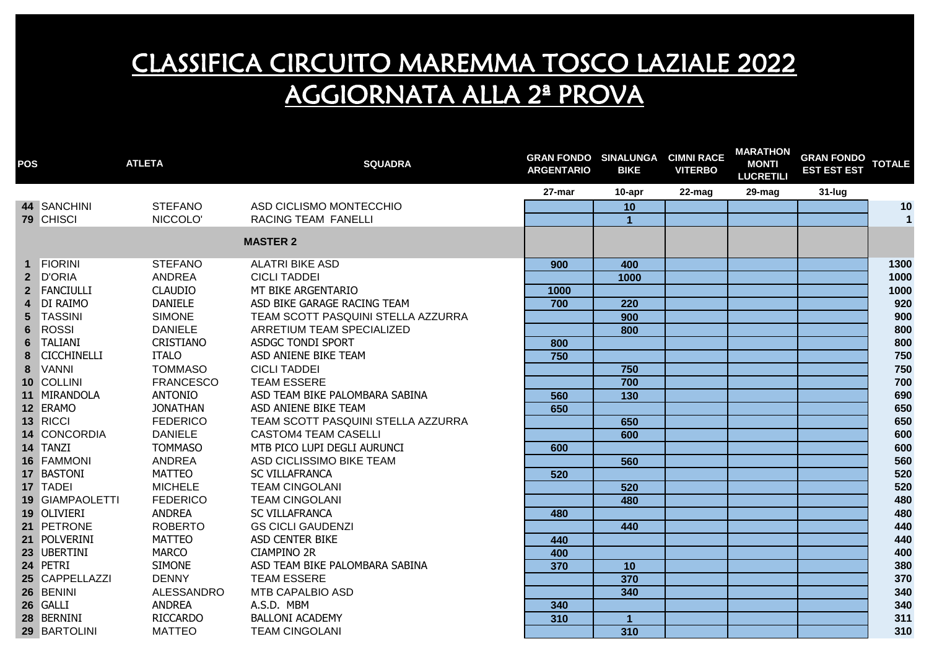| <b>POS</b>     |                    | <b>ATLETA</b>    | <b>SQUADRA</b>                     | <b>GRAN FONDO SINALUNGA CIMNI RACE</b><br><b>ARGENTARIO</b> | <b>BIKE</b>          | <b>VITERBO</b> | <b>MARATHON</b><br><b>MONTI</b><br><b>LUCRETILI</b> | <b>GRAN FONDO</b><br><b>EST EST EST</b> | <b>TOTALE</b> |
|----------------|--------------------|------------------|------------------------------------|-------------------------------------------------------------|----------------------|----------------|-----------------------------------------------------|-----------------------------------------|---------------|
|                |                    |                  |                                    | 27-mar                                                      | 10-apr               | 22-mag         | 29-mag                                              | $31$ -lug                               |               |
|                | 44 SANCHINI        | <b>STEFANO</b>   | ASD CICLISMO MONTECCHIO            |                                                             | 10                   |                |                                                     |                                         | 10            |
|                | 79 CHISCI          | NICCOLO'         | <b>RACING TEAM FANELLI</b>         |                                                             | 1                    |                |                                                     |                                         | $\mathbf{1}$  |
|                |                    |                  | <b>MASTER 2</b>                    |                                                             |                      |                |                                                     |                                         |               |
|                | 1 FIORINI          | <b>STEFANO</b>   | <b>ALATRI BIKE ASD</b>             | 900                                                         | 400                  |                |                                                     |                                         | 1300          |
|                | 2 D'ORIA           | ANDREA           | <b>CICLI TADDEI</b>                |                                                             | 1000                 |                |                                                     |                                         | 1000          |
|                | 2 FANCIULLI        | <b>CLAUDIO</b>   | MT BIKE ARGENTARIO                 | 1000                                                        |                      |                |                                                     |                                         | 1000          |
| $\overline{4}$ | <b>DI RAIMO</b>    | <b>DANIELE</b>   | ASD BIKE GARAGE RACING TEAM        | 700                                                         | 220                  |                |                                                     |                                         | 920           |
|                | 5 TASSINI          | <b>SIMONE</b>    | TEAM SCOTT PASQUINI STELLA AZZURRA |                                                             | 900                  |                |                                                     |                                         | 900           |
| 6              | <b>ROSSI</b>       | <b>DANIELE</b>   | ARRETIUM TEAM SPECIALIZED          |                                                             | 800                  |                |                                                     |                                         | 800           |
| 6              | <b>TALIANI</b>     | CRISTIANO        | ASDGC TONDI SPORT                  | 800                                                         |                      |                |                                                     |                                         | 800           |
| 8              | <b>CICCHINELLI</b> | <b>ITALO</b>     | ASD ANIENE BIKE TEAM               | 750                                                         |                      |                |                                                     |                                         | 750           |
| 8              | <b>VANNI</b>       | <b>TOMMASO</b>   | <b>CICLI TADDEI</b>                |                                                             | 750                  |                |                                                     |                                         | 750           |
|                | 10 COLLINI         | <b>FRANCESCO</b> | <b>TEAM ESSERE</b>                 |                                                             | 700                  |                |                                                     |                                         | 700           |
|                | 11 MIRANDOLA       | <b>ANTONIO</b>   | ASD TEAM BIKE PALOMBARA SABINA     | 560                                                         | $\frac{130}{ }$      |                |                                                     |                                         | 690           |
|                | 12 ERAMO           | <b>JONATHAN</b>  | ASD ANIENE BIKE TEAM               | 650                                                         |                      |                |                                                     |                                         | 650           |
|                | 13 RICCI           | <b>FEDERICO</b>  | TEAM SCOTT PASQUINI STELLA AZZURRA |                                                             | 650                  |                |                                                     |                                         | 650           |
|                | 14 CONCORDIA       | <b>DANIELE</b>   | <b>CASTOM4 TEAM CASELLI</b>        |                                                             | 600                  |                |                                                     |                                         | 600           |
|                | 14 TANZI           | <b>TOMMASO</b>   | MTB PICO LUPI DEGLI AURUNCI        | 600                                                         |                      |                |                                                     |                                         | 600           |
|                | 16 FAMMONI         | ANDREA           | ASD CICLISSIMO BIKE TEAM           |                                                             | 560                  |                |                                                     |                                         | 560           |
|                | 17 BASTONI         | <b>MATTEO</b>    | <b>SC VILLAFRANCA</b>              | 520                                                         |                      |                |                                                     |                                         | 520           |
|                | 17 TADEI           | <b>MICHELE</b>   | <b>TEAM CINGOLANI</b>              |                                                             | 520                  |                |                                                     |                                         | 520           |
|                | 19 GIAMPAOLETTI    | <b>FEDERICO</b>  | <b>TEAM CINGOLANI</b>              |                                                             | 480                  |                |                                                     |                                         | 480           |
|                | 19 OLIVIERI        | <b>ANDREA</b>    | <b>SC VILLAFRANCA</b>              | 480                                                         |                      |                |                                                     |                                         | 480           |
|                | 21 PETRONE         | <b>ROBERTO</b>   | <b>GS CICLI GAUDENZI</b>           |                                                             | 440                  |                |                                                     |                                         | 440           |
|                | 21 POLVERINI       | <b>MATTEO</b>    | <b>ASD CENTER BIKE</b>             | 440                                                         |                      |                |                                                     |                                         | 440           |
|                | 23 UBERTINI        | <b>MARCO</b>     | <b>CIAMPINO 2R</b>                 | 400                                                         |                      |                |                                                     |                                         | 400           |
|                | 24 PETRI           | <b>SIMONE</b>    | ASD TEAM BIKE PALOMBARA SABINA     | 370                                                         | 10                   |                |                                                     |                                         | 380           |
|                | 25 CAPPELLAZZI     | <b>DENNY</b>     | <b>TEAM ESSERE</b>                 |                                                             | 370                  |                |                                                     |                                         | 370           |
|                | 26 BENINI          | ALESSANDRO       | <b>MTB CAPALBIO ASD</b>            |                                                             | 340                  |                |                                                     |                                         | 340           |
|                | 26 GALLI           | <b>ANDREA</b>    | A.S.D. MBM                         | 340                                                         |                      |                |                                                     |                                         | 340           |
|                | 28 BERNINI         | <b>RICCARDO</b>  | <b>BALLONI ACADEMY</b>             | 310                                                         | $\blacktriangleleft$ |                |                                                     |                                         | 311           |
|                | 29 BARTOLINI       | <b>MATTEO</b>    | <b>TEAM CINGOLANI</b>              |                                                             | 310                  |                |                                                     |                                         | 310           |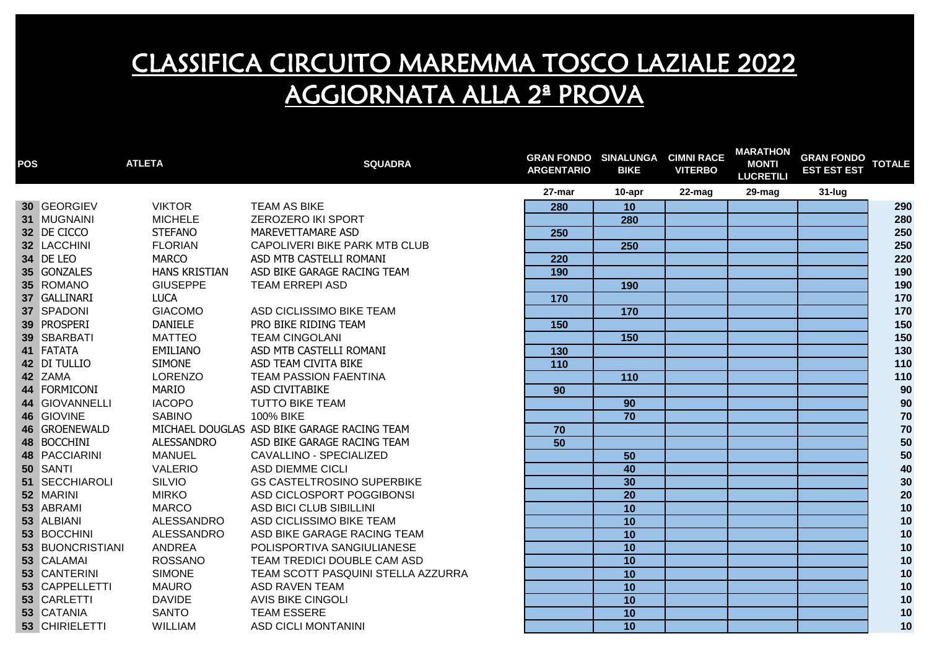| <b>POS</b> | <b>ATLETA</b>    |                      | <b>SQUADRA</b>                              | <b>GRAN FONDO SINALUNGA CIMNI RACE</b><br><b>ARGENTARIO</b> | <b>BIKE</b>     | <b>VITERBO</b> | <b>MARATHON</b><br><b>MONTI</b><br><b>LUCRETILI</b> | GRAN FONDO TOTALE<br><b>EST EST EST</b> |            |
|------------|------------------|----------------------|---------------------------------------------|-------------------------------------------------------------|-----------------|----------------|-----------------------------------------------------|-----------------------------------------|------------|
|            |                  |                      |                                             | 27-mar                                                      | 10-apr          | 22-mag         | 29-mag                                              | 31-lug                                  |            |
|            | 30 GEORGIEV      | <b>VIKTOR</b>        | <b>TEAM AS BIKE</b>                         | 280                                                         | 10              |                |                                                     |                                         | 290        |
|            | 31 MUGNAINI      | <b>MICHELE</b>       | <b>ZEROZERO IKI SPORT</b>                   |                                                             | 280             |                |                                                     |                                         | 280        |
|            | 32 DE CICCO      | <b>STEFANO</b>       | MAREVETTAMARE ASD                           | 250                                                         |                 |                |                                                     |                                         | 250        |
|            | 32 LACCHINI      | <b>FLORIAN</b>       | CAPOLIVERI BIKE PARK MTB CLUB               |                                                             | 250             |                |                                                     |                                         | 250        |
|            | 34 DE LEO        | <b>MARCO</b>         | ASD MTB CASTELLI ROMANI                     | $\overline{220}$                                            |                 |                |                                                     |                                         | 220        |
|            | 35 GONZALES      | <b>HANS KRISTIAN</b> | ASD BIKE GARAGE RACING TEAM                 | 190                                                         |                 |                |                                                     |                                         | 190        |
|            | 35 ROMANO        | <b>GIUSEPPE</b>      | <b>TEAM ERREPI ASD</b>                      |                                                             | 190             |                |                                                     |                                         | 190        |
|            | 37 GALLINARI     | <b>LUCA</b>          |                                             | 170                                                         |                 |                |                                                     |                                         | 170        |
|            | 37 SPADONI       | <b>GIACOMO</b>       | ASD CICLISSIMO BIKE TEAM                    |                                                             | 170             |                |                                                     |                                         | 170        |
|            | 39 PROSPERI      | <b>DANIELE</b>       | PRO BIKE RIDING TEAM                        | 150                                                         |                 |                |                                                     |                                         | 150        |
|            | 39 SBARBATI      | <b>MATTEO</b>        | <b>TEAM CINGOLANI</b>                       |                                                             | 150             |                |                                                     |                                         | 150        |
|            | 41 FATATA        | EMILIANO             | ASD MTB CASTELLI ROMANI                     | 130                                                         |                 |                |                                                     |                                         | 130        |
|            | 42 DI TULLIO     | <b>SIMONE</b>        | ASD TEAM CIVITA BIKE                        | 110                                                         |                 |                |                                                     |                                         | 110        |
|            | 42 ZAMA          | <b>LORENZO</b>       | <b>TEAM PASSION FAENTINA</b>                |                                                             | 110             |                |                                                     |                                         | 110        |
|            | 44 FORMICONI     | <b>MARIO</b>         | ASD CIVITABIKE                              | 90                                                          |                 |                |                                                     |                                         | 90         |
|            | 44 GIOVANNELLI   | <b>IACOPO</b>        | <b>TUTTO BIKE TEAM</b>                      |                                                             | 90              |                |                                                     |                                         | 90         |
|            | 46 GIOVINE       | <b>SABINO</b>        | 100% BIKE                                   |                                                             | $\overline{70}$ |                |                                                     |                                         | $70\,$     |
|            | 46 GROENEWALD    |                      | MICHAEL DOUGLAS ASD BIKE GARAGE RACING TEAM | 70                                                          |                 |                |                                                     |                                         | $70$       |
|            | 48 BOCCHINI      | <b>ALESSANDRO</b>    | ASD BIKE GARAGE RACING TEAM                 | 50                                                          |                 |                |                                                     |                                         | ${\bf 50}$ |
|            | 48 PACCIARINI    | <b>MANUEL</b>        | CAVALLINO - SPECIALIZED                     |                                                             | 50              |                |                                                     |                                         | $50\,$     |
|            | 50 SANTI         | <b>VALERIO</b>       | <b>ASD DIEMME CICLI</b>                     |                                                             | 40              |                |                                                     |                                         | 40         |
|            | 51 SECCHIAROLI   | SILVIO               | <b>GS CASTELTROSINO SUPERBIKE</b>           |                                                             | 30              |                |                                                     |                                         | 30         |
|            | 52 MARINI        | <b>MIRKO</b>         | ASD CICLOSPORT POGGIBONSI                   |                                                             | 20              |                |                                                     |                                         | $20\,$     |
|            | 53 ABRAMI        | <b>MARCO</b>         | ASD BICI CLUB SIBILLINI                     |                                                             | 10              |                |                                                     |                                         | 10         |
|            | 53 ALBIANI       | ALESSANDRO           | ASD CICLISSIMO BIKE TEAM                    |                                                             | 10              |                |                                                     |                                         | 10         |
|            | 53 BOCCHINI      | ALESSANDRO           | ASD BIKE GARAGE RACING TEAM                 |                                                             | 10              |                |                                                     |                                         | 10         |
|            | 53 BUONCRISTIANI | ANDREA               | POLISPORTIVA SANGIULIANESE                  |                                                             | $\overline{10}$ |                |                                                     |                                         | 10         |
|            | 53 CALAMAI       | <b>ROSSANO</b>       | TEAM TREDICI DOUBLE CAM ASD                 |                                                             | 10              |                |                                                     |                                         | 10         |
|            | 53 CANTERINI     | <b>SIMONE</b>        | TEAM SCOTT PASQUINI STELLA AZZURRA          |                                                             | 10              |                |                                                     |                                         | $10$       |
|            | 53 CAPPELLETTI   | <b>MAURO</b>         | <b>ASD RAVEN TEAM</b>                       |                                                             | 10              |                |                                                     |                                         | 10         |
|            | 53 CARLETTI      | <b>DAVIDE</b>        | <b>AVIS BIKE CINGOLI</b>                    |                                                             | 10              |                |                                                     |                                         | 10         |
|            | 53 CATANIA       | <b>SANTO</b>         | <b>TEAM ESSERE</b>                          |                                                             | 10              |                |                                                     |                                         | 10         |
|            | 53 CHIRIELETTI   | <b>WILLIAM</b>       | <b>ASD CICLI MONTANINI</b>                  |                                                             | 10              |                |                                                     |                                         | 10         |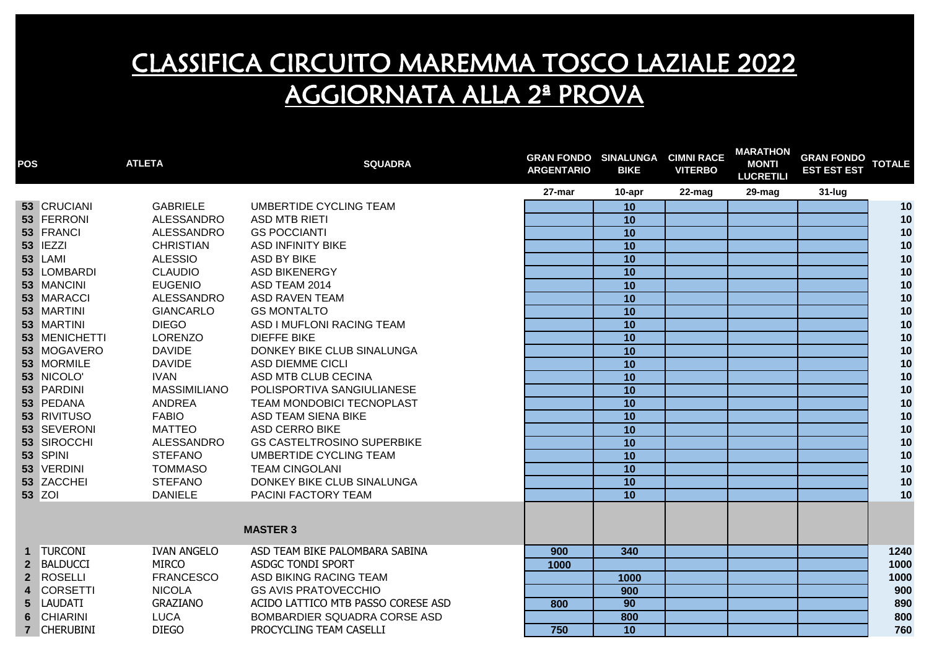| <b>POS</b> |                 | <b>ATLETA</b>       | <b>SQUADRA</b>                     | <b>GRAN FONDO SINALUNGA</b><br><b>ARGENTARIO</b> | <b>BIKE</b>     | <b>CIMNI RACE</b><br><b>VITERBO</b> | <b>MARATHON</b><br><b>MONTI</b><br><b>LUCRETILI</b> | <b>GRAN FONDO</b><br><b>EST EST EST</b> | <b>TOTALE</b> |
|------------|-----------------|---------------------|------------------------------------|--------------------------------------------------|-----------------|-------------------------------------|-----------------------------------------------------|-----------------------------------------|---------------|
|            |                 |                     |                                    | 27-mar                                           | 10-apr          | 22-mag                              | 29-mag                                              | $31$ -lug                               |               |
|            | 53 CRUCIANI     | <b>GABRIELE</b>     | UMBERTIDE CYCLING TEAM             |                                                  | 10              |                                     |                                                     |                                         | 10            |
|            | 53 FERRONI      | ALESSANDRO          | <b>ASD MTB RIETI</b>               |                                                  | 10              |                                     |                                                     |                                         | 10            |
|            | 53 FRANCI       | ALESSANDRO          | <b>GS POCCIANTI</b>                |                                                  | 10              |                                     |                                                     |                                         | 10            |
|            | <b>53 IEZZI</b> | <b>CHRISTIAN</b>    | <b>ASD INFINITY BIKE</b>           |                                                  | 10              |                                     |                                                     |                                         | 10            |
|            | 53 LAMI         | <b>ALESSIO</b>      | <b>ASD BY BIKE</b>                 |                                                  | 10              |                                     |                                                     |                                         | 10            |
|            | 53 LOMBARDI     | <b>CLAUDIO</b>      | <b>ASD BIKENERGY</b>               |                                                  | 10              |                                     |                                                     |                                         | 10            |
|            | 53 MANCINI      | <b>EUGENIO</b>      | ASD TEAM 2014                      |                                                  | $\overline{10}$ |                                     |                                                     |                                         | 10            |
|            | 53 MARACCI      | ALESSANDRO          | <b>ASD RAVEN TEAM</b>              |                                                  | 10              |                                     |                                                     |                                         | 10            |
|            | 53 MARTINI      | <b>GIANCARLO</b>    | <b>GS MONTALTO</b>                 |                                                  | 10              |                                     |                                                     |                                         | 10            |
|            | 53 MARTINI      | <b>DIEGO</b>        | ASD I MUFLONI RACING TEAM          |                                                  | 10              |                                     |                                                     |                                         | 10            |
|            | 53 MENICHETTI   | <b>LORENZO</b>      | <b>DIEFFE BIKE</b>                 |                                                  | 10              |                                     |                                                     |                                         | 10            |
|            | 53 MOGAVERO     | <b>DAVIDE</b>       | DONKEY BIKE CLUB SINALUNGA         |                                                  | 10              |                                     |                                                     |                                         | 10            |
|            | 53 MORMILE      | <b>DAVIDE</b>       | ASD DIEMME CICLI                   |                                                  | 10              |                                     |                                                     |                                         | 10            |
|            | 53 NICOLO'      | <b>IVAN</b>         | ASD MTB CLUB CECINA                |                                                  | 10              |                                     |                                                     |                                         | 10            |
|            | 53 PARDINI      | <b>MASSIMILIANO</b> | POLISPORTIVA SANGIULIANESE         |                                                  | 10              |                                     |                                                     |                                         | 10            |
|            | 53 PEDANA       | <b>ANDREA</b>       | TEAM MONDOBICI TECNOPLAST          |                                                  | 10              |                                     |                                                     |                                         | 10            |
|            | 53 RIVITUSO     | <b>FABIO</b>        | ASD TEAM SIENA BIKE                |                                                  | $\overline{10}$ |                                     |                                                     |                                         | 10            |
|            | 53 SEVERONI     | <b>MATTEO</b>       | <b>ASD CERRO BIKE</b>              |                                                  | 10              |                                     |                                                     |                                         | 10            |
|            | 53 SIROCCHI     | ALESSANDRO          | <b>GS CASTELTROSINO SUPERBIKE</b>  |                                                  | 10              |                                     |                                                     |                                         | 10            |
|            | 53 SPINI        | <b>STEFANO</b>      | UMBERTIDE CYCLING TEAM             |                                                  | 10              |                                     |                                                     |                                         | 10            |
|            | 53 VERDINI      | <b>TOMMASO</b>      | <b>TEAM CINGOLANI</b>              |                                                  | 10              |                                     |                                                     |                                         | 10            |
|            | 53 ZACCHEI      | <b>STEFANO</b>      | DONKEY BIKE CLUB SINALUNGA         |                                                  | 10              |                                     |                                                     |                                         | 10            |
|            | <b>53 ZOI</b>   | <b>DANIELE</b>      | PACINI FACTORY TEAM                |                                                  | 10              |                                     |                                                     |                                         | 10            |
|            |                 |                     | <b>MASTER 3</b>                    |                                                  |                 |                                     |                                                     |                                         |               |
|            | 1 TURCONI       | <b>IVAN ANGELO</b>  | ASD TEAM BIKE PALOMBARA SABINA     | 900                                              | 340             |                                     |                                                     |                                         | 1240          |
|            | 2 BALDUCCI      | <b>MIRCO</b>        | ASDGC TONDI SPORT                  | 1000                                             |                 |                                     |                                                     |                                         | 1000          |
|            | 2 ROSELLI       | <b>FRANCESCO</b>    | ASD BIKING RACING TEAM             |                                                  | 1000            |                                     |                                                     |                                         | 1000          |
| 4          | <b>CORSETTI</b> | <b>NICOLA</b>       | <b>GS AVIS PRATOVECCHIO</b>        |                                                  | 900             |                                     |                                                     |                                         | 900           |
| 5          | <b>LAUDATI</b>  | <b>GRAZIANO</b>     | ACIDO LATTICO MTB PASSO CORESE ASD | 800                                              | 90              |                                     |                                                     |                                         | 890           |
| 6          | <b>CHIARINI</b> | <b>LUCA</b>         | BOMBARDIER SQUADRA CORSE ASD       |                                                  | 800             |                                     |                                                     |                                         | 800           |
|            | 7 CHERUBINI     | <b>DIEGO</b>        | PROCYCLING TEAM CASELLI            | 750                                              | 10              |                                     |                                                     |                                         | 760           |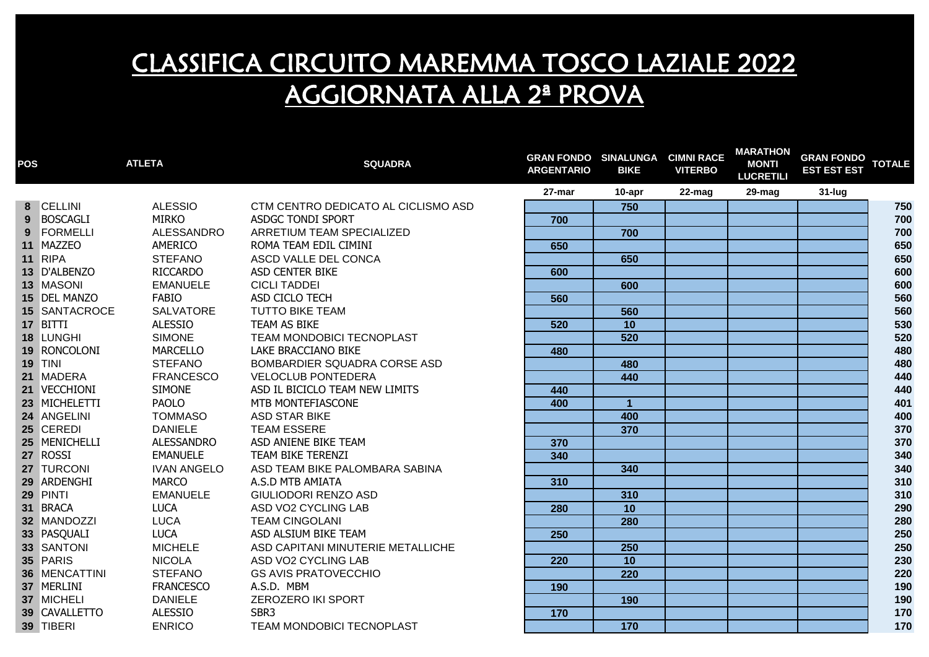| <b>POS</b> |                      | <b>ATLETA</b>      | <b>SQUADRA</b>                      | <b>GRAN FONDO SINALUNGA CIMNI RACE</b><br><b>ARGENTARIO</b> | <b>BIKE</b>      | <b>VITERBO</b> | <b>MARATHON</b><br><b>MONTI</b><br><b>LUCRETILI</b> | <b>GRAN FONDO</b><br><b>EST EST EST</b> | <b>TOTALE</b> |
|------------|----------------------|--------------------|-------------------------------------|-------------------------------------------------------------|------------------|----------------|-----------------------------------------------------|-----------------------------------------|---------------|
|            |                      |                    |                                     | 27-mar                                                      | 10-apr           | 22-mag         | $29$ -mag                                           | 31-lug                                  |               |
|            | 8 CELLINI            | <b>ALESSIO</b>     | CTM CENTRO DEDICATO AL CICLISMO ASD |                                                             | 750              |                |                                                     |                                         | 750           |
|            | 9 BOSCAGLI           | <b>MIRKO</b>       | ASDGC TONDI SPORT                   | 700                                                         |                  |                |                                                     |                                         | 700           |
| 9          | FORMELLI             | ALESSANDRO         | ARRETIUM TEAM SPECIALIZED           |                                                             | 700              |                |                                                     |                                         | 700           |
|            | 11 MAZZEO            | AMERICO            | ROMA TEAM EDIL CIMINI               | 650                                                         |                  |                |                                                     |                                         | 650           |
|            | 11 RIPA              | <b>STEFANO</b>     | ASCD VALLE DEL CONCA                |                                                             | 650              |                |                                                     |                                         | 650           |
|            | 13 D'ALBENZO         | <b>RICCARDO</b>    | ASD CENTER BIKE                     | 600                                                         |                  |                |                                                     |                                         | 600           |
|            | 13 MASONI            | <b>EMANUELE</b>    | <b>CICLI TADDEI</b>                 |                                                             | 600              |                |                                                     |                                         | 600           |
|            | 15 DEL MANZO         | <b>FABIO</b>       | ASD CICLO TECH                      | 560                                                         |                  |                |                                                     |                                         | 560           |
|            | <b>15 SANTACROCE</b> | <b>SALVATORE</b>   | <b>TUTTO BIKE TEAM</b>              |                                                             | 560              |                |                                                     |                                         | 560           |
|            | 17 BITTI             | <b>ALESSIO</b>     | TEAM AS BIKE                        | 520                                                         | 10               |                |                                                     |                                         | 530           |
|            | 18 LUNGHI            | <b>SIMONE</b>      | TEAM MONDOBICI TECNOPLAST           |                                                             | 520              |                |                                                     |                                         | 520           |
|            | 19 RONCOLONI         | <b>MARCELLO</b>    | LAKE BRACCIANO BIKE                 | 480                                                         |                  |                |                                                     |                                         | 480           |
|            | <b>19 TINI</b>       | <b>STEFANO</b>     | BOMBARDIER SQUADRA CORSE ASD        |                                                             | 480              |                |                                                     |                                         | 480           |
|            | 21 MADERA            | <b>FRANCESCO</b>   | <b>VELOCLUB PONTEDERA</b>           |                                                             | 440              |                |                                                     |                                         | 440           |
|            | 21 VECCHIONI         | <b>SIMONE</b>      | ASD IL BICICLO TEAM NEW LIMITS      | 440                                                         |                  |                |                                                     |                                         | 440           |
|            | 23 MICHELETTI        | <b>PAOLO</b>       | MTB MONTEFIASCONE                   | 400                                                         | $\mathbf{1}$     |                |                                                     |                                         | 401           |
|            | 24 ANGELINI          | <b>TOMMASO</b>     | <b>ASD STAR BIKE</b>                |                                                             | 400              |                |                                                     |                                         | 400           |
|            | 25 CEREDI            | <b>DANIELE</b>     | <b>TEAM ESSERE</b>                  |                                                             | 370              |                |                                                     |                                         | 370           |
|            | 25 MENICHELLI        | <b>ALESSANDRO</b>  | ASD ANIENE BIKE TEAM                | 370                                                         |                  |                |                                                     |                                         | 370           |
|            | 27 ROSSI             | <b>EMANUELE</b>    | TEAM BIKE TERENZI                   | 340                                                         |                  |                |                                                     |                                         | 340           |
|            | 27 TURCONI           | <b>IVAN ANGELO</b> | ASD TEAM BIKE PALOMBARA SABINA      |                                                             | 340              |                |                                                     |                                         | 340           |
|            | 29 ARDENGHI          | <b>MARCO</b>       | A.S.D MTB AMIATA                    | 310                                                         |                  |                |                                                     |                                         | 310           |
|            | 29 PINTI             | <b>EMANUELE</b>    | GIULIODORI RENZO ASD                |                                                             | 310              |                |                                                     |                                         | 310           |
|            | 31 BRACA             | <b>LUCA</b>        | ASD VO2 CYCLING LAB                 | 280                                                         | $\overline{10}$  |                |                                                     |                                         | 290           |
|            | 32 MANDOZZI          | <b>LUCA</b>        | <b>TEAM CINGOLANI</b>               |                                                             | 280              |                |                                                     |                                         | 280           |
|            | 33 PASQUALI          | <b>LUCA</b>        | ASD ALSIUM BIKE TEAM                | 250                                                         |                  |                |                                                     |                                         | 250           |
|            | 33 SANTONI           | <b>MICHELE</b>     | ASD CAPITANI MINUTERIE METALLICHE   |                                                             | $\overline{250}$ |                |                                                     |                                         | 250           |
|            | 35 PARIS             | <b>NICOLA</b>      | ASD VO2 CYCLING LAB                 | $\overline{220}$                                            | 10               |                |                                                     |                                         | 230           |
|            | 36 MENCATTINI        | <b>STEFANO</b>     | <b>GS AVIS PRATOVECCHIO</b>         |                                                             | $\overline{220}$ |                |                                                     |                                         | 220           |
|            | 37 MERLINI           | <b>FRANCESCO</b>   | A.S.D. MBM                          | 190                                                         |                  |                |                                                     |                                         | 190           |
|            | 37 MICHELI           | <b>DANIELE</b>     | <b>ZEROZERO IKI SPORT</b>           |                                                             | 190              |                |                                                     |                                         | 190           |
|            | 39 CAVALLETTO        | <b>ALESSIO</b>     | SBR <sub>3</sub>                    | 170                                                         |                  |                |                                                     |                                         | 170           |
|            | 39 TIBERI            | <b>ENRICO</b>      | TEAM MONDOBICI TECNOPLAST           |                                                             | 170              |                |                                                     |                                         | 170           |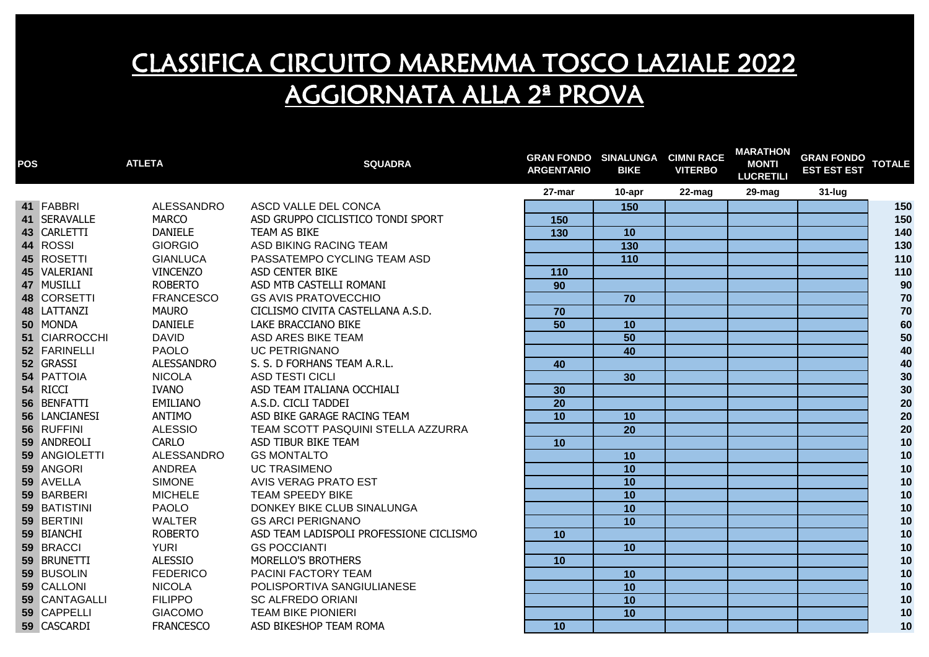| <b>POS</b> |                   | <b>ATLETA</b>     | <b>SQUADRA</b>                          | <b>GRAN FONDO SINALUNGA CIMNI RACE</b><br><b>ARGENTARIO</b> | <b>BIKE</b>     | <b>VITERBO</b> | <b>MARATHON</b><br><b>MONTI</b><br><b>LUCRETILI</b> | <b>GRAN FONDO</b><br><b>EST EST EST</b> | <b>TOTALE</b> |
|------------|-------------------|-------------------|-----------------------------------------|-------------------------------------------------------------|-----------------|----------------|-----------------------------------------------------|-----------------------------------------|---------------|
|            |                   |                   |                                         | 27-mar                                                      | 10-apr          | 22-mag         | 29-mag                                              | 31-lug                                  |               |
|            | 41 FABBRI         | ALESSANDRO        | ASCD VALLE DEL CONCA                    |                                                             | 150             |                |                                                     |                                         | 150           |
|            | 41 SERAVALLE      | <b>MARCO</b>      | ASD GRUPPO CICLISTICO TONDI SPORT       | 150                                                         |                 |                |                                                     |                                         | 150           |
|            | 43 CARLETTI       | <b>DANIELE</b>    | TEAM AS BIKE                            | $\overline{130}$                                            | 10              |                |                                                     |                                         | 140           |
|            | 44 ROSSI          | <b>GIORGIO</b>    | ASD BIKING RACING TEAM                  |                                                             | 130             |                |                                                     |                                         | 130           |
|            | 45 ROSETTI        | <b>GIANLUCA</b>   | PASSATEMPO CYCLING TEAM ASD             |                                                             | 110             |                |                                                     |                                         | 110           |
|            | 45 VALERIANI      | <b>VINCENZO</b>   | <b>ASD CENTER BIKE</b>                  | 110                                                         |                 |                |                                                     |                                         | 110           |
|            | 47 MUSILLI        | <b>ROBERTO</b>    | ASD MTB CASTELLI ROMANI                 | 90                                                          |                 |                |                                                     |                                         | 90            |
|            | 48 CORSETTI       | <b>FRANCESCO</b>  | <b>GS AVIS PRATOVECCHIO</b>             |                                                             | 70              |                |                                                     |                                         | 70            |
|            | 48 LATTANZI       | <b>MAURO</b>      | CICLISMO CIVITA CASTELLANA A.S.D.       | $\overline{70}$                                             |                 |                |                                                     |                                         | 70            |
|            | 50 MONDA          | <b>DANIELE</b>    | LAKE BRACCIANO BIKE                     | $\overline{50}$                                             | 10              |                |                                                     |                                         | 60            |
|            | 51 CIARROCCHI     | <b>DAVID</b>      | <b>ASD ARES BIKE TEAM</b>               |                                                             | 50              |                |                                                     |                                         | 50            |
|            | 52 FARINELLI      | <b>PAOLO</b>      | <b>UC PETRIGNANO</b>                    |                                                             | 40              |                |                                                     |                                         | 40            |
|            | 52 GRASSI         | <b>ALESSANDRO</b> | S. S. D FORHANS TEAM A.R.L.             | 40                                                          |                 |                |                                                     |                                         | $40\,$        |
|            | <b>54 PATTOIA</b> | <b>NICOLA</b>     | <b>ASD TESTI CICLI</b>                  |                                                             | 30              |                |                                                     |                                         | $30\,$        |
|            | 54 RICCI          | <b>IVANO</b>      | ASD TEAM ITALIANA OCCHIALI              | 30                                                          |                 |                |                                                     |                                         | $30\,$        |
|            | 56 BENFATTI       | EMILIANO          | A.S.D. CICLI TADDEI                     | $\overline{20}$                                             |                 |                |                                                     |                                         | ${\bf 20}$    |
|            | 56 LANCIANESI     | ANTIMO            | ASD BIKE GARAGE RACING TEAM             | $\overline{10}$                                             | 10              |                |                                                     |                                         | ${\bf 20}$    |
|            | 56 RUFFINI        | <b>ALESSIO</b>    | TEAM SCOTT PASQUINI STELLA AZZURRA      |                                                             | 20              |                |                                                     |                                         | $20\,$        |
|            | 59 ANDREOLI       | <b>CARLO</b>      | ASD TIBUR BIKE TEAM                     | 10                                                          |                 |                |                                                     |                                         | 10            |
|            | 59 ANGIOLETTI     | ALESSANDRO        | <b>GS MONTALTO</b>                      |                                                             | 10              |                |                                                     |                                         | 10            |
|            | 59 ANGORI         | ANDREA            | <b>UC TRASIMENO</b>                     |                                                             | 10              |                |                                                     |                                         | $10$          |
|            | 59 AVELLA         | <b>SIMONE</b>     | <b>AVIS VERAG PRATO EST</b>             |                                                             | 10              |                |                                                     |                                         | 10            |
|            | 59 BARBERI        | <b>MICHELE</b>    | <b>TEAM SPEEDY BIKE</b>                 |                                                             | 10              |                |                                                     |                                         | 10            |
|            | 59 BATISTINI      | <b>PAOLO</b>      | DONKEY BIKE CLUB SINALUNGA              |                                                             | $\overline{10}$ |                |                                                     |                                         | 10            |
|            | 59 BERTINI        | <b>WALTER</b>     | <b>GS ARCI PERIGNANO</b>                |                                                             | 10              |                |                                                     |                                         | 10            |
|            | 59 BIANCHI        | <b>ROBERTO</b>    | ASD TEAM LADISPOLI PROFESSIONE CICLISMO | 10                                                          |                 |                |                                                     |                                         | 10            |
|            | 59 BRACCI         | <b>YURI</b>       | <b>GS POCCIANTI</b>                     |                                                             | 10              |                |                                                     |                                         | 10            |
|            | 59 BRUNETTI       | <b>ALESSIO</b>    | MORELLO'S BROTHERS                      | 10                                                          |                 |                |                                                     |                                         | 10            |
|            | 59 BUSOLIN        | <b>FEDERICO</b>   | PACINI FACTORY TEAM                     |                                                             | 10              |                |                                                     |                                         | 10            |
|            | 59 CALLONI        | <b>NICOLA</b>     | POLISPORTIVA SANGIULIANESE              |                                                             | 10              |                |                                                     |                                         | 10            |
|            | 59 CANTAGALLI     | <b>FILIPPO</b>    | <b>SC ALFREDO ORIANI</b>                |                                                             | 10              |                |                                                     |                                         | 10            |
|            | 59 CAPPELLI       | <b>GIACOMO</b>    | <b>TEAM BIKE PIONIERI</b>               |                                                             | 10              |                |                                                     |                                         | 10            |
|            | 59 CASCARDI       | <b>FRANCESCO</b>  | ASD BIKESHOP TEAM ROMA                  | 10                                                          |                 |                |                                                     |                                         | 10            |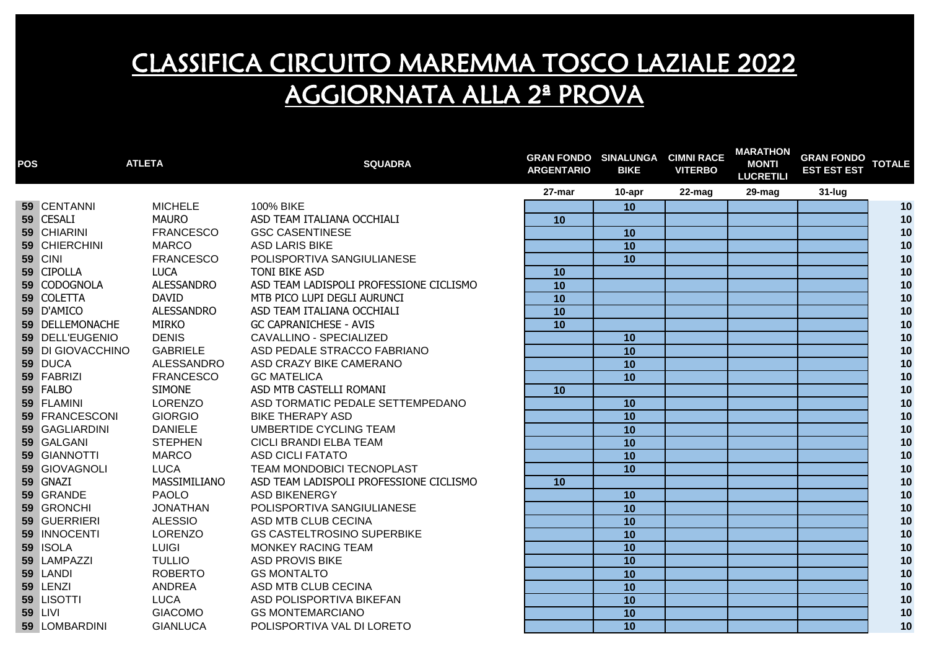| <b>POS</b> |                   | <b>ATLETA</b>     | <b>SQUADRA</b>                          | <b>GRAN FONDO SINALUNGA CIMNI RACE</b><br><b>ARGENTARIO</b> | <b>BIKE</b>     | <b>VITERBO</b> | MARATHON<br><b>MONTI</b><br><b>LUCRETILI</b> | <b>GRAN FONDO TOTALE</b><br><b>EST EST EST</b> |      |
|------------|-------------------|-------------------|-----------------------------------------|-------------------------------------------------------------|-----------------|----------------|----------------------------------------------|------------------------------------------------|------|
|            |                   |                   |                                         | 27-mar                                                      | 10-apr          | 22-mag         | 29-mag                                       | 31-lug                                         |      |
|            | 59 CENTANNI       | <b>MICHELE</b>    | 100% BIKE                               |                                                             | 10              |                |                                              |                                                | 10   |
|            | 59 CESALI         | <b>MAURO</b>      | ASD TEAM ITALIANA OCCHIALI              | 10                                                          |                 |                |                                              |                                                | 10   |
|            | 59 CHIARINI       | <b>FRANCESCO</b>  | <b>GSC CASENTINESE</b>                  |                                                             | 10              |                |                                              |                                                | 10   |
|            | 59 CHIERCHINI     | <b>MARCO</b>      | <b>ASD LARIS BIKE</b>                   |                                                             | 10              |                |                                              |                                                | 10   |
|            | <b>59 CINI</b>    | <b>FRANCESCO</b>  | POLISPORTIVA SANGIULIANESE              |                                                             | 10              |                |                                              |                                                | 10   |
|            | 59 CIPOLLA        | <b>LUCA</b>       | TONI BIKE ASD                           | 10                                                          |                 |                |                                              |                                                | 10   |
|            | 59 CODOGNOLA      | <b>ALESSANDRO</b> | ASD TEAM LADISPOLI PROFESSIONE CICLISMO | $\overline{10}$                                             |                 |                |                                              |                                                | 10   |
|            | 59 COLETTA        | <b>DAVID</b>      | MTB PICO LUPI DEGLI AURUNCI             | 10                                                          |                 |                |                                              |                                                | 10   |
|            | 59 D'AMICO        | <b>ALESSANDRO</b> | ASD TEAM ITALIANA OCCHIALI              | 10                                                          |                 |                |                                              |                                                | 10   |
|            | 59 DELLEMONACHE   | <b>MIRKO</b>      | <b>GC CAPRANICHESE - AVIS</b>           | $\overline{10}$                                             |                 |                |                                              |                                                | 10   |
|            | 59 DELL'EUGENIO   | <b>DENIS</b>      | CAVALLINO - SPECIALIZED                 |                                                             | 10              |                |                                              |                                                | 10   |
|            | 59 DI GIOVACCHINO | <b>GABRIELE</b>   | ASD PEDALE STRACCO FABRIANO             |                                                             | 10              |                |                                              |                                                | $10$ |
|            | 59 DUCA           | ALESSANDRO        | ASD CRAZY BIKE CAMERANO                 |                                                             | 10              |                |                                              |                                                | $10$ |
|            | 59 FABRIZI        | <b>FRANCESCO</b>  | <b>GC MATELICA</b>                      |                                                             | 10              |                |                                              |                                                | $10$ |
|            | 59 FALBO          | <b>SIMONE</b>     | ASD MTB CASTELLI ROMANI                 | 10                                                          |                 |                |                                              |                                                | $10$ |
|            | 59 FLAMINI        | LORENZO           | ASD TORMATIC PEDALE SETTEMPEDANO        |                                                             | 10              |                |                                              |                                                | 10   |
|            | 59 FRANCESCONI    | <b>GIORGIO</b>    | <b>BIKE THERAPY ASD</b>                 |                                                             | 10              |                |                                              |                                                | 10   |
|            | 59 GAGLIARDINI    | <b>DANIELE</b>    | <b>UMBERTIDE CYCLING TEAM</b>           |                                                             | 10              |                |                                              |                                                | 10   |
|            | 59 GALGANI        | <b>STEPHEN</b>    | CICLI BRANDI ELBA TEAM                  |                                                             | 10              |                |                                              |                                                | $10$ |
|            | 59 GIANNOTTI      | <b>MARCO</b>      | <b>ASD CICLI FATATO</b>                 |                                                             | 10              |                |                                              |                                                | 10   |
|            | 59 GIOVAGNOLI     | <b>LUCA</b>       | TEAM MONDOBICI TECNOPLAST               |                                                             | 10              |                |                                              |                                                | 10   |
|            | 59 GNAZI          | MASSIMILIANO      | ASD TEAM LADISPOLI PROFESSIONE CICLISMO | 10                                                          |                 |                |                                              |                                                | 10   |
|            | 59 GRANDE         | <b>PAOLO</b>      | <b>ASD BIKENERGY</b>                    |                                                             | 10              |                |                                              |                                                | 10   |
|            | 59 GRONCHI        | <b>JONATHAN</b>   | POLISPORTIVA SANGIULIANESE              |                                                             | 10              |                |                                              |                                                | 10   |
|            | 59 GUERRIERI      | <b>ALESSIO</b>    | ASD MTB CLUB CECINA                     |                                                             | 10              |                |                                              |                                                | 10   |
|            | 59 INNOCENTI      | <b>LORENZO</b>    | <b>GS CASTELTROSINO SUPERBIKE</b>       |                                                             | 10              |                |                                              |                                                | 10   |
|            | 59 ISOLA          | <b>LUIGI</b>      | <b>MONKEY RACING TEAM</b>               |                                                             | $\overline{10}$ |                |                                              |                                                | 10   |
|            | 59 LAMPAZZI       | <b>TULLIO</b>     | <b>ASD PROVIS BIKE</b>                  |                                                             | 10              |                |                                              |                                                | 10   |
|            | 59 LANDI          | <b>ROBERTO</b>    | <b>GS MONTALTO</b>                      |                                                             | 10              |                |                                              |                                                | 10   |
|            | 59 LENZI          | ANDREA            | ASD MTB CLUB CECINA                     |                                                             | 10              |                |                                              |                                                | 10   |
|            | 59 LISOTTI        | LUCA              | ASD POLISPORTIVA BIKEFAN                |                                                             | 10              |                |                                              |                                                | 10   |
|            | <b>59 LIVI</b>    | <b>GIACOMO</b>    | <b>GS MONTEMARCIANO</b>                 |                                                             | 10              |                |                                              |                                                | 10   |
|            | 59 LOMBARDINI     | <b>GIANLUCA</b>   | POLISPORTIVA VAL DI LORETO              |                                                             | $\overline{10}$ |                |                                              |                                                | 10   |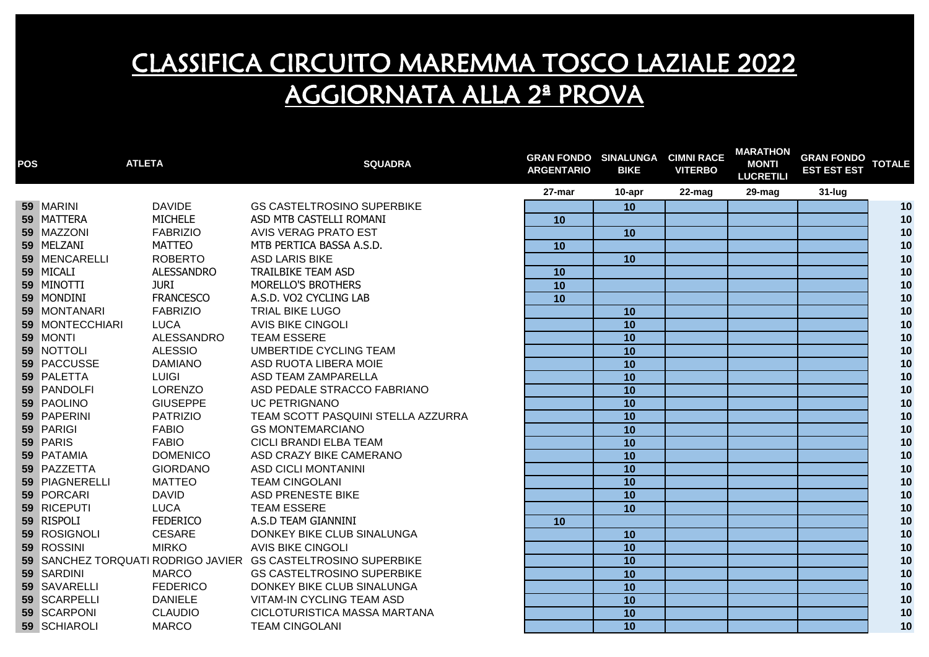| <b>POS</b> | <b>ATLETA</b>                         |            | <b>SQUADRA</b>                                                | <b>GRAN FONDO SINALUNGA CIMNI RACE</b><br><b>ARGENTARIO</b> | <b>BIKE</b>     | <b>VITERBO</b> | MARATHON<br><b>MONTI</b><br><b>LUCRETILI</b> | <b>GRAN FONDO TOTALE</b><br><b>EST EST EST</b> |      |
|------------|---------------------------------------|------------|---------------------------------------------------------------|-------------------------------------------------------------|-----------------|----------------|----------------------------------------------|------------------------------------------------|------|
|            |                                       |            |                                                               | 27-mar                                                      | 10-apr          | 22-mag         | 29-mag                                       | 31-lug                                         |      |
|            | <b>DAVIDE</b><br>59 MARINI            |            | <b>GS CASTELTROSINO SUPERBIKE</b>                             |                                                             | 10              |                |                                              |                                                | 10   |
|            | <b>MICHELE</b><br>59 MATTERA          |            | ASD MTB CASTELLI ROMANI                                       | 10                                                          |                 |                |                                              |                                                | 10   |
|            | 59 MAZZONI<br><b>FABRIZIO</b>         |            | <b>AVIS VERAG PRATO EST</b>                                   |                                                             | 10              |                |                                              |                                                | 10   |
|            | 59 MELZANI<br>MATTEO                  |            | MTB PERTICA BASSA A.S.D.                                      | 10                                                          |                 |                |                                              |                                                | 10   |
|            | 59 MENCARELLI<br><b>ROBERTO</b>       |            | <b>ASD LARIS BIKE</b>                                         |                                                             | 10              |                |                                              |                                                | 10   |
|            | 59 MICALI<br><b>ALESSANDRO</b>        |            | <b>TRAILBIKE TEAM ASD</b>                                     | 10                                                          |                 |                |                                              |                                                | 10   |
|            | 59 MINOTTI<br><b>JURI</b>             |            | MORELLO'S BROTHERS                                            | $\overline{10}$                                             |                 |                |                                              |                                                | 10   |
|            | 59 MONDINI<br><b>FRANCESCO</b>        |            | A.S.D. VO2 CYCLING LAB                                        | 10                                                          |                 |                |                                              |                                                | 10   |
|            | 59 MONTANARI<br><b>FABRIZIO</b>       |            | <b>TRIAL BIKE LUGO</b>                                        |                                                             | 10              |                |                                              |                                                | 10   |
|            | <b>59 MONTECCHIARI</b><br><b>LUCA</b> |            | <b>AVIS BIKE CINGOLI</b>                                      |                                                             | 10              |                |                                              |                                                | 10   |
|            | 59 MONTI                              | ALESSANDRO | <b>TEAM ESSERE</b>                                            |                                                             | 10              |                |                                              |                                                | 10   |
|            | 59 NOTTOLI<br><b>ALESSIO</b>          |            | UMBERTIDE CYCLING TEAM                                        |                                                             | 10              |                |                                              |                                                | 10   |
|            | 59 PACCUSSE<br><b>DAMIANO</b>         |            | ASD RUOTA LIBERA MOIE                                         |                                                             | 10              |                |                                              |                                                | 10   |
|            | 59 PALETTA<br><b>LUIGI</b>            |            | ASD TEAM ZAMPARELLA                                           |                                                             | 10              |                |                                              |                                                | $10$ |
|            | 59 PANDOLFI<br><b>LORENZO</b>         |            | ASD PEDALE STRACCO FABRIANO                                   |                                                             | 10              |                |                                              |                                                | 10   |
|            | 59 PAOLINO<br><b>GIUSEPPE</b>         |            | <b>UC PETRIGNANO</b>                                          |                                                             | 10              |                |                                              |                                                | 10   |
|            | 59 PAPERINI<br><b>PATRIZIO</b>        |            | TEAM SCOTT PASQUINI STELLA AZZURRA                            |                                                             | 10              |                |                                              |                                                | $10$ |
|            | 59 PARIGI<br><b>FABIO</b>             |            | <b>GS MONTEMARCIANO</b>                                       |                                                             | 10              |                |                                              |                                                | $10$ |
|            | 59 PARIS<br><b>FABIO</b>              |            | CICLI BRANDI ELBA TEAM                                        |                                                             | 10              |                |                                              |                                                | 10   |
|            | 59 PATAMIA<br><b>DOMENICO</b>         |            | ASD CRAZY BIKE CAMERANO                                       |                                                             | 10              |                |                                              |                                                | 10   |
|            | 59 PAZZETTA<br><b>GIORDANO</b>        |            | <b>ASD CICLI MONTANINI</b>                                    |                                                             | 10              |                |                                              |                                                | 10   |
|            | 59 PIAGNERELLI<br><b>MATTEO</b>       |            | <b>TEAM CINGOLANI</b>                                         |                                                             | 10              |                |                                              |                                                | 10   |
|            | 59 PORCARI<br><b>DAVID</b>            |            | <b>ASD PRENESTE BIKE</b>                                      |                                                             | 10              |                |                                              |                                                | 10   |
|            | 59 RICEPUTI<br>LUCA                   |            | <b>TEAM ESSERE</b>                                            |                                                             | 10              |                |                                              |                                                | 10   |
|            | 59 RISPOLI<br><b>FEDERICO</b>         |            | A.S.D TEAM GIANNINI                                           | 10                                                          |                 |                |                                              |                                                | 10   |
|            | 59 ROSIGNOLI<br><b>CESARE</b>         |            | DONKEY BIKE CLUB SINALUNGA                                    |                                                             | 10              |                |                                              |                                                | 10   |
|            | 59 ROSSINI<br><b>MIRKO</b>            |            | <b>AVIS BIKE CINGOLI</b>                                      |                                                             | $\overline{10}$ |                |                                              |                                                | 10   |
|            |                                       |            | 59 SANCHEZ TORQUATI RODRIGO JAVIER GS CASTELTROSINO SUPERBIKE |                                                             | 10              |                |                                              |                                                | 10   |
|            | 59 SARDINI<br><b>MARCO</b>            |            | <b>GS CASTELTROSINO SUPERBIKE</b>                             |                                                             | 10              |                |                                              |                                                | 10   |
|            | 59 SAVARELLI<br><b>FEDERICO</b>       |            | DONKEY BIKE CLUB SINALUNGA                                    |                                                             | 10              |                |                                              |                                                | 10   |
|            | 59 SCARPELLI<br><b>DANIELE</b>        |            | VITAM-IN CYCLING TEAM ASD                                     |                                                             | 10              |                |                                              |                                                | 10   |
|            | 59 SCARPONI<br><b>CLAUDIO</b>         |            | CICLOTURISTICA MASSA MARTANA                                  |                                                             | 10              |                |                                              |                                                | 10   |
|            | 59 SCHIAROLI<br><b>MARCO</b>          |            | <b>TEAM CINGOLANI</b>                                         |                                                             | 10              |                |                                              |                                                | 10   |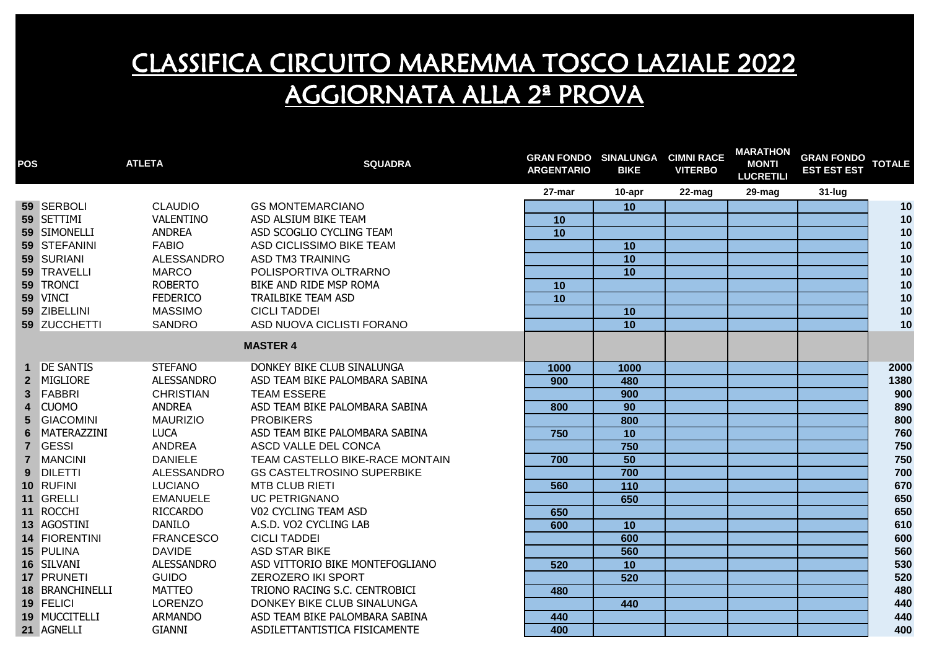| <b>POS</b>              |                  | <b>ATLETA</b>     | <b>SQUADRA</b>                    | <b>GRAN FONDO SINALUNGA</b><br><b>ARGENTARIO</b> | <b>BIKE</b>       | <b>CIMNI RACE</b><br><b>VITERBO</b> | <b>MARATHON</b><br><b>MONTI</b><br><b>LUCRETILI</b> | <b>GRAN FONDO</b><br><b>EST EST EST</b> | <b>TOTALE</b> |
|-------------------------|------------------|-------------------|-----------------------------------|--------------------------------------------------|-------------------|-------------------------------------|-----------------------------------------------------|-----------------------------------------|---------------|
|                         |                  |                   |                                   | 27-mar                                           | 10-apr            | $22$ -mag                           | 29-mag                                              | 31-lug                                  |               |
|                         | 59 SERBOLI       | <b>CLAUDIO</b>    | <b>GS MONTEMARCIANO</b>           |                                                  | 10                |                                     |                                                     |                                         | 10            |
|                         | 59 SETTIMI       | VALENTINO         | ASD ALSIUM BIKE TEAM              | 10                                               |                   |                                     |                                                     |                                         | 10            |
|                         | 59 SIMONELLI     | <b>ANDREA</b>     | ASD SCOGLIO CYCLING TEAM          | 10                                               |                   |                                     |                                                     |                                         | 10            |
|                         | 59 STEFANINI     | <b>FABIO</b>      | ASD CICLISSIMO BIKE TEAM          |                                                  | 10                |                                     |                                                     |                                         | 10            |
|                         | 59 SURIANI       | <b>ALESSANDRO</b> | <b>ASD TM3 TRAINING</b>           |                                                  | 10                |                                     |                                                     |                                         | 10            |
|                         | 59 TRAVELLI      | <b>MARCO</b>      | POLISPORTIVA OLTRARNO             |                                                  | 10                |                                     |                                                     |                                         | 10            |
|                         | 59 TRONCI        | <b>ROBERTO</b>    | BIKE AND RIDE MSP ROMA            | 10                                               |                   |                                     |                                                     |                                         | 10            |
|                         | 59 VINCI         | <b>FEDERICO</b>   | <b>TRAILBIKE TEAM ASD</b>         | 10                                               |                   |                                     |                                                     |                                         | 10            |
|                         | 59 ZIBELLINI     | <b>MASSIMO</b>    | <b>CICLI TADDEI</b>               |                                                  | 10                |                                     |                                                     |                                         | 10            |
|                         | 59 ZUCCHETTI     | <b>SANDRO</b>     | ASD NUOVA CICLISTI FORANO         |                                                  | 10                |                                     |                                                     |                                         | 10            |
|                         |                  |                   | <b>MASTER 4</b>                   |                                                  |                   |                                     |                                                     |                                         |               |
|                         | <b>DE SANTIS</b> | <b>STEFANO</b>    | DONKEY BIKE CLUB SINALUNGA        | 1000                                             | 1000              |                                     |                                                     |                                         | 2000          |
| 2 <sup>2</sup>          | MIGLIORE         | <b>ALESSANDRO</b> | ASD TEAM BIKE PALOMBARA SABINA    | 900                                              | 480               |                                     |                                                     |                                         | 1380          |
| 3 <sup>1</sup>          | FABBRI           | <b>CHRISTIAN</b>  | <b>TEAM ESSERE</b>                |                                                  | 900               |                                     |                                                     |                                         | 900           |
| $\overline{\mathbf{4}}$ | <b>CUOMO</b>     | <b>ANDREA</b>     | ASD TEAM BIKE PALOMBARA SABINA    | 800                                              | 90                |                                     |                                                     |                                         | 890           |
| 5 <sup>5</sup>          | <b>GIACOMINI</b> | <b>MAURIZIO</b>   | <b>PROBIKERS</b>                  |                                                  | 800               |                                     |                                                     |                                         | 800           |
| $6\phantom{1}$          | MATERAZZINI      | <b>LUCA</b>       | ASD TEAM BIKE PALOMBARA SABINA    | 750                                              | $\overline{10}$   |                                     |                                                     |                                         | 760           |
| $\overline{7}$          | <b>GESSI</b>     | ANDREA            | ASCD VALLE DEL CONCA              |                                                  | 750               |                                     |                                                     |                                         | 750           |
| $\overline{7}$          | <b>MANCINI</b>   | <b>DANIELE</b>    | TEAM CASTELLO BIKE-RACE MONTAIN   | 700                                              | $\overline{50}$   |                                     |                                                     |                                         | 750           |
| 9                       | <b>DILETTI</b>   | ALESSANDRO        | <b>GS CASTELTROSINO SUPERBIKE</b> |                                                  | 700               |                                     |                                                     |                                         | 700           |
|                         | 10 RUFINI        | <b>LUCIANO</b>    | <b>MTB CLUB RIETI</b>             | 560                                              | $\frac{110}{110}$ |                                     |                                                     |                                         | 670           |
|                         | 11 GRELLI        | <b>EMANUELE</b>   | <b>UC PETRIGNANO</b>              |                                                  | 650               |                                     |                                                     |                                         | 650           |
|                         | 11 ROCCHI        | <b>RICCARDO</b>   | V02 CYCLING TEAM ASD              | 650                                              |                   |                                     |                                                     |                                         | 650           |
|                         | 13 AGOSTINI      | <b>DANILO</b>     | A.S.D. VO2 CYCLING LAB            | 600                                              | 10                |                                     |                                                     |                                         | 610           |
|                         | 14 FIORENTINI    | <b>FRANCESCO</b>  | <b>CICLI TADDEI</b>               |                                                  | 600               |                                     |                                                     |                                         | 600           |
|                         | 15 PULINA        | <b>DAVIDE</b>     | <b>ASD STAR BIKE</b>              |                                                  | 560               |                                     |                                                     |                                         | 560           |
|                         | 16 SILVANI       | <b>ALESSANDRO</b> | ASD VITTORIO BIKE MONTEFOGLIANO   | 520                                              | $\overline{10}$   |                                     |                                                     |                                         | 530           |
|                         | 17 PRUNETI       | <b>GUIDO</b>      | ZEROZERO IKI SPORT                |                                                  | 520               |                                     |                                                     |                                         | 520           |
|                         | 18 BRANCHINELLI  | <b>MATTEO</b>     | TRIONO RACING S.C. CENTROBICI     | 480                                              |                   |                                     |                                                     |                                         | 480           |
|                         | 19 FELICI        | <b>LORENZO</b>    | DONKEY BIKE CLUB SINALUNGA        |                                                  | 440               |                                     |                                                     |                                         | 440           |
|                         | 19 MUCCITELLI    | <b>ARMANDO</b>    | ASD TEAM BIKE PALOMBARA SABINA    | 440                                              |                   |                                     |                                                     |                                         | 440           |
|                         | 21 AGNELLI       | <b>GIANNI</b>     | ASDILETTANTISTICA FISICAMENTE     | 400                                              |                   |                                     |                                                     |                                         | 400           |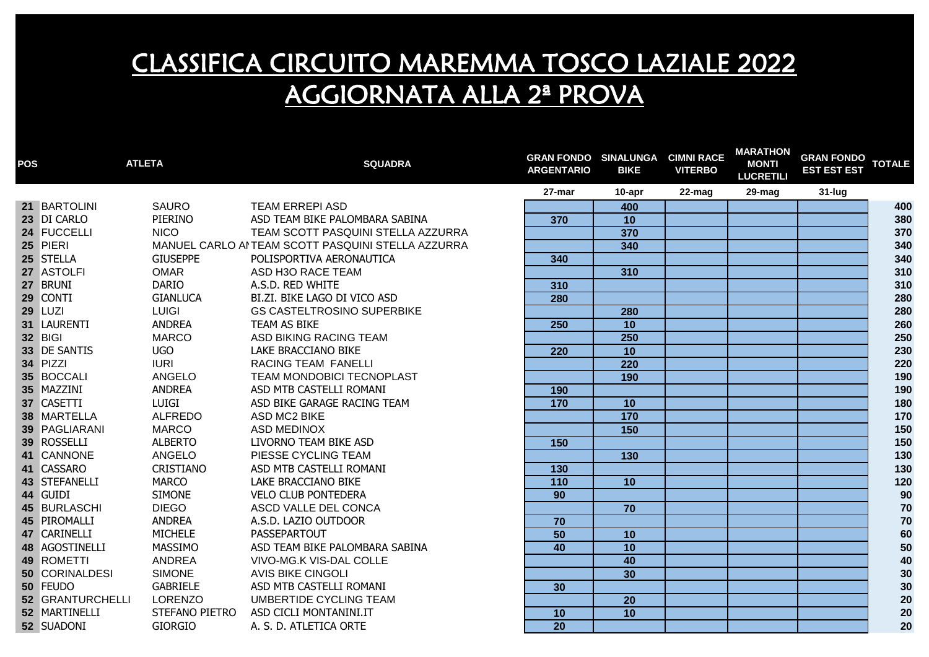| <b>POS</b> |                  | <b>ATLETA</b>   | <b>SQUADRA</b>                                     | <b>GRAN FONDO SINALUNGA CIMNI RACE</b><br><b>ARGENTARIO</b> | <b>BIKE</b>     | <b>VITERBO</b> | <b>MARATHON</b><br><b>MONTI</b><br><b>LUCRETILI</b> | GRAN FONDO TOTALE<br><b>EST EST EST</b> |     |
|------------|------------------|-----------------|----------------------------------------------------|-------------------------------------------------------------|-----------------|----------------|-----------------------------------------------------|-----------------------------------------|-----|
|            |                  |                 |                                                    | 27-mar                                                      | 10-apr          | 22-mag         | 29-mag                                              | $31$ -lug                               |     |
|            | 21 BARTOLINI     | SAURO           | <b>TEAM ERREPI ASD</b>                             |                                                             | 400             |                |                                                     |                                         | 400 |
|            | 23 DI CARLO      | PIERINO         | ASD TEAM BIKE PALOMBARA SABINA                     | 370                                                         | $\overline{10}$ |                |                                                     |                                         | 380 |
|            | 24 FUCCELLI      | <b>NICO</b>     | TEAM SCOTT PASQUINI STELLA AZZURRA                 |                                                             | 370             |                |                                                     |                                         | 370 |
|            | 25 PIERI         |                 | MANUEL CARLO AI TEAM SCOTT PASQUINI STELLA AZZURRA |                                                             | 340             |                |                                                     |                                         | 340 |
|            | 25 STELLA        | <b>GIUSEPPE</b> | POLISPORTIVA AERONAUTICA                           | 340                                                         |                 |                |                                                     |                                         | 340 |
|            | 27 ASTOLFI       | <b>OMAR</b>     | ASD H3O RACE TEAM                                  |                                                             | 310             |                |                                                     |                                         | 310 |
|            | 27 BRUNI         | <b>DARIO</b>    | A.S.D. RED WHITE                                   | 310                                                         |                 |                |                                                     |                                         | 310 |
|            | 29 CONTI         | <b>GIANLUCA</b> | BI.ZI. BIKE LAGO DI VICO ASD                       | 280                                                         |                 |                |                                                     |                                         | 280 |
|            | <b>29 LUZI</b>   | <b>LUIGI</b>    | <b>GS CASTELTROSINO SUPERBIKE</b>                  |                                                             | 280             |                |                                                     |                                         | 280 |
|            | 31 LAURENTI      | <b>ANDREA</b>   | TEAM AS BIKE                                       | 250                                                         | $\overline{10}$ |                |                                                     |                                         | 260 |
|            | 32 BIGI          | <b>MARCO</b>    | ASD BIKING RACING TEAM                             |                                                             | 250             |                |                                                     |                                         | 250 |
|            | 33 DE SANTIS     | <b>UGO</b>      | LAKE BRACCIANO BIKE                                | 220                                                         | 10              |                |                                                     |                                         | 230 |
|            | 34 PIZZI         | <b>IURI</b>     | RACING TEAM FANELLI                                |                                                             | 220             |                |                                                     |                                         | 220 |
|            | 35 BOCCALI       | <b>ANGELO</b>   | TEAM MONDOBICI TECNOPLAST                          |                                                             | 190             |                |                                                     |                                         | 190 |
|            | 35 MAZZINI       | <b>ANDREA</b>   | ASD MTB CASTELLI ROMANI                            | 190                                                         |                 |                |                                                     |                                         | 190 |
|            | 37 CASETTI       | LUIGI           | ASD BIKE GARAGE RACING TEAM                        | 170                                                         | 10              |                |                                                     |                                         | 180 |
|            | 38 MARTELLA      | ALFREDO         | <b>ASD MC2 BIKE</b>                                |                                                             | $\frac{1}{170}$ |                |                                                     |                                         | 170 |
|            | 39 PAGLIARANI    | <b>MARCO</b>    | <b>ASD MEDINOX</b>                                 |                                                             | 150             |                |                                                     |                                         | 150 |
|            | 39 ROSSELLI      | <b>ALBERTO</b>  | LIVORNO TEAM BIKE ASD                              | 150                                                         |                 |                |                                                     |                                         | 150 |
|            | 41 CANNONE       | <b>ANGELO</b>   | PIESSE CYCLING TEAM                                |                                                             | $\frac{130}{ }$ |                |                                                     |                                         | 130 |
|            | 41 CASSARO       | CRISTIANO       | ASD MTB CASTELLI ROMANI                            | 130                                                         |                 |                |                                                     |                                         | 130 |
|            | 43 STEFANELLI    | <b>MARCO</b>    | LAKE BRACCIANO BIKE                                | 110                                                         | 10              |                |                                                     |                                         | 120 |
|            | 44 GUIDI         | <b>SIMONE</b>   | <b>VELO CLUB PONTEDERA</b>                         | 90                                                          |                 |                |                                                     |                                         | 90  |
|            | 45 BURLASCHI     | <b>DIEGO</b>    | ASCD VALLE DEL CONCA                               |                                                             | 70              |                |                                                     |                                         | 70  |
|            | 45 PIROMALLI     | <b>ANDREA</b>   | A.S.D. LAZIO OUTDOOR                               | 70                                                          |                 |                |                                                     |                                         | 70  |
|            | 47 CARINELLI     | <b>MICHELE</b>  | PASSEPARTOUT                                       | 50                                                          | 10              |                |                                                     |                                         | 60  |
|            | 48 AGOSTINELLI   | MASSIMO         | ASD TEAM BIKE PALOMBARA SABINA                     | 40                                                          | $\overline{10}$ |                |                                                     |                                         | 50  |
|            | 49 ROMETTI       | ANDREA          | VIVO-MG.K VIS-DAL COLLE                            |                                                             | 40              |                |                                                     |                                         | 40  |
|            | 50 CORINALDESI   | <b>SIMONE</b>   | <b>AVIS BIKE CINGOLI</b>                           |                                                             | $\overline{30}$ |                |                                                     |                                         | 30  |
|            | 50 FEUDO         | <b>GABRIELE</b> | ASD MTB CASTELLI ROMANI                            | 30 <sup>°</sup>                                             |                 |                |                                                     |                                         | 30  |
|            | 52 GRANTURCHELLI | <b>LORENZO</b>  | UMBERTIDE CYCLING TEAM                             |                                                             | 20              |                |                                                     |                                         | 20  |
|            | 52 MARTINELLI    | STEFANO PIETRO  | ASD CICLI MONTANINI.IT                             | 10                                                          | 10              |                |                                                     |                                         | 20  |
|            | 52 SUADONI       | <b>GIORGIO</b>  | A. S. D. ATLETICA ORTE                             | $\overline{20}$                                             |                 |                |                                                     |                                         | 20  |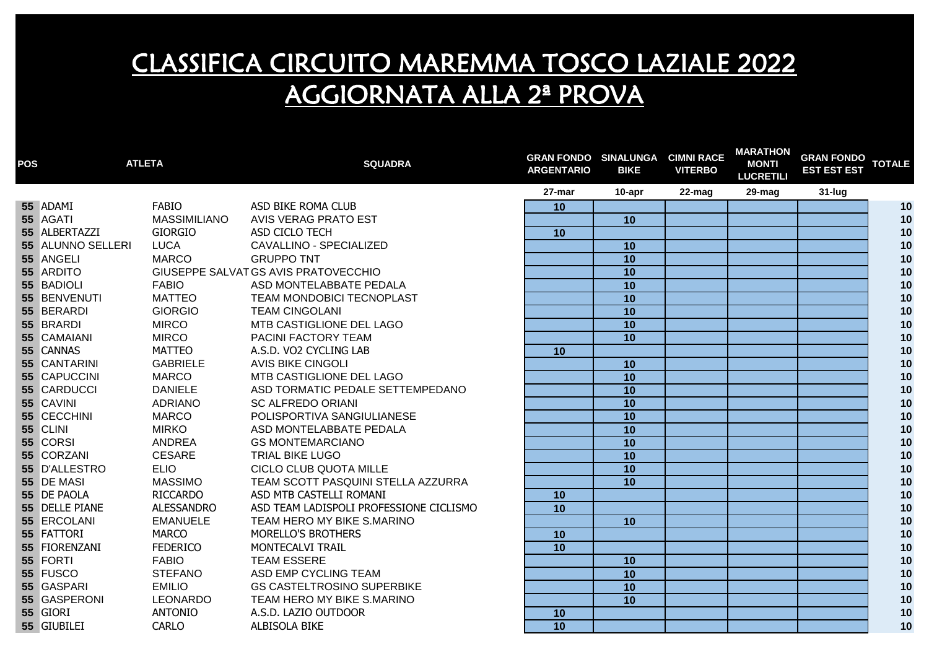| <b>POS</b> | <b>ATLETA</b>     |                     | <b>SQUADRA</b>                          | <b>GRAN FONDO SINALUNGA CIMNI RACE</b><br><b>ARGENTARIO</b> | <b>BIKE</b>     | <b>VITERBO</b> | <b>MARATHON</b><br><b>MONTI</b><br><b>LUCRETILI</b> | <b>GRAN FONDO</b><br><b>EST EST EST</b> | <b>TOTALE</b> |
|------------|-------------------|---------------------|-----------------------------------------|-------------------------------------------------------------|-----------------|----------------|-----------------------------------------------------|-----------------------------------------|---------------|
|            |                   |                     |                                         | 27-mar                                                      | 10-apr          | $22$ -mag      | 29-mag                                              | 31-lug                                  |               |
|            | 55 ADAMI          | <b>FABIO</b>        | ASD BIKE ROMA CLUB                      | 10                                                          |                 |                |                                                     |                                         | 10            |
|            | 55 AGATI          | <b>MASSIMILIANO</b> | AVIS VERAG PRATO EST                    |                                                             | 10              |                |                                                     |                                         | 10            |
|            | 55 ALBERTAZZI     | <b>GIORGIO</b>      | ASD CICLO TECH                          | 10                                                          |                 |                |                                                     |                                         | 10            |
|            | 55 ALUNNO SELLERI | LUCA                | CAVALLINO - SPECIALIZED                 |                                                             | 10              |                |                                                     |                                         | 10            |
|            | 55 ANGELI         | <b>MARCO</b>        | <b>GRUPPO TNT</b>                       |                                                             | 10              |                |                                                     |                                         | 10            |
|            | 55 ARDITO         |                     | GIUSEPPE SALVAT GS AVIS PRATOVECCHIO    |                                                             | 10              |                |                                                     |                                         | 10            |
|            | 55 BADIOLI        | <b>FABIO</b>        | ASD MONTELABBATE PEDALA                 |                                                             | 10              |                |                                                     |                                         | 10            |
|            | 55 BENVENUTI      | <b>MATTEO</b>       | TEAM MONDOBICI TECNOPLAST               |                                                             | 10              |                |                                                     |                                         | 10            |
|            | 55 BERARDI        | <b>GIORGIO</b>      | <b>TEAM CINGOLANI</b>                   |                                                             | 10              |                |                                                     |                                         | 10            |
|            | 55 BRARDI         | <b>MIRCO</b>        | MTB CASTIGLIONE DEL LAGO                |                                                             | $\overline{10}$ |                |                                                     |                                         | 10            |
|            | 55 CAMAIANI       | <b>MIRCO</b>        | PACINI FACTORY TEAM                     |                                                             | 10              |                |                                                     |                                         | 10            |
|            | 55 CANNAS         | <b>MATTEO</b>       | A.S.D. VO2 CYCLING LAB                  | 10                                                          |                 |                |                                                     |                                         | 10            |
|            | 55 CANTARINI      | <b>GABRIELE</b>     | <b>AVIS BIKE CINGOLI</b>                |                                                             | 10              |                |                                                     |                                         | 10            |
|            | 55 CAPUCCINI      | <b>MARCO</b>        | MTB CASTIGLIONE DEL LAGO                |                                                             | 10              |                |                                                     |                                         | 10            |
|            | 55 CARDUCCI       | <b>DANIELE</b>      | ASD TORMATIC PEDALE SETTEMPEDANO        |                                                             | 10              |                |                                                     |                                         | 10            |
|            | 55 CAVINI         | <b>ADRIANO</b>      | <b>SC ALFREDO ORIANI</b>                |                                                             | 10              |                |                                                     |                                         | 10            |
|            | 55 CECCHINI       | <b>MARCO</b>        | POLISPORTIVA SANGIULIANESE              |                                                             | 10              |                |                                                     |                                         | 10            |
|            | 55 CLINI          | <b>MIRKO</b>        | ASD MONTELABBATE PEDALA                 |                                                             | 10              |                |                                                     |                                         | 10            |
|            | 55 CORSI          | ANDREA              | <b>GS MONTEMARCIANO</b>                 |                                                             | 10              |                |                                                     |                                         | 10            |
|            | 55 CORZANI        | <b>CESARE</b>       | <b>TRIAL BIKE LUGO</b>                  |                                                             | 10              |                |                                                     |                                         | 10            |
|            | 55 D'ALLESTRO     | <b>ELIO</b>         | CICLO CLUB QUOTA MILLE                  |                                                             | 10              |                |                                                     |                                         | 10            |
|            | 55 DE MASI        | <b>MASSIMO</b>      | TEAM SCOTT PASQUINI STELLA AZZURRA      |                                                             | 10              |                |                                                     |                                         | 10            |
|            | 55 DE PAOLA       | RICCARDO            | ASD MTB CASTELLI ROMANI                 | 10                                                          |                 |                |                                                     |                                         | 10            |
|            | 55 DELLE PIANE    | <b>ALESSANDRO</b>   | ASD TEAM LADISPOLI PROFESSIONE CICLISMO | 10                                                          |                 |                |                                                     |                                         | 10            |
|            | 55 ERCOLANI       | <b>EMANUELE</b>     | TEAM HERO MY BIKE S.MARINO              |                                                             | 10              |                |                                                     |                                         | 10            |
|            | 55 FATTORI        | <b>MARCO</b>        | MORELLO'S BROTHERS                      | 10                                                          |                 |                |                                                     |                                         | 10            |
|            | 55 FIORENZANI     | <b>FEDERICO</b>     | MONTECALVI TRAIL                        | 10                                                          |                 |                |                                                     |                                         | 10            |
|            | 55 FORTI          | <b>FABIO</b>        | <b>TEAM ESSERE</b>                      |                                                             | 10              |                |                                                     |                                         | 10            |
|            | 55 FUSCO          | <b>STEFANO</b>      | ASD EMP CYCLING TEAM                    |                                                             | 10              |                |                                                     |                                         | 10            |
|            | 55 GASPARI        | <b>EMILIO</b>       | <b>GS CASTELTROSINO SUPERBIKE</b>       |                                                             | 10              |                |                                                     |                                         | 10            |
|            | 55 GASPERONI      | LEONARDO            | TEAM HERO MY BIKE S.MARINO              |                                                             | 10              |                |                                                     |                                         | 10            |
|            | 55 GIORI          | <b>ANTONIO</b>      | A.S.D. LAZIO OUTDOOR                    | 10                                                          |                 |                |                                                     |                                         | 10            |
|            | 55 GIUBILEI       | <b>CARLO</b>        | ALBISOLA BIKE                           | $\overline{10}$                                             |                 |                |                                                     |                                         | 10            |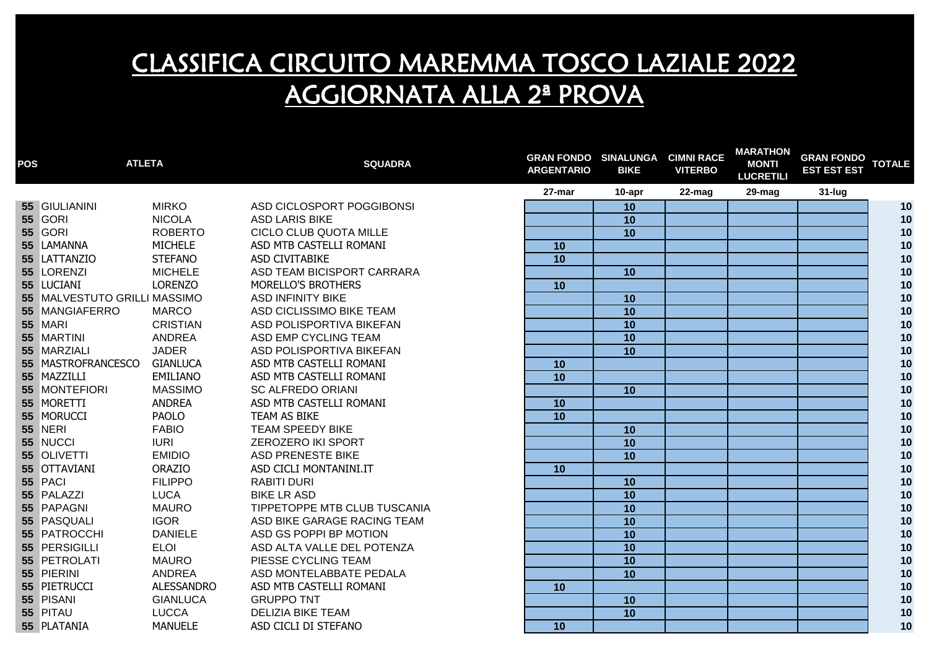| <b>POS</b> | <b>ATLETA</b>                |                   | <b>SQUADRA</b>               | <b>GRAN FONDO SINALUNGA</b><br><b>ARGENTARIO</b> | <b>BIKE</b>     | <b>CIMNI RACE</b><br><b>VITERBO</b> | <b>MARATHON</b><br><b>MONTI</b><br><b>LUCRETILI</b> | <b>GRAN FONDO</b><br><b>EST EST EST</b> | <b>TOTALE</b> |
|------------|------------------------------|-------------------|------------------------------|--------------------------------------------------|-----------------|-------------------------------------|-----------------------------------------------------|-----------------------------------------|---------------|
|            |                              |                   |                              | 27-mar                                           | 10-apr          | 22-mag                              | 29-mag                                              | 31-lug                                  |               |
|            | 55 GIULIANINI                | <b>MIRKO</b>      | ASD CICLOSPORT POGGIBONSI    |                                                  | 10              |                                     |                                                     |                                         | 10            |
|            | <b>55 GORI</b>               | <b>NICOLA</b>     | <b>ASD LARIS BIKE</b>        |                                                  | 10              |                                     |                                                     |                                         | 10            |
|            | <b>55 GORI</b>               | <b>ROBERTO</b>    | CICLO CLUB QUOTA MILLE       |                                                  | 10              |                                     |                                                     |                                         | 10            |
|            | 55 LAMANNA                   | <b>MICHELE</b>    | ASD MTB CASTELLI ROMANI      | 10                                               |                 |                                     |                                                     |                                         | 10            |
|            | 55 LATTANZIO                 | <b>STEFANO</b>    | ASD CIVITABIKE               | 10                                               |                 |                                     |                                                     |                                         | 10            |
|            | 55 LORENZI                   | <b>MICHELE</b>    | ASD TEAM BICISPORT CARRARA   |                                                  | 10              |                                     |                                                     |                                         | 10            |
|            | 55 LUCIANI                   | <b>LORENZO</b>    | MORELLO'S BROTHERS           | 10                                               |                 |                                     |                                                     |                                         | 10            |
|            | 55 MALVESTUTO GRILLI MASSIMO |                   | <b>ASD INFINITY BIKE</b>     |                                                  | 10              |                                     |                                                     |                                         | 10            |
|            | 55 MANGIAFERRO               | <b>MARCO</b>      | ASD CICLISSIMO BIKE TEAM     |                                                  | 10              |                                     |                                                     |                                         | 10            |
|            | 55 MARI                      | <b>CRISTIAN</b>   | ASD POLISPORTIVA BIKEFAN     |                                                  | $\overline{10}$ |                                     |                                                     |                                         | 10            |
|            | 55 MARTINI                   | <b>ANDREA</b>     | ASD EMP CYCLING TEAM         |                                                  | 10              |                                     |                                                     |                                         | 10            |
|            | 55 MARZIALI                  | <b>JADER</b>      | ASD POLISPORTIVA BIKEFAN     |                                                  | 10              |                                     |                                                     |                                         | 10            |
|            | 55 MASTROFRANCESCO           | <b>GIANLUCA</b>   | ASD MTB CASTELLI ROMANI      | 10                                               |                 |                                     |                                                     |                                         | $10$          |
|            | 55 MAZZILLI                  | EMILIANO          | ASD MTB CASTELLI ROMANI      | 10                                               |                 |                                     |                                                     |                                         | $10$          |
|            | 55 MONTEFIORI                | <b>MASSIMO</b>    | <b>SC ALFREDO ORIANI</b>     |                                                  | 10              |                                     |                                                     |                                         | $10$          |
|            | 55 MORETTI                   | <b>ANDREA</b>     | ASD MTB CASTELLI ROMANI      | 10                                               |                 |                                     |                                                     |                                         | $10$          |
|            | 55 MORUCCI                   | <b>PAOLO</b>      | TEAM AS BIKE                 | $\overline{10}$                                  |                 |                                     |                                                     |                                         | $10$          |
|            | <b>55 NERI</b>               | <b>FABIO</b>      | <b>TEAM SPEEDY BIKE</b>      |                                                  | 10              |                                     |                                                     |                                         | $10$          |
|            | 55 NUCCI                     | <b>IURI</b>       | ZEROZERO IKI SPORT           |                                                  | 10              |                                     |                                                     |                                         | $10$          |
|            | 55 OLIVETTI                  | <b>EMIDIO</b>     | <b>ASD PRENESTE BIKE</b>     |                                                  | 10              |                                     |                                                     |                                         | 10            |
|            | 55 OTTAVIANI                 | <b>ORAZIO</b>     | ASD CICLI MONTANINI.IT       | 10                                               |                 |                                     |                                                     |                                         | 10            |
|            | 55 PACI                      | <b>FILIPPO</b>    | <b>RABITI DURI</b>           |                                                  | 10              |                                     |                                                     |                                         | $10$          |
|            | 55 PALAZZI                   | <b>LUCA</b>       | <b>BIKE LR ASD</b>           |                                                  | 10              |                                     |                                                     |                                         | 10            |
|            | 55 PAPAGNI                   | MAURO             | TIPPETOPPE MTB CLUB TUSCANIA |                                                  | 10              |                                     |                                                     |                                         | 10            |
|            | 55 PASQUALI                  | <b>IGOR</b>       | ASD BIKE GARAGE RACING TEAM  |                                                  | 10              |                                     |                                                     |                                         | 10            |
|            | 55 PATROCCHI                 | <b>DANIELE</b>    | ASD GS POPPI BP MOTION       |                                                  | 10              |                                     |                                                     |                                         | 10            |
|            | 55 PERSIGILLI                | <b>ELOI</b>       | ASD ALTA VALLE DEL POTENZA   |                                                  | 10              |                                     |                                                     |                                         | 10            |
|            | 55 PETROLATI                 | <b>MAURO</b>      | PIESSE CYCLING TEAM          |                                                  | 10              |                                     |                                                     |                                         | 10            |
|            | 55 PIERINI                   | ANDREA            | ASD MONTELABBATE PEDALA      |                                                  | 10              |                                     |                                                     |                                         | 10            |
|            | 55 PIETRUCCI                 | <b>ALESSANDRO</b> | ASD MTB CASTELLI ROMANI      | 10                                               |                 |                                     |                                                     |                                         | 10            |
|            | 55 PISANI                    | <b>GIANLUCA</b>   | <b>GRUPPO TNT</b>            |                                                  | 10              |                                     |                                                     |                                         | 10            |
|            | 55 PITAU                     | <b>LUCCA</b>      | <b>DELIZIA BIKE TEAM</b>     |                                                  | 10              |                                     |                                                     |                                         | 10            |
|            | 55 PLATANIA                  | <b>MANUELE</b>    | ASD CICLI DI STEFANO         | 10                                               |                 |                                     |                                                     |                                         | 10            |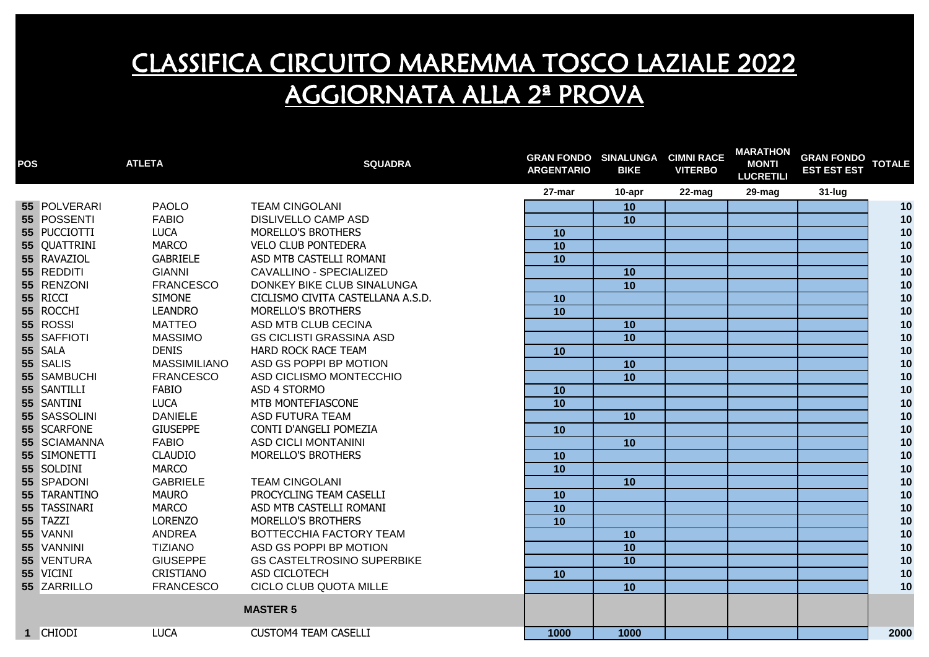| <b>POS</b> |              | <b>ATLETA</b>       | <b>SQUADRA</b>                    | <b>GRAN FONDO SINALUNGA CIMNI RACE</b><br><b>ARGENTARIO</b> | <b>BIKE</b>     | <b>VITERBO</b> | <b>MARATHON</b><br><b>MONTI</b><br><b>LUCRETILI</b> | <b>GRAN FONDO</b><br><b>EST EST EST</b> | <b>TOTALE</b> |
|------------|--------------|---------------------|-----------------------------------|-------------------------------------------------------------|-----------------|----------------|-----------------------------------------------------|-----------------------------------------|---------------|
|            |              |                     |                                   | 27-mar                                                      | 10-apr          | 22-mag         | 29-mag                                              | $31$ -lug                               |               |
|            | 55 POLVERARI | <b>PAOLO</b>        | <b>TEAM CINGOLANI</b>             |                                                             | 10              |                |                                                     |                                         | 10            |
|            | 55 POSSENTI  | <b>FABIO</b>        | <b>DISLIVELLO CAMP ASD</b>        |                                                             | 10              |                |                                                     |                                         | 10            |
|            | 55 PUCCIOTTI | <b>LUCA</b>         | MORELLO'S BROTHERS                | 10                                                          |                 |                |                                                     |                                         | 10            |
|            | 55 QUATTRINI | <b>MARCO</b>        | <b>VELO CLUB PONTEDERA</b>        | $\overline{10}$                                             |                 |                |                                                     |                                         | 10            |
|            | 55 RAVAZIOL  | <b>GABRIELE</b>     | ASD MTB CASTELLI ROMANI           | $\overline{10}$                                             |                 |                |                                                     |                                         | 10            |
|            | 55 REDDITI   | <b>GIANNI</b>       | CAVALLINO - SPECIALIZED           |                                                             | 10              |                |                                                     |                                         | 10            |
|            | 55 RENZONI   | <b>FRANCESCO</b>    | DONKEY BIKE CLUB SINALUNGA        |                                                             | $\overline{10}$ |                |                                                     |                                         | 10            |
|            | 55 RICCI     | <b>SIMONE</b>       | CICLISMO CIVITA CASTELLANA A.S.D. | 10                                                          |                 |                |                                                     |                                         | 10            |
|            | 55 ROCCHI    | <b>LEANDRO</b>      | MORELLO'S BROTHERS                | $\overline{10}$                                             |                 |                |                                                     |                                         | 10            |
|            | 55 ROSSI     | <b>MATTEO</b>       | ASD MTB CLUB CECINA               |                                                             | 10              |                |                                                     |                                         | 10            |
|            | 55 SAFFIOTI  | <b>MASSIMO</b>      | <b>GS CICLISTI GRASSINA ASD</b>   |                                                             | 10              |                |                                                     |                                         | 10            |
|            | 55 SALA      | <b>DENIS</b>        | HARD ROCK RACE TEAM               | 10                                                          |                 |                |                                                     |                                         | 10            |
|            | 55 SALIS     | <b>MASSIMILIANO</b> | ASD GS POPPI BP MOTION            |                                                             | 10              |                |                                                     |                                         | 10            |
|            | 55 SAMBUCHI  | <b>FRANCESCO</b>    | ASD CICLISMO MONTECCHIO           |                                                             | 10              |                |                                                     |                                         | 10            |
|            | 55 SANTILLI  | <b>FABIO</b>        | ASD 4 STORMO                      | 10                                                          |                 |                |                                                     |                                         | 10            |
|            | 55 SANTINI   | <b>LUCA</b>         | MTB MONTEFIASCONE                 | 10                                                          |                 |                |                                                     |                                         | 10            |
|            | 55 SASSOLINI | <b>DANIELE</b>      | <b>ASD FUTURA TEAM</b>            |                                                             | 10              |                |                                                     |                                         | 10            |
|            | 55 SCARFONE  | <b>GIUSEPPE</b>     | CONTI D'ANGELI POMEZIA            | 10                                                          |                 |                |                                                     |                                         | 10            |
|            | 55 SCIAMANNA | <b>FABIO</b>        | <b>ASD CICLI MONTANINI</b>        |                                                             | 10              |                |                                                     |                                         | 10            |
|            | 55 SIMONETTI | <b>CLAUDIO</b>      | MORELLO'S BROTHERS                | 10                                                          |                 |                |                                                     |                                         | 10            |
|            | 55 SOLDINI   | <b>MARCO</b>        |                                   | 10                                                          |                 |                |                                                     |                                         | 10            |
|            | 55 SPADONI   | <b>GABRIELE</b>     | <b>TEAM CINGOLANI</b>             |                                                             | 10              |                |                                                     |                                         | 10            |
|            | 55 TARANTINO | <b>MAURO</b>        | PROCYCLING TEAM CASELLI           | 10                                                          |                 |                |                                                     |                                         | 10            |
|            | 55 TASSINARI | <b>MARCO</b>        | ASD MTB CASTELLI ROMANI           | 10                                                          |                 |                |                                                     |                                         | 10            |
|            | 55 TAZZI     | <b>LORENZO</b>      | MORELLO'S BROTHERS                | 10                                                          |                 |                |                                                     |                                         | 10            |
|            | 55 VANNI     | <b>ANDREA</b>       | BOTTECCHIA FACTORY TEAM           |                                                             | 10              |                |                                                     |                                         | 10            |
|            | 55 VANNINI   | <b>TIZIANO</b>      | ASD GS POPPI BP MOTION            |                                                             | 10              |                |                                                     |                                         | 10            |
|            | 55 VENTURA   | <b>GIUSEPPE</b>     | <b>GS CASTELTROSINO SUPERBIKE</b> |                                                             | 10              |                |                                                     |                                         | 10            |
|            | 55 VICINI    | <b>CRISTIANO</b>    | ASD CICLOTECH                     | 10                                                          |                 |                |                                                     |                                         | 10            |
|            | 55 ZARRILLO  | <b>FRANCESCO</b>    | CICLO CLUB QUOTA MILLE            |                                                             | 10              |                |                                                     |                                         | 10            |
|            |              |                     | <b>MASTER 5</b>                   |                                                             |                 |                |                                                     |                                         |               |
|            | 1 CHIODI     | <b>LUCA</b>         | <b>CUSTOM4 TEAM CASELLI</b>       | 1000                                                        | 1000            |                |                                                     |                                         | 2000          |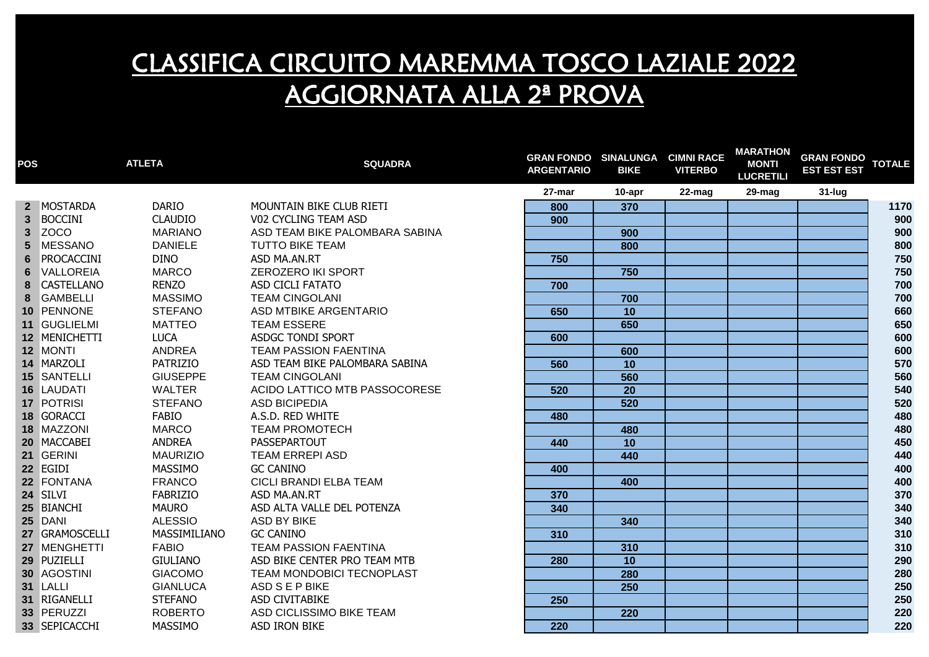| <b>POS</b>     |                   | <b>ATLETA</b>   | <b>SQUADRA</b>                 | <b>GRAN FONDO SINALUNGA CIMNI RACE</b><br><b>ARGENTARIO</b> | <b>BIKE</b> | <b>VITERBO</b> | <b>MARATHON</b><br><b>MONTI</b><br><b>LUCRETILI</b> | GRAN FONDO TOTALE<br><b>EST EST EST</b> |      |
|----------------|-------------------|-----------------|--------------------------------|-------------------------------------------------------------|-------------|----------------|-----------------------------------------------------|-----------------------------------------|------|
|                |                   |                 |                                | 27-mar                                                      | 10-apr      | 22-mag         | 29-mag                                              | $31$ -lug                               |      |
|                | 2 MOSTARDA        | <b>DARIO</b>    | MOUNTAIN BIKE CLUB RIETI       | 800                                                         | 370         |                |                                                     |                                         | 1170 |
|                | 3 BOCCINI         | <b>CLAUDIO</b>  | V02 CYCLING TEAM ASD           | 900                                                         |             |                |                                                     |                                         | 900  |
| 3              | ZOCO              | <b>MARIANO</b>  | ASD TEAM BIKE PALOMBARA SABINA |                                                             | 900         |                |                                                     |                                         | 900  |
| 5 <sup>5</sup> | <b>MESSANO</b>    | <b>DANIELE</b>  | <b>TUTTO BIKE TEAM</b>         |                                                             | 800         |                |                                                     |                                         | 800  |
| 6              | PROCACCINI        | <b>DINO</b>     | ASD MA.AN.RT                   | 750                                                         |             |                |                                                     |                                         | 750  |
| 6              | <b>VALLOREIA</b>  | <b>MARCO</b>    | <b>ZEROZERO IKI SPORT</b>      |                                                             | 750         |                |                                                     |                                         | 750  |
| 8              | <b>CASTELLANO</b> | <b>RENZO</b>    | ASD CICLI FATATO               | 700                                                         |             |                |                                                     |                                         | 700  |
| 8              | <b>GAMBELLI</b>   | <b>MASSIMO</b>  | <b>TEAM CINGOLANI</b>          |                                                             | 700         |                |                                                     |                                         | 700  |
|                | 10 PENNONE        | <b>STEFANO</b>  | ASD MTBIKE ARGENTARIO          | 650                                                         | 10          |                |                                                     |                                         | 660  |
|                | 11 GUGLIELMI      | <b>MATTEO</b>   | <b>TEAM ESSERE</b>             |                                                             | 650         |                |                                                     |                                         | 650  |
|                | 12 MENICHETTI     | <b>LUCA</b>     | <b>ASDGC TONDI SPORT</b>       | 600                                                         |             |                |                                                     |                                         | 600  |
|                | 12 MONTI          | ANDREA          | <b>TEAM PASSION FAENTINA</b>   |                                                             | 600         |                |                                                     |                                         | 600  |
|                | 14 MARZOLI        | <b>PATRIZIO</b> | ASD TEAM BIKE PALOMBARA SABINA | 560                                                         | 10          |                |                                                     |                                         | 570  |
|                | 15 SANTELLI       | <b>GIUSEPPE</b> | <b>TEAM CINGOLANI</b>          |                                                             | 560         |                |                                                     |                                         | 560  |
|                | 16 LAUDATI        | WALTER          | ACIDO LATTICO MTB PASSOCORESE  | 520                                                         | 20          |                |                                                     |                                         | 540  |
|                | 17 POTRISI        | <b>STEFANO</b>  | <b>ASD BICIPEDIA</b>           |                                                             | 520         |                |                                                     |                                         | 520  |
|                | 18 GORACCI        | <b>FABIO</b>    | A.S.D. RED WHITE               | 480                                                         |             |                |                                                     |                                         | 480  |
|                | 18 MAZZONI        | <b>MARCO</b>    | <b>TEAM PROMOTECH</b>          |                                                             | 480         |                |                                                     |                                         | 480  |
|                | 20 MACCABEI       | <b>ANDREA</b>   | PASSEPARTOUT                   | 440                                                         | 10          |                |                                                     |                                         | 450  |
|                | 21 GERINI         | <b>MAURIZIO</b> | <b>TEAM ERREPI ASD</b>         |                                                             | 440         |                |                                                     |                                         | 440  |
|                | 22 EGIDI          | MASSIMO         | <b>GC CANINO</b>               | 400                                                         |             |                |                                                     |                                         | 400  |
|                | 22 FONTANA        | <b>FRANCO</b>   | CICLI BRANDI ELBA TEAM         |                                                             | 400         |                |                                                     |                                         | 400  |
|                | 24 SILVI          | <b>FABRIZIO</b> | ASD MA.AN.RT                   | 370                                                         |             |                |                                                     |                                         | 370  |
|                | 25 BIANCHI        | <b>MAURO</b>    | ASD ALTA VALLE DEL POTENZA     | 340                                                         |             |                |                                                     |                                         | 340  |
|                | 25 DANI           | <b>ALESSIO</b>  | <b>ASD BY BIKE</b>             |                                                             | 340         |                |                                                     |                                         | 340  |
|                | 27 GRAMOSCELLI    | MASSIMILIANO    | <b>GC CANINO</b>               | 310                                                         |             |                |                                                     |                                         | 310  |
|                | 27 MENGHETTI      | <b>FABIO</b>    | <b>TEAM PASSION FAENTINA</b>   |                                                             | 310         |                |                                                     |                                         | 310  |
|                | 29 PUZIELLI       | GIULIANO        | ASD BIKE CENTER PRO TEAM MTB   | 280                                                         | 10          |                |                                                     |                                         | 290  |
|                | 30 AGOSTINI       | <b>GIACOMO</b>  | TEAM MONDOBICI TECNOPLAST      |                                                             | 280         |                |                                                     |                                         | 280  |
|                | 31 LALLI          | <b>GIANLUCA</b> | ASD S E P BIKE                 |                                                             | 250         |                |                                                     |                                         | 250  |
|                | 31 RIGANELLI      | <b>STEFANO</b>  | ASD CIVITABIKE                 | 250                                                         |             |                |                                                     |                                         | 250  |
|                | 33 PERUZZI        | <b>ROBERTO</b>  | ASD CICLISSIMO BIKE TEAM       |                                                             | 220         |                |                                                     |                                         | 220  |
|                | 33 SEPICACCHI     | <b>MASSIMO</b>  | <b>ASD IRON BIKE</b>           | 220                                                         |             |                |                                                     |                                         | 220  |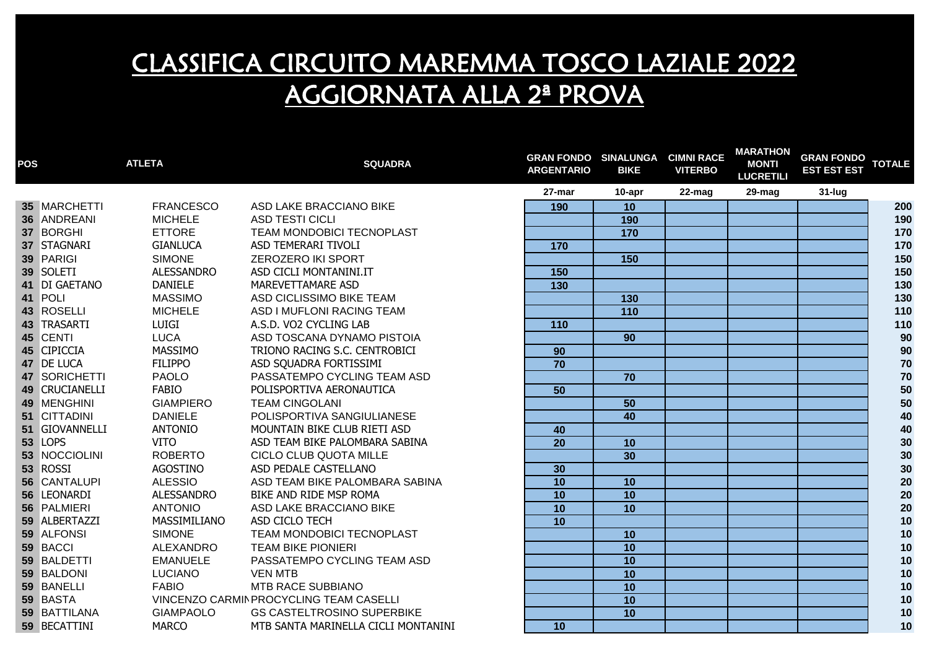| <b>POS</b> |                | <b>ATLETA</b>     | <b>SQUADRA</b>                          | <b>GRAN FONDO SINALUNGA CIMNI RACE</b><br><b>ARGENTARIO</b> | <b>BIKE</b>     | <b>VITERBO</b> | <b>MARATHON</b><br><b>MONTI</b><br><b>LUCRETILI</b> | <b>GRAN FONDO</b><br><b>EST EST EST</b> | <b>TOTALE</b> |
|------------|----------------|-------------------|-----------------------------------------|-------------------------------------------------------------|-----------------|----------------|-----------------------------------------------------|-----------------------------------------|---------------|
|            |                |                   |                                         | 27-mar                                                      | 10-apr          | 22-mag         | 29-mag                                              | $31$ -lug                               |               |
|            | 35 MARCHETTI   | <b>FRANCESCO</b>  | ASD LAKE BRACCIANO BIKE                 | 190                                                         | 10              |                |                                                     |                                         | 200           |
|            | 36 ANDREANI    | <b>MICHELE</b>    | <b>ASD TESTI CICLI</b>                  |                                                             | 190             |                |                                                     |                                         | 190           |
|            | 37 BORGHI      | <b>ETTORE</b>     | TEAM MONDOBICI TECNOPLAST               |                                                             | 170             |                |                                                     |                                         | 170           |
|            | 37 STAGNARI    | <b>GIANLUCA</b>   | ASD TEMERARI TIVOLI                     | 170                                                         |                 |                |                                                     |                                         | 170           |
|            | 39 PARIGI      | <b>SIMONE</b>     | ZEROZERO IKI SPORT                      |                                                             | 150             |                |                                                     |                                         | 150           |
|            | 39 SOLETI      | <b>ALESSANDRO</b> | ASD CICLI MONTANINI.IT                  | 150                                                         |                 |                |                                                     |                                         | 150           |
|            | 41 DI GAETANO  | <b>DANIELE</b>    | MAREVETTAMARE ASD                       | $\overline{130}$                                            |                 |                |                                                     |                                         | 130           |
|            | 41 POLI        | <b>MASSIMO</b>    | ASD CICLISSIMO BIKE TEAM                |                                                             | 130             |                |                                                     |                                         | 130           |
|            | 43 ROSELLI     | <b>MICHELE</b>    | ASD I MUFLONI RACING TEAM               |                                                             | 110             |                |                                                     |                                         | 110           |
|            | 43 TRASARTI    | LUIGI             | A.S.D. VO2 CYCLING LAB                  | 110                                                         |                 |                |                                                     |                                         | 110           |
|            | 45 CENTI       | LUCA              | ASD TOSCANA DYNAMO PISTOIA              |                                                             | 90              |                |                                                     |                                         | 90            |
|            | 45 CIPICCIA    | MASSIMO           | TRIONO RACING S.C. CENTROBICI           | 90                                                          |                 |                |                                                     |                                         | 90            |
|            | 47 DE LUCA     | <b>FILIPPO</b>    | ASD SQUADRA FORTISSIMI                  | $\overline{70}$                                             |                 |                |                                                     |                                         | $70\,$        |
|            | 47 SORICHETTI  | <b>PAOLO</b>      | PASSATEMPO CYCLING TEAM ASD             |                                                             | 70              |                |                                                     |                                         | $70\,$        |
|            | 49 CRUCIANELLI | <b>FABIO</b>      | POLISPORTIVA AERONAUTICA                | 50                                                          |                 |                |                                                     |                                         | $50\,$        |
|            | 49 MENGHINI    | <b>GIAMPIERO</b>  | <b>TEAM CINGOLANI</b>                   |                                                             | 50              |                |                                                     |                                         | 50            |
|            | 51 CITTADINI   | <b>DANIELE</b>    | POLISPORTIVA SANGIULIANESE              |                                                             | 40              |                |                                                     |                                         | 40            |
|            | 51 GIOVANNELLI | ANTONIO           | MOUNTAIN BIKE CLUB RIETI ASD            | 40                                                          |                 |                |                                                     |                                         | 40            |
|            | 53 LOPS        | <b>VITO</b>       | ASD TEAM BIKE PALOMBARA SABINA          | $\overline{20}$                                             | 10              |                |                                                     |                                         | 30            |
|            | 53 NOCCIOLINI  | <b>ROBERTO</b>    | CICLO CLUB QUOTA MILLE                  |                                                             | 30              |                |                                                     |                                         | 30            |
|            | 53 ROSSI       | AGOSTINO          | ASD PEDALE CASTELLANO                   | 30                                                          |                 |                |                                                     |                                         | 30            |
|            | 56 CANTALUPI   | <b>ALESSIO</b>    | ASD TEAM BIKE PALOMBARA SABINA          | 10                                                          | 10              |                |                                                     |                                         | 20            |
|            | 56 LEONARDI    | <b>ALESSANDRO</b> | BIKE AND RIDE MSP ROMA                  | 10                                                          | 10              |                |                                                     |                                         | 20            |
|            | 56 PALMIERI    | <b>ANTONIO</b>    | ASD LAKE BRACCIANO BIKE                 | $\overline{10}$                                             | $\overline{10}$ |                |                                                     |                                         | 20            |
|            | 59 ALBERTAZZI  | MASSIMILIANO      | ASD CICLO TECH                          | 10                                                          |                 |                |                                                     |                                         | 10            |
|            | 59 ALFONSI     | <b>SIMONE</b>     | TEAM MONDOBICI TECNOPLAST               |                                                             | 10              |                |                                                     |                                         | 10            |
|            | 59 BACCI       | ALEXANDRO         | <b>TEAM BIKE PIONIERI</b>               |                                                             | $\overline{10}$ |                |                                                     |                                         | 10            |
|            | 59 BALDETTI    | <b>EMANUELE</b>   | PASSATEMPO CYCLING TEAM ASD             |                                                             | 10              |                |                                                     |                                         | 10            |
|            | 59 BALDONI     | <b>LUCIANO</b>    | <b>VEN MTB</b>                          |                                                             | 10              |                |                                                     |                                         | 10            |
|            | 59 BANELLI     | <b>FABIO</b>      | MTB RACE SUBBIANO                       |                                                             | 10              |                |                                                     |                                         | 10            |
|            | 59 BASTA       |                   | VINCENZO CARMIN PROCYCLING TEAM CASELLI |                                                             | 10              |                |                                                     |                                         | 10            |
|            | 59 BATTILANA   | <b>GIAMPAOLO</b>  | <b>GS CASTELTROSINO SUPERBIKE</b>       |                                                             | 10              |                |                                                     |                                         | 10            |
|            | 59 BECATTINI   | <b>MARCO</b>      | MTB SANTA MARINELLA CICLI MONTANINI     | 10                                                          |                 |                |                                                     |                                         | 10            |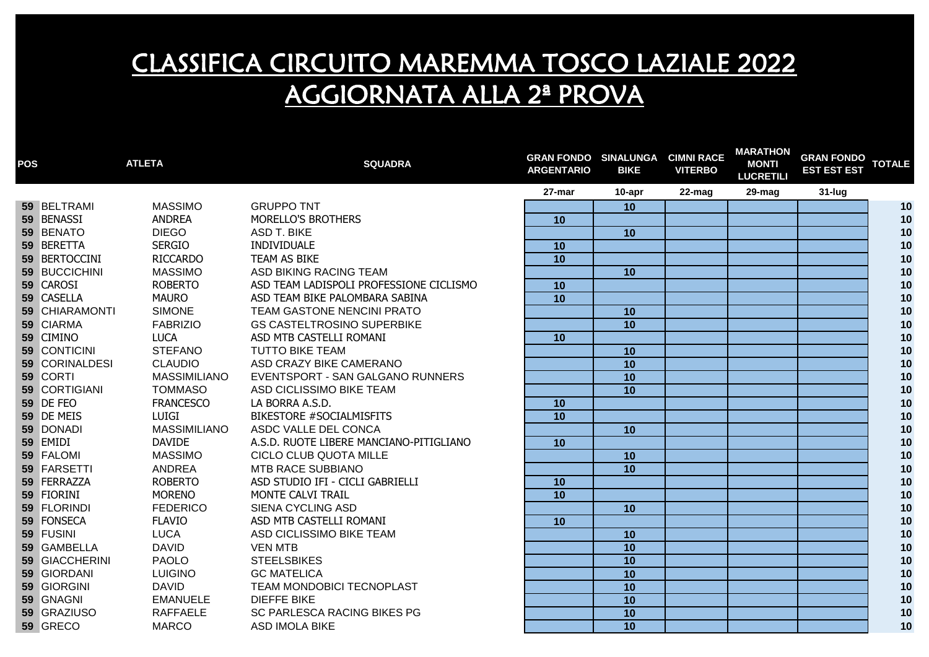| <b>POS</b> |                       | <b>ATLETA</b>       | <b>SQUADRA</b>                          | <b>GRAN FONDO SINALUNGA</b><br><b>ARGENTARIO</b> | <b>BIKE</b>     | <b>CIMNI RACE</b><br><b>VITERBO</b> | <b>MARATHON</b><br><b>MONTI</b><br><b>LUCRETILI</b> | <b>GRAN FONDO</b><br><b>EST EST EST</b> | <b>TOTALE</b> |
|------------|-----------------------|---------------------|-----------------------------------------|--------------------------------------------------|-----------------|-------------------------------------|-----------------------------------------------------|-----------------------------------------|---------------|
|            |                       |                     |                                         | 27-mar                                           | 10-apr          | 22-mag                              | 29-mag                                              | 31-lug                                  |               |
|            | 59 BELTRAMI           | <b>MASSIMO</b>      | <b>GRUPPO TNT</b>                       |                                                  | 10              |                                     |                                                     |                                         | 10            |
|            | 59 BENASSI            | <b>ANDREA</b>       | MORELLO'S BROTHERS                      | 10                                               |                 |                                     |                                                     |                                         | 10            |
|            | 59 BENATO             | <b>DIEGO</b>        | <b>ASD T. BIKE</b>                      |                                                  | 10              |                                     |                                                     |                                         | 10            |
|            | 59 BERETTA            | <b>SERGIO</b>       | INDIVIDUALE                             | 10                                               |                 |                                     |                                                     |                                         | 10            |
|            | 59 BERTOCCINI         | <b>RICCARDO</b>     | TEAM AS BIKE                            | 10                                               |                 |                                     |                                                     |                                         | 10            |
|            | 59 BUCCICHINI         | <b>MASSIMO</b>      | ASD BIKING RACING TEAM                  |                                                  | 10              |                                     |                                                     |                                         | 10            |
|            | 59 CAROSI             | <b>ROBERTO</b>      | ASD TEAM LADISPOLI PROFESSIONE CICLISMO | 10                                               |                 |                                     |                                                     |                                         | 10            |
|            | 59 CASELLA            | <b>MAURO</b>        | ASD TEAM BIKE PALOMBARA SABINA          | 10                                               |                 |                                     |                                                     |                                         | 10            |
|            | <b>59 CHIARAMONTI</b> | <b>SIMONE</b>       | TEAM GASTONE NENCINI PRATO              |                                                  | 10              |                                     |                                                     |                                         | 10            |
|            | 59 CIARMA             | <b>FABRIZIO</b>     | <b>GS CASTELTROSINO SUPERBIKE</b>       |                                                  | $\overline{10}$ |                                     |                                                     |                                         | 10            |
|            | 59 CIMINO             | <b>LUCA</b>         | ASD MTB CASTELLI ROMANI                 | 10                                               |                 |                                     |                                                     |                                         | 10            |
|            | 59 CONTICINI          | <b>STEFANO</b>      | <b>TUTTO BIKE TEAM</b>                  |                                                  | 10              |                                     |                                                     |                                         | 10            |
|            | 59 CORINALDESI        | <b>CLAUDIO</b>      | ASD CRAZY BIKE CAMERANO                 |                                                  | 10              |                                     |                                                     |                                         | 10            |
|            | 59 CORTI              | <b>MASSIMILIANO</b> | EVENTSPORT - SAN GALGANO RUNNERS        |                                                  | 10              |                                     |                                                     |                                         | 10            |
|            | 59 CORTIGIANI         | <b>TOMMASO</b>      | ASD CICLISSIMO BIKE TEAM                |                                                  | 10              |                                     |                                                     |                                         | 10            |
|            | <b>59 DE FEO</b>      | <b>FRANCESCO</b>    | LA BORRA A.S.D.                         | 10                                               |                 |                                     |                                                     |                                         | 10            |
|            | 59 DE MEIS            | Luigi               | <b>BIKESTORE #SOCIALMISFITS</b>         | $\overline{10}$                                  |                 |                                     |                                                     |                                         | 10            |
|            | 59 DONADI             | <b>MASSIMILIANO</b> | ASDC VALLE DEL CONCA                    |                                                  | 10              |                                     |                                                     |                                         | 10            |
|            | 59 EMIDI              | <b>DAVIDE</b>       | A.S.D. RUOTE LIBERE MANCIANO-PITIGLIANO | 10                                               |                 |                                     |                                                     |                                         | 10            |
|            | 59 FALOMI             | <b>MASSIMO</b>      | CICLO CLUB QUOTA MILLE                  |                                                  | 10              |                                     |                                                     |                                         | 10            |
|            | 59 FARSETTI           | ANDREA              | <b>MTB RACE SUBBIANO</b>                |                                                  | $\overline{10}$ |                                     |                                                     |                                         | 10            |
|            | 59 FERRAZZA           | <b>ROBERTO</b>      | ASD STUDIO IFI - CICLI GABRIELLI        | 10                                               |                 |                                     |                                                     |                                         | 10            |
|            | 59 FIORINI            | <b>MORENO</b>       | <b>MONTE CALVI TRAIL</b>                | 10                                               |                 |                                     |                                                     |                                         | 10            |
|            | 59 FLORINDI           | <b>FEDERICO</b>     | SIENA CYCLING ASD                       |                                                  | 10              |                                     |                                                     |                                         | 10            |
|            | 59 FONSECA            | <b>FLAVIO</b>       | ASD MTB CASTELLI ROMANI                 | 10                                               |                 |                                     |                                                     |                                         | 10            |
|            | 59 FUSINI             | <b>LUCA</b>         | ASD CICLISSIMO BIKE TEAM                |                                                  | 10              |                                     |                                                     |                                         | 10            |
|            | 59 GAMBELLA           | <b>DAVID</b>        | <b>VEN MTB</b>                          |                                                  | 10              |                                     |                                                     |                                         | 10            |
|            | 59 GIACCHERINI        | <b>PAOLO</b>        | <b>STEELSBIKES</b>                      |                                                  | 10              |                                     |                                                     |                                         | 10            |
|            | 59 GIORDANI           | <b>LUIGINO</b>      | <b>GC MATELICA</b>                      |                                                  | 10              |                                     |                                                     |                                         | 10            |
|            | 59 GIORGINI           | <b>DAVID</b>        | TEAM MONDOBICI TECNOPLAST               |                                                  | 10              |                                     |                                                     |                                         | 10            |
|            | 59 GNAGNI             | <b>EMANUELE</b>     | <b>DIEFFE BIKE</b>                      |                                                  | 10              |                                     |                                                     |                                         | 10            |
|            | 59 GRAZIUSO           | <b>RAFFAELE</b>     | SC PARLESCA RACING BIKES PG             |                                                  | 10              |                                     |                                                     |                                         | 10            |
|            | 59 GRECO              | <b>MARCO</b>        | <b>ASD IMOLA BIKE</b>                   |                                                  | 10              |                                     |                                                     |                                         | 10            |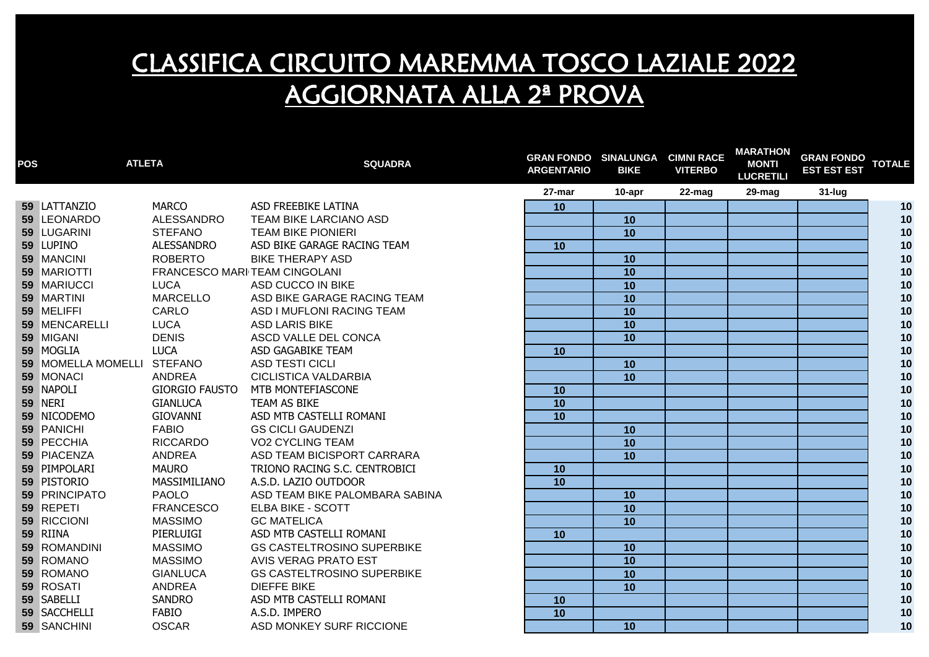| <b>POS</b> | <b>ATLETA</b>              |                       | <b>SQUADRA</b>                    | <b>GRAN FONDO SINALUNGA</b><br><b>ARGENTARIO</b> | <b>BIKE</b>     | <b>CIMNI RACE</b><br><b>VITERBO</b> | <b>MARATHON</b><br><b>MONTI</b><br><b>LUCRETILI</b> | <b>GRAN FONDO</b><br><b>EST EST EST</b> | <b>TOTALE</b> |
|------------|----------------------------|-----------------------|-----------------------------------|--------------------------------------------------|-----------------|-------------------------------------|-----------------------------------------------------|-----------------------------------------|---------------|
|            |                            |                       |                                   | 27-mar                                           | 10-apr          | 22-mag                              | 29-mag                                              | $31$ -lug                               |               |
|            | 59 LATTANZIO               | <b>MARCO</b>          | ASD FREEBIKE LATINA               | 10                                               |                 |                                     |                                                     |                                         | 10            |
|            | 59 LEONARDO                | ALESSANDRO            | TEAM BIKE LARCIANO ASD            |                                                  | 10              |                                     |                                                     |                                         | 10            |
|            | 59 LUGARINI                | <b>STEFANO</b>        | <b>TEAM BIKE PIONIERI</b>         |                                                  | 10              |                                     |                                                     |                                         | 10            |
|            | 59 LUPINO                  | <b>ALESSANDRO</b>     | ASD BIKE GARAGE RACING TEAM       | 10                                               |                 |                                     |                                                     |                                         | 10            |
|            | 59 MANCINI                 | <b>ROBERTO</b>        | <b>BIKE THERAPY ASD</b>           |                                                  | 10              |                                     |                                                     |                                         | 10            |
|            | 59 MARIOTTI                |                       | FRANCESCO MARI TEAM CINGOLANI     |                                                  | 10              |                                     |                                                     |                                         | 10            |
|            | 59 MARIUCCI                | <b>LUCA</b>           | ASD CUCCO IN BIKE                 |                                                  | 10              |                                     |                                                     |                                         | $10$          |
|            | 59 MARTINI                 | <b>MARCELLO</b>       | ASD BIKE GARAGE RACING TEAM       |                                                  | 10              |                                     |                                                     |                                         | 10            |
|            | 59 MELIFFI                 | CARLO                 | ASD I MUFLONI RACING TEAM         |                                                  | 10              |                                     |                                                     |                                         | $10$          |
|            | 59 MENCARELLI              | LUCA                  | <b>ASD LARIS BIKE</b>             |                                                  | 10              |                                     |                                                     |                                         | 10            |
|            | 59 MIGANI                  | <b>DENIS</b>          | ASCD VALLE DEL CONCA              |                                                  | 10              |                                     |                                                     |                                         | 10            |
|            | 59 MOGLIA                  | <b>LUCA</b>           | ASD GAGABIKE TEAM                 | 10                                               |                 |                                     |                                                     |                                         | $10$          |
|            | 59 MOMELLA MOMELLI STEFANO |                       | <b>ASD TESTI CICLI</b>            |                                                  | 10              |                                     |                                                     |                                         | $10$          |
|            | 59 MONACI                  | ANDREA                | <b>CICLISTICA VALDARBIA</b>       |                                                  | 10              |                                     |                                                     |                                         | $10$          |
|            | 59 NAPOLI                  | <b>GIORGIO FAUSTO</b> | MTB MONTEFIASCONE                 | 10                                               |                 |                                     |                                                     |                                         | $10$          |
|            | <b>59 NERI</b>             | <b>GIANLUCA</b>       | TEAM AS BIKE                      | 10                                               |                 |                                     |                                                     |                                         | 10            |
|            | 59 NICODEMO                | <b>GIOVANNI</b>       | ASD MTB CASTELLI ROMANI           | 10                                               |                 |                                     |                                                     |                                         | $10$          |
|            | 59 PANICHI                 | <b>FABIO</b>          | <b>GS CICLI GAUDENZI</b>          |                                                  | 10              |                                     |                                                     |                                         | $10$          |
|            | 59 PECCHIA                 | <b>RICCARDO</b>       | <b>VO2 CYCLING TEAM</b>           |                                                  | 10              |                                     |                                                     |                                         | 10            |
|            | 59 PIACENZA                | <b>ANDREA</b>         | ASD TEAM BICISPORT CARRARA        |                                                  | 10              |                                     |                                                     |                                         | 10            |
|            | 59 PIMPOLARI               | <b>MAURO</b>          | TRIONO RACING S.C. CENTROBICI     | 10                                               |                 |                                     |                                                     |                                         | 10            |
|            | 59 PISTORIO                | MASSIMILIANO          | A.S.D. LAZIO OUTDOOR              | 10                                               |                 |                                     |                                                     |                                         | 10            |
|            | 59 PRINCIPATO              | <b>PAOLO</b>          | ASD TEAM BIKE PALOMBARA SABINA    |                                                  | 10              |                                     |                                                     |                                         | 10            |
|            | 59 REPETI                  | <b>FRANCESCO</b>      | <b>ELBA BIKE - SCOTT</b>          |                                                  | $\overline{10}$ |                                     |                                                     |                                         | 10            |
|            | 59 RICCIONI                | <b>MASSIMO</b>        | <b>GC MATELICA</b>                |                                                  | 10              |                                     |                                                     |                                         | 10            |
|            | 59 RIINA                   | PIERLUIGI             | ASD MTB CASTELLI ROMANI           | 10                                               |                 |                                     |                                                     |                                         | 10            |
|            | 59 ROMANDINI               | <b>MASSIMO</b>        | <b>GS CASTELTROSINO SUPERBIKE</b> |                                                  | 10              |                                     |                                                     |                                         | 10            |
|            | 59 ROMANO                  | <b>MASSIMO</b>        | AVIS VERAG PRATO EST              |                                                  | 10              |                                     |                                                     |                                         | 10            |
|            | 59 ROMANO                  | <b>GIANLUCA</b>       | <b>GS CASTELTROSINO SUPERBIKE</b> |                                                  | $\overline{10}$ |                                     |                                                     |                                         | $10$          |
|            | 59 ROSATI                  | ANDREA                | <b>DIEFFE BIKE</b>                |                                                  | 10              |                                     |                                                     |                                         | 10            |
|            | 59 SABELLI                 | <b>SANDRO</b>         | ASD MTB CASTELLI ROMANI           | 10                                               |                 |                                     |                                                     |                                         | 10            |
|            | 59 SACCHELLI               | <b>FABIO</b>          | A.S.D. IMPERO                     | 10                                               |                 |                                     |                                                     |                                         | 10            |
|            | 59 SANCHINI                | <b>OSCAR</b>          | ASD MONKEY SURF RICCIONE          |                                                  | 10              |                                     |                                                     |                                         | 10            |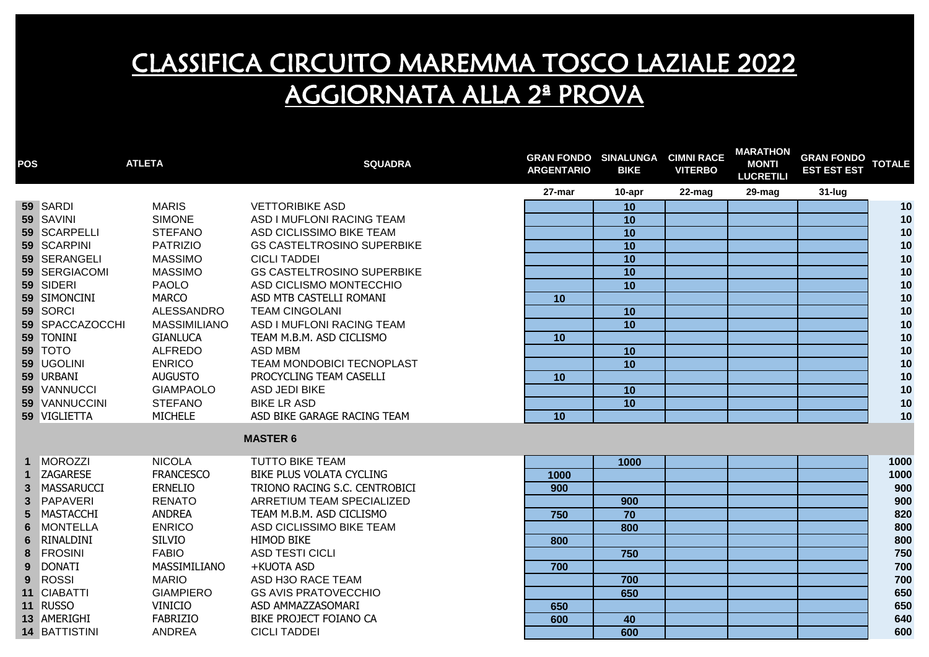| <b>POS</b>   |                   | <b>ATLETA</b>       | <b>SQUADRA</b>                    | <b>ARGENTARIO</b> | <b>GRAN FONDO SINALUNGA CIMNI RACE</b><br><b>BIKE</b> | <b>VITERBO</b> | <b>MARAIHON</b><br><b>MONTI</b><br><b>LUCRETILI</b> | <b>GRAN FONDO</b><br><b>EST EST EST</b> | <b>TOTALE</b> |
|--------------|-------------------|---------------------|-----------------------------------|-------------------|-------------------------------------------------------|----------------|-----------------------------------------------------|-----------------------------------------|---------------|
|              |                   |                     |                                   | 27-mar            | 10-apr                                                | 22-mag         | 29-mag                                              | $31$ -lug                               |               |
|              | 59 SARDI          | <b>MARIS</b>        | <b>VETTORIBIKE ASD</b>            |                   | 10                                                    |                |                                                     |                                         | 10            |
|              | 59 SAVINI         | <b>SIMONE</b>       | ASD I MUFLONI RACING TEAM         |                   | 10                                                    |                |                                                     |                                         | 10            |
|              | 59 SCARPELLI      | <b>STEFANO</b>      | ASD CICLISSIMO BIKE TEAM          |                   | 10                                                    |                |                                                     |                                         | 10            |
|              | 59 SCARPINI       | <b>PATRIZIO</b>     | <b>GS CASTELTROSINO SUPERBIKE</b> |                   | 10                                                    |                |                                                     |                                         | 10            |
|              | 59 SERANGELI      | <b>MASSIMO</b>      | <b>CICLI TADDEI</b>               |                   | 10                                                    |                |                                                     |                                         | 10            |
|              | 59 SERGIACOMI     | <b>MASSIMO</b>      | <b>GS CASTELTROSINO SUPERBIKE</b> |                   | $\overline{10}$                                       |                |                                                     |                                         | 10            |
|              | 59 SIDERI         | <b>PAOLO</b>        | ASD CICLISMO MONTECCHIO           |                   | 10                                                    |                |                                                     |                                         | 10            |
|              | 59 SIMONCINI      | <b>MARCO</b>        | ASD MTB CASTELLI ROMANI           | 10                |                                                       |                |                                                     |                                         | 10            |
|              | 59 SORCI          | <b>ALESSANDRO</b>   | <b>TEAM CINGOLANI</b>             |                   | 10                                                    |                |                                                     |                                         | 10            |
|              | 59 SPACCAZOCCHI   | <b>MASSIMILIANO</b> | ASD I MUFLONI RACING TEAM         |                   | $\overline{10}$                                       |                |                                                     |                                         | 10            |
|              | 59 TONINI         | <b>GIANLUCA</b>     | TEAM M.B.M. ASD CICLISMO          | 10                |                                                       |                |                                                     |                                         | 10            |
|              | 59 TOTO           | <b>ALFREDO</b>      | <b>ASD MBM</b>                    |                   | 10                                                    |                |                                                     |                                         | 10            |
|              | 59 UGOLINI        | <b>ENRICO</b>       | TEAM MONDOBICI TECNOPLAST         |                   | 10                                                    |                |                                                     |                                         | 10            |
|              | 59 URBANI         | <b>AUGUSTO</b>      | PROCYCLING TEAM CASELLI           | 10                |                                                       |                |                                                     |                                         | 10            |
|              | 59 VANNUCCI       | <b>GIAMPAOLO</b>    | <b>ASD JEDI BIKE</b>              |                   | 10                                                    |                |                                                     |                                         | 10            |
|              | 59 VANNUCCINI     | <b>STEFANO</b>      | <b>BIKE LR ASD</b>                |                   | 10                                                    |                |                                                     |                                         | 10            |
|              | 59 VIGLIETTA      | <b>MICHELE</b>      | ASD BIKE GARAGE RACING TEAM       | 10                |                                                       |                |                                                     |                                         | 10            |
|              |                   |                     | <b>MASTER 6</b>                   |                   |                                                       |                |                                                     |                                         |               |
|              | <b>MOROZZI</b>    | <b>NICOLA</b>       | <b>TUTTO BIKE TEAM</b>            |                   | 1000                                                  |                |                                                     |                                         | 1000          |
|              | <b>ZAGARESE</b>   | <b>FRANCESCO</b>    | BIKE PLUS VOLATA CYCLING          | 1000              |                                                       |                |                                                     |                                         | 1000          |
| $\mathbf{3}$ | <b>MASSARUCCI</b> | <b>ERNELIO</b>      | TRIONO RACING S.C. CENTROBICI     | 900               |                                                       |                |                                                     |                                         | 900           |
| $\mathbf{3}$ | PAPAVERI          | <b>RENATO</b>       | ARRETIUM TEAM SPECIALIZED         |                   | 900                                                   |                |                                                     |                                         | 900           |
| 5            | MASTACCHI         | <b>ANDREA</b>       | TEAM M.B.M. ASD CICLISMO          | 750               | 70                                                    |                |                                                     |                                         | 820           |
| 6            | <b>MONTELLA</b>   | <b>ENRICO</b>       | ASD CICLISSIMO BIKE TEAM          |                   | 800                                                   |                |                                                     |                                         | 800           |
| 6            | RINALDINI         | <b>SILVIO</b>       | <b>HIMOD BIKE</b>                 | 800               |                                                       |                |                                                     |                                         | 800           |
| 8            | <b>FROSINI</b>    | <b>FABIO</b>        | <b>ASD TESTI CICLI</b>            |                   | 750                                                   |                |                                                     |                                         | 750           |
| 9            | <b>DONATI</b>     | MASSIMILIANO        | +KUOTA ASD                        | 700               |                                                       |                |                                                     |                                         | 700           |
| 9            | <b>ROSSI</b>      | <b>MARIO</b>        | ASD H3O RACE TEAM                 |                   | 700                                                   |                |                                                     |                                         | 700           |
| 11           | <b>CIABATTI</b>   | <b>GIAMPIERO</b>    | <b>GS AVIS PRATOVECCHIO</b>       |                   | 650                                                   |                |                                                     |                                         | 650           |
|              | 11 RUSSO          | <b>VINICIO</b>      | ASD AMMAZZASOMARI                 | 650               |                                                       |                |                                                     |                                         | 650           |
|              | 13 AMERIGHI       | <b>FABRIZIO</b>     | BIKE PROJECT FOIANO CA            | 600               | 40                                                    |                |                                                     |                                         | 640           |
|              | 14 BATTISTINI     | ANDREA              | <b>CICLI TADDEI</b>               |                   | 600                                                   |                |                                                     |                                         | 600           |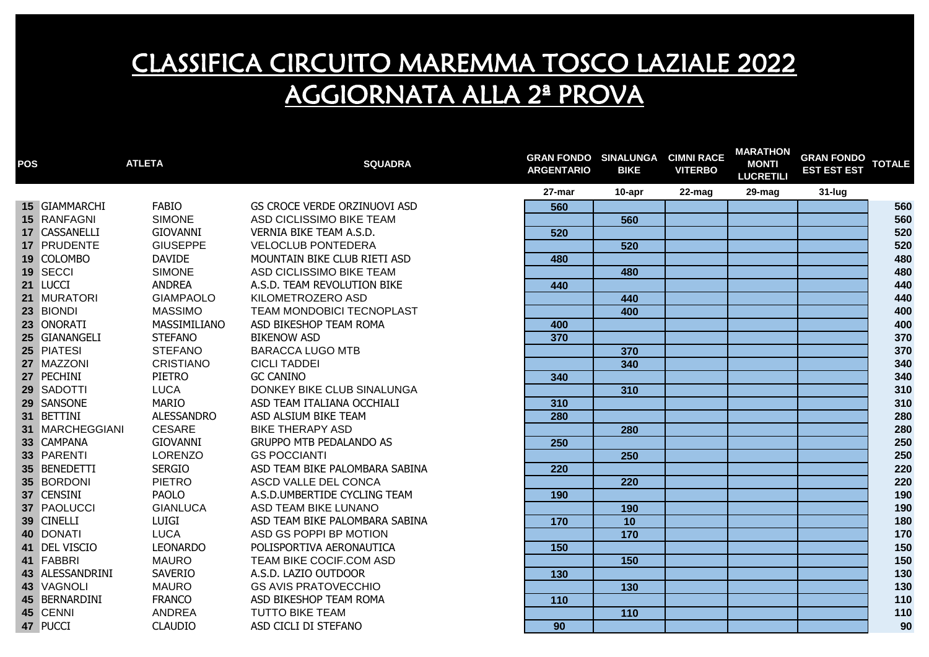| <b>POS</b> |                 | <b>ATLETA</b>     | <b>SQUADRA</b>                 | <b>GRAN FONDO SINALUNGA CIMNI RACE</b><br><b>ARGENTARIO</b> | <b>BIKE</b> | <b>VITERBO</b> | <b>MARATHON</b><br><b>MONTI</b><br><b>LUCRETILI</b> | <b>GRAN FONDO</b><br><b>EST EST EST</b> | <b>TOTALE</b> |
|------------|-----------------|-------------------|--------------------------------|-------------------------------------------------------------|-------------|----------------|-----------------------------------------------------|-----------------------------------------|---------------|
|            |                 |                   |                                | 27-mar                                                      | 10-apr      | 22-mag         | 29-mag                                              | $31$ -lug                               |               |
|            | 15 GIAMMARCHI   | FABIO             | GS CROCE VERDE ORZINUOVI ASD   | 560                                                         |             |                |                                                     |                                         | 560           |
|            | 15 RANFAGNI     | <b>SIMONE</b>     | ASD CICLISSIMO BIKE TEAM       |                                                             | 560         |                |                                                     |                                         | 560           |
|            | 17 CASSANELLI   | <b>GIOVANNI</b>   | VERNIA BIKE TEAM A.S.D.        | 520                                                         |             |                |                                                     |                                         | 520           |
|            | 17 PRUDENTE     | <b>GIUSEPPE</b>   | <b>VELOCLUB PONTEDERA</b>      |                                                             | 520         |                |                                                     |                                         | 520           |
|            | 19 COLOMBO      | <b>DAVIDE</b>     | MOUNTAIN BIKE CLUB RIETI ASD   | 480                                                         |             |                |                                                     |                                         | 480           |
|            | 19 SECCI        | <b>SIMONE</b>     | ASD CICLISSIMO BIKE TEAM       |                                                             | 480         |                |                                                     |                                         | 480           |
|            | 21 LUCCI        | <b>ANDREA</b>     | A.S.D. TEAM REVOLUTION BIKE    | 440                                                         |             |                |                                                     |                                         | 440           |
|            | 21 MURATORI     | <b>GIAMPAOLO</b>  | KILOMETROZERO ASD              |                                                             | 440         |                |                                                     |                                         | 440           |
|            | 23 BIONDI       | <b>MASSIMO</b>    | TEAM MONDOBICI TECNOPLAST      |                                                             | 400         |                |                                                     |                                         | 400           |
|            | 23 ONORATI      | MASSIMILIANO      | ASD BIKESHOP TEAM ROMA         | 400                                                         |             |                |                                                     |                                         | 400           |
|            | 25 GIANANGELI   | <b>STEFANO</b>    | <b>BIKENOW ASD</b>             | 370                                                         |             |                |                                                     |                                         | 370           |
|            | 25 PIATESI      | <b>STEFANO</b>    | <b>BARACCA LUGO MTB</b>        |                                                             | 370         |                |                                                     |                                         | 370           |
|            | 27 MAZZONI      | <b>CRISTIANO</b>  | <b>CICLI TADDEI</b>            |                                                             | 340         |                |                                                     |                                         | 340           |
|            | 27 PECHINI      | PIETRO            | <b>GC CANINO</b>               | 340                                                         |             |                |                                                     |                                         | 340           |
|            | 29 SADOTTI      | <b>LUCA</b>       | DONKEY BIKE CLUB SINALUNGA     |                                                             | 310         |                |                                                     |                                         | 310           |
|            | 29 SANSONE      | <b>MARIO</b>      | ASD TEAM ITALIANA OCCHIALI     | 310                                                         |             |                |                                                     |                                         | 310           |
|            | 31 BETTINI      | <b>ALESSANDRO</b> | ASD ALSIUM BIKE TEAM           | 280                                                         |             |                |                                                     |                                         | 280           |
|            | 31 MARCHEGGIANI | <b>CESARE</b>     | <b>BIKE THERAPY ASD</b>        |                                                             | 280         |                |                                                     |                                         | 280           |
|            | 33 CAMPANA      | <b>GIOVANNI</b>   | <b>GRUPPO MTB PEDALANDO AS</b> | 250                                                         |             |                |                                                     |                                         | 250           |
|            | 33 PARENTI      | <b>LORENZO</b>    | <b>GS POCCIANTI</b>            |                                                             | 250         |                |                                                     |                                         | 250           |
|            | 35 BENEDETTI    | <b>SERGIO</b>     | ASD TEAM BIKE PALOMBARA SABINA | 220                                                         |             |                |                                                     |                                         | 220           |
|            | 35 BORDONI      | <b>PIETRO</b>     | ASCD VALLE DEL CONCA           |                                                             | 220         |                |                                                     |                                         | 220           |
|            | 37 CENSINI      | <b>PAOLO</b>      | A.S.D.UMBERTIDE CYCLING TEAM   | 190                                                         |             |                |                                                     |                                         | 190           |
|            | 37 PAOLUCCI     | <b>GIANLUCA</b>   | ASD TEAM BIKE LUNANO           |                                                             | 190         |                |                                                     |                                         | 190           |
|            | 39 CINELLI      | LUIGI             | ASD TEAM BIKE PALOMBARA SABINA | 170                                                         | 10          |                |                                                     |                                         | 180           |
|            | 40 DONATI       | <b>LUCA</b>       | ASD GS POPPI BP MOTION         |                                                             | 170         |                |                                                     |                                         | 170           |
|            | 41 DEL VISCIO   | <b>LEONARDO</b>   | POLISPORTIVA AERONAUTICA       | 150                                                         |             |                |                                                     |                                         | 150           |
|            | 41 FABBRI       | <b>MAURO</b>      | TEAM BIKE COCIF.COM ASD        |                                                             | 150         |                |                                                     |                                         | 150           |
|            | 43 ALESSANDRINI | SAVERIO           | A.S.D. LAZIO OUTDOOR           | $\overline{130}$                                            |             |                |                                                     |                                         | 130           |
|            | 43 VAGNOLI      | <b>MAURO</b>      | <b>GS AVIS PRATOVECCHIO</b>    |                                                             | 130         |                |                                                     |                                         | 130           |
|            | 45 BERNARDINI   | <b>FRANCO</b>     | ASD BIKESHOP TEAM ROMA         | 110                                                         |             |                |                                                     |                                         | 110           |
|            | 45 CENNI        | <b>ANDREA</b>     | <b>TUTTO BIKE TEAM</b>         |                                                             | 110         |                |                                                     |                                         | 110           |
|            | 47 PUCCI        | <b>CLAUDIO</b>    | ASD CICLI DI STEFANO           | 90                                                          |             |                |                                                     |                                         | 90            |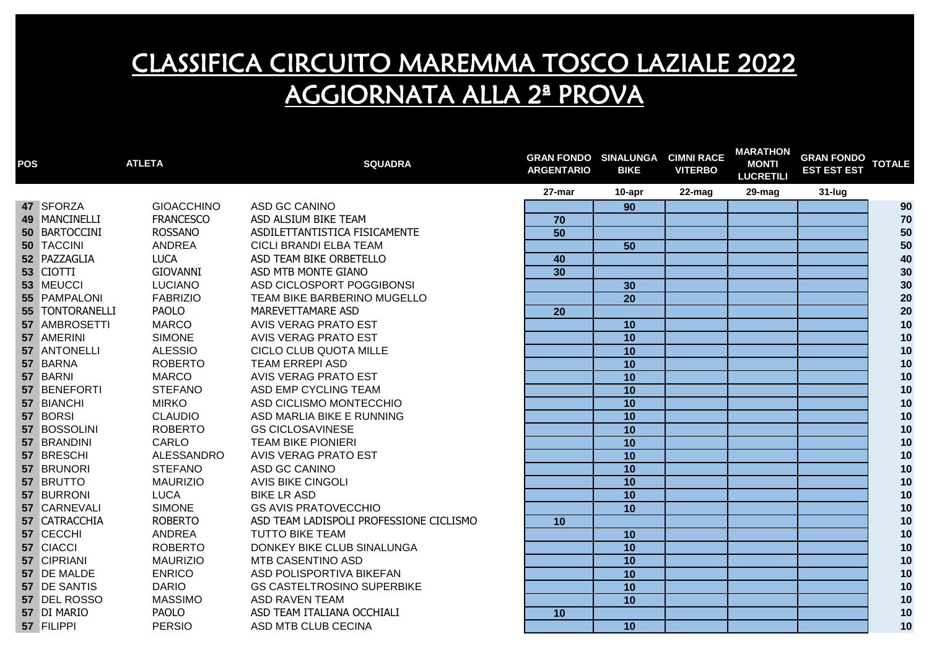| <b>POS</b> |                 | <b>ATLETA</b>     | <b>SQUADRA</b>                          | <b>GRAN FONDO SINALUNGA</b><br><b>ARGENTARIO</b> | <b>BIKE</b> | <b>CIMNI RACE</b><br><b>VITERBO</b> | <b>MARATHON</b><br><b>MONTI</b><br><b>LUCRETILI</b> | <b>GRAN FONDO</b><br><b>EST EST EST</b> | <b>TOTALE</b> |
|------------|-----------------|-------------------|-----------------------------------------|--------------------------------------------------|-------------|-------------------------------------|-----------------------------------------------------|-----------------------------------------|---------------|
|            |                 |                   |                                         | 27-mar                                           | 10-apr      | 22-mag                              | 29-mag                                              | 31-lug                                  |               |
|            | 47 SFORZA       | <b>GIOACCHINO</b> | ASD GC CANINO                           |                                                  | 90          |                                     |                                                     |                                         | 90            |
|            | 49 MANCINELLI   | <b>FRANCESCO</b>  | ASD ALSIUM BIKE TEAM                    | 70                                               |             |                                     |                                                     |                                         | 70            |
|            | 50 BARTOCCINI   | <b>ROSSANO</b>    | ASDILETTANTISTICA FISICAMENTE           | 50                                               |             |                                     |                                                     |                                         | 50            |
|            | 50 TACCINI      | ANDREA            | CICLI BRANDI ELBA TEAM                  |                                                  | 50          |                                     |                                                     |                                         | 50            |
|            | 52 PAZZAGLIA    | <b>LUCA</b>       | ASD TEAM BIKE ORBETELLO                 | 40                                               |             |                                     |                                                     |                                         | 40            |
|            | 53 CIOTTI       | <b>GIOVANNI</b>   | ASD MTB MONTE GIANO                     | $\overline{30}$                                  |             |                                     |                                                     |                                         | 30            |
|            | 53 MEUCCI       | <b>LUCIANO</b>    | ASD CICLOSPORT POGGIBONSI               |                                                  | 30          |                                     |                                                     |                                         | 30            |
|            | 55 PAMPALONI    | <b>FABRIZIO</b>   | TEAM BIKE BARBERINO MUGELLO             |                                                  | 20          |                                     |                                                     |                                         | 20            |
|            | 55 TONTORANELLI | <b>PAOLO</b>      | MAREVETTAMARE ASD                       | 20                                               |             |                                     |                                                     |                                         | 20            |
|            | 57 AMBROSETTI   | <b>MARCO</b>      | AVIS VERAG PRATO EST                    |                                                  | 10          |                                     |                                                     |                                         | 10            |
|            | 57 AMERINI      | <b>SIMONE</b>     | AVIS VERAG PRATO EST                    |                                                  | 10          |                                     |                                                     |                                         | 10            |
|            | 57 ANTONELLI    | <b>ALESSIO</b>    | CICLO CLUB QUOTA MILLE                  |                                                  | 10          |                                     |                                                     |                                         | 10            |
|            | 57 BARNA        | <b>ROBERTO</b>    | <b>TEAM ERREPI ASD</b>                  |                                                  | 10          |                                     |                                                     |                                         | 10            |
|            | 57 BARNI        | <b>MARCO</b>      | <b>AVIS VERAG PRATO EST</b>             |                                                  | 10          |                                     |                                                     |                                         | 10            |
|            | 57 BENEFORTI    | <b>STEFANO</b>    | ASD EMP CYCLING TEAM                    |                                                  | 10          |                                     |                                                     |                                         | 10            |
|            | 57 BIANCHI      | <b>MIRKO</b>      | ASD CICLISMO MONTECCHIO                 |                                                  | 10          |                                     |                                                     |                                         | 10            |
|            | 57 BORSI        | <b>CLAUDIO</b>    | ASD MARLIA BIKE E RUNNING               |                                                  | 10          |                                     |                                                     |                                         | 10            |
|            | 57 BOSSOLINI    | <b>ROBERTO</b>    | <b>GS CICLOSAVINESE</b>                 |                                                  | 10          |                                     |                                                     |                                         | 10            |
|            | 57 BRANDINI     | CARLO             | <b>TEAM BIKE PIONIERI</b>               |                                                  | 10          |                                     |                                                     |                                         | 10            |
|            | 57 BRESCHI      | <b>ALESSANDRO</b> | AVIS VERAG PRATO EST                    |                                                  | 10          |                                     |                                                     |                                         | 10            |
|            | 57 BRUNORI      | <b>STEFANO</b>    | ASD GC CANINO                           |                                                  | 10          |                                     |                                                     |                                         | 10            |
|            | 57 BRUTTO       | <b>MAURIZIO</b>   | <b>AVIS BIKE CINGOLI</b>                |                                                  | 10          |                                     |                                                     |                                         | 10            |
|            | 57 BURRONI      | <b>LUCA</b>       | <b>BIKE LR ASD</b>                      |                                                  | 10          |                                     |                                                     |                                         | 10            |
|            | 57 CARNEVALI    | <b>SIMONE</b>     | <b>GS AVIS PRATOVECCHIO</b>             |                                                  | 10          |                                     |                                                     |                                         | 10            |
|            | 57 CATRACCHIA   | <b>ROBERTO</b>    | ASD TEAM LADISPOLI PROFESSIONE CICLISMO | 10                                               |             |                                     |                                                     |                                         | 10            |
|            | 57 CECCHI       | ANDREA            | <b>TUTTO BIKE TEAM</b>                  |                                                  | 10          |                                     |                                                     |                                         | 10            |
|            | 57 CIACCI       | <b>ROBERTO</b>    | DONKEY BIKE CLUB SINALUNGA              |                                                  | 10          |                                     |                                                     |                                         | 10            |
|            | 57 CIPRIANI     | <b>MAURIZIO</b>   | MTB CASENTINO ASD                       |                                                  | 10          |                                     |                                                     |                                         | 10            |
|            | 57 DE MALDE     | <b>ENRICO</b>     | ASD POLISPORTIVA BIKEFAN                |                                                  | 10          |                                     |                                                     |                                         | 10            |
|            | 57 DE SANTIS    | <b>DARIO</b>      | <b>GS CASTELTROSINO SUPERBIKE</b>       |                                                  | 10          |                                     |                                                     |                                         | 10            |
|            | 57 DEL ROSSO    | <b>MASSIMO</b>    | <b>ASD RAVEN TEAM</b>                   |                                                  | 10          |                                     |                                                     |                                         | 10            |
|            | 57 DI MARIO     | <b>PAOLO</b>      | ASD TEAM ITALIANA OCCHIALI              | 10                                               |             |                                     |                                                     |                                         | 10            |
|            | 57 FILIPPI      | <b>PERSIO</b>     | ASD MTB CLUB CECINA                     |                                                  | 10          |                                     |                                                     |                                         | 10            |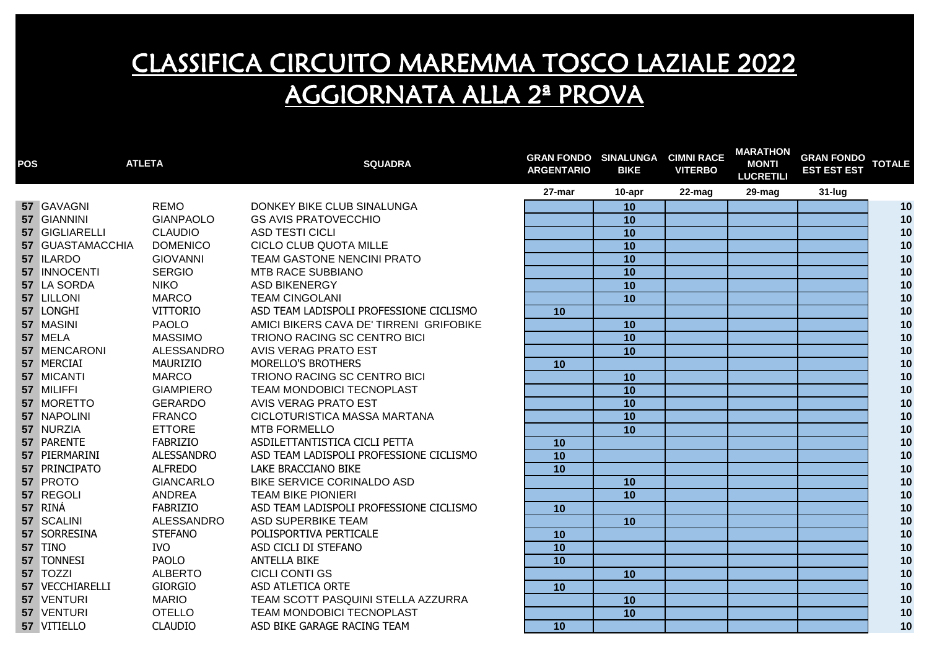| <b>POS</b> |                  | <b>ATLETA</b>     | <b>SQUADRA</b>                          | <b>GRAN FONDO SINALUNGA CIMNI RACE</b><br><b>ARGENTARIO</b> | <b>BIKE</b>     | <b>VITERBO</b> | <b>MARATHON</b><br><b>MONTI</b><br><b>LUCRETILI</b> | <b>GRAN FONDO</b><br><b>EST EST EST</b> | <b>TOTALE</b> |
|------------|------------------|-------------------|-----------------------------------------|-------------------------------------------------------------|-----------------|----------------|-----------------------------------------------------|-----------------------------------------|---------------|
|            |                  |                   |                                         | 27-mar                                                      | 10-apr          | 22-mag         | 29-mag                                              | 31-lug                                  |               |
|            | 57 GAVAGNI       | <b>REMO</b>       | DONKEY BIKE CLUB SINALUNGA              |                                                             | 10              |                |                                                     |                                         | 10            |
|            | 57 GIANNINI      | <b>GIANPAOLO</b>  | <b>GS AVIS PRATOVECCHIO</b>             |                                                             | 10              |                |                                                     |                                         | 10            |
|            | 57 GIGLIARELLI   | <b>CLAUDIO</b>    | <b>ASD TESTI CICLI</b>                  |                                                             | 10              |                |                                                     |                                         | 10            |
|            | 57 GUASTAMACCHIA | <b>DOMENICO</b>   | <b>CICLO CLUB QUOTA MILLE</b>           |                                                             | 10              |                |                                                     |                                         | 10            |
|            | 57 ILARDO        | <b>GIOVANNI</b>   | <b>TEAM GASTONE NENCINI PRATO</b>       |                                                             | 10              |                |                                                     |                                         | 10            |
|            | 57 INNOCENTI     | <b>SERGIO</b>     | <b>MTB RACE SUBBIANO</b>                |                                                             | 10              |                |                                                     |                                         | 10            |
|            | 57 LA SORDA      | <b>NIKO</b>       | <b>ASD BIKENERGY</b>                    |                                                             | 10              |                |                                                     |                                         | 10            |
|            | 57 LILLONI       | <b>MARCO</b>      | <b>TEAM CINGOLANI</b>                   |                                                             | 10              |                |                                                     |                                         | 10            |
|            | 57 LONGHI        | VITTORIO          | ASD TEAM LADISPOLI PROFESSIONE CICLISMO | 10                                                          |                 |                |                                                     |                                         | 10            |
|            | 57 MASINI        | <b>PAOLO</b>      | AMICI BIKERS CAVA DE' TIRRENI GRIFOBIKE |                                                             | 10              |                |                                                     |                                         | 10            |
|            | 57 MELA          | <b>MASSIMO</b>    | TRIONO RACING SC CENTRO BICI            |                                                             | 10              |                |                                                     |                                         | 10            |
|            | 57 MENCARONI     | ALESSANDRO        | <b>AVIS VERAG PRATO EST</b>             |                                                             | 10              |                |                                                     |                                         | 10            |
|            | 57 MERCIAI       | MAURIZIO          | MORELLO'S BROTHERS                      | 10                                                          |                 |                |                                                     |                                         | 10            |
|            | 57 MICANTI       | <b>MARCO</b>      | TRIONO RACING SC CENTRO BICI            |                                                             | 10              |                |                                                     |                                         | 10            |
|            | 57 MILIFFI       | <b>GIAMPIERO</b>  | TEAM MONDOBICI TECNOPLAST               |                                                             | 10              |                |                                                     |                                         | 10            |
|            | 57 MORETTO       | <b>GERARDO</b>    | <b>AVIS VERAG PRATO EST</b>             |                                                             | 10              |                |                                                     |                                         | 10            |
|            | 57 NAPOLINI      | <b>FRANCO</b>     | CICLOTURISTICA MASSA MARTANA            |                                                             | $\overline{10}$ |                |                                                     |                                         | 10            |
|            | 57 NURZIA        | <b>ETTORE</b>     | <b>MTB FORMELLO</b>                     |                                                             | 10              |                |                                                     |                                         | 10            |
|            | 57 PARENTE       | <b>FABRIZIO</b>   | ASDILETTANTISTICA CICLI PETTA           | 10                                                          |                 |                |                                                     |                                         | 10            |
|            | 57 PIERMARINI    | <b>ALESSANDRO</b> | ASD TEAM LADISPOLI PROFESSIONE CICLISMO | 10                                                          |                 |                |                                                     |                                         | 10            |
|            | 57 PRINCIPATO    | <b>ALFREDO</b>    | LAKE BRACCIANO BIKE                     | 10                                                          |                 |                |                                                     |                                         | 10            |
|            | 57 PROTO         | <b>GIANCARLO</b>  | BIKE SERVICE CORINALDO ASD              |                                                             | 10              |                |                                                     |                                         | 10            |
|            | 57 REGOLI        | <b>ANDREA</b>     | <b>TEAM BIKE PIONIERI</b>               |                                                             | 10              |                |                                                     |                                         | 10            |
|            | 57 RINÀ          | <b>FABRIZIO</b>   | ASD TEAM LADISPOLI PROFESSIONE CICLISMO | 10                                                          |                 |                |                                                     |                                         | 10            |
|            | 57 SCALINI       | ALESSANDRO        | ASD SUPERBIKE TEAM                      |                                                             | 10              |                |                                                     |                                         | 10            |
|            | 57 SORRESINA     | <b>STEFANO</b>    | POLISPORTIVA PERTICALE                  | 10                                                          |                 |                |                                                     |                                         | 10            |
|            | 57 TINO          | <b>IVO</b>        | ASD CICLI DI STEFANO                    | $\overline{10}$                                             |                 |                |                                                     |                                         | 10            |
|            | 57 TONNESI       | <b>PAOLO</b>      | <b>ANTELLA BIKE</b>                     | 10                                                          |                 |                |                                                     |                                         | 10            |
|            | 57 TOZZI         | <b>ALBERTO</b>    | <b>CICLI CONTI GS</b>                   |                                                             | 10              |                |                                                     |                                         | 10            |
|            | 57 VECCHIARELLI  | <b>GIORGIO</b>    | ASD ATLETICA ORTE                       | 10                                                          |                 |                |                                                     |                                         | 10            |
|            | 57 VENTURI       | <b>MARIO</b>      | TEAM SCOTT PASQUINI STELLA AZZURRA      |                                                             | 10              |                |                                                     |                                         | 10            |
|            | 57 VENTURI       | <b>OTELLO</b>     | TEAM MONDOBICI TECNOPLAST               |                                                             | 10              |                |                                                     |                                         | 10            |
|            | 57 VITIELLO      | <b>CLAUDIO</b>    | ASD BIKE GARAGE RACING TEAM             | 10                                                          |                 |                |                                                     |                                         | 10            |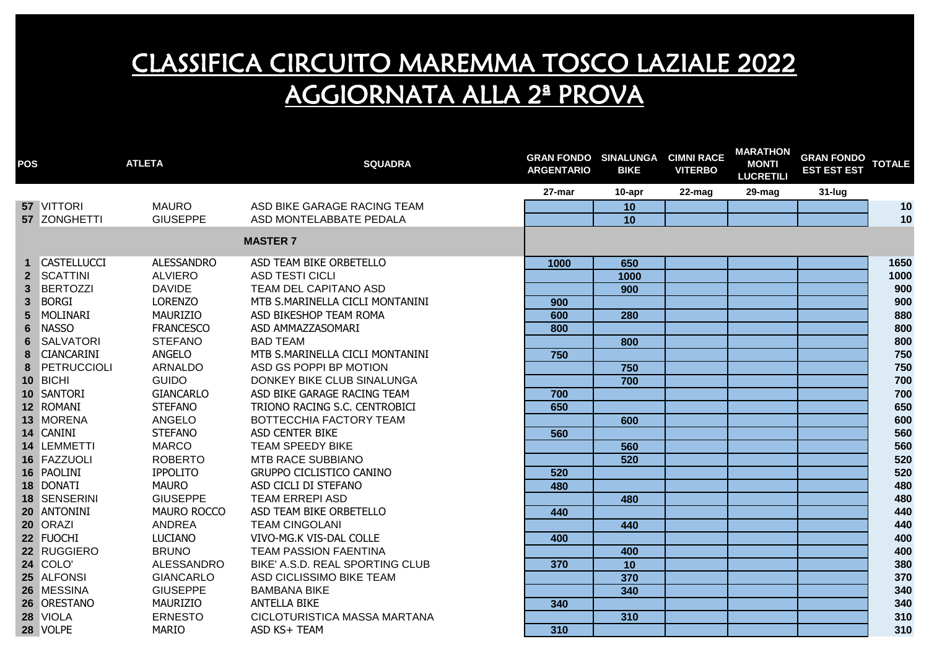| <b>POS</b>   |                   | <b>ATLETA</b>      | <b>SQUADRA</b>                  | <b>GRAN FONDO SINALUNGA</b><br><b>ARGENTARIO</b> | <b>BIKE</b>     | <b>CIMNI RACE</b><br><b>VITERBO</b> | <b>MARATHON</b><br><b>MONTI</b><br><b>LUCRETILI</b> | <b>GRAN FONDO</b><br><b>EST EST EST</b> | <b>TOTALE</b> |
|--------------|-------------------|--------------------|---------------------------------|--------------------------------------------------|-----------------|-------------------------------------|-----------------------------------------------------|-----------------------------------------|---------------|
|              |                   |                    |                                 | 27-mar                                           | 10-apr          | 22-mag                              | 29-mag                                              | $31$ -lug                               |               |
|              | <b>57 VITTORI</b> | <b>MAURO</b>       | ASD BIKE GARAGE RACING TEAM     |                                                  | 10              |                                     |                                                     |                                         | 10            |
|              | 57 ZONGHETTI      | <b>GIUSEPPE</b>    | ASD MONTELABBATE PEDALA         |                                                  | 10              |                                     |                                                     |                                         | 10            |
|              |                   |                    | <b>MASTER 7</b>                 |                                                  |                 |                                     |                                                     |                                         |               |
|              | 1 CASTELLUCCI     | <b>ALESSANDRO</b>  | ASD TEAM BIKE ORBETELLO         | 1000                                             | 650             |                                     |                                                     |                                         | 1650          |
|              | 2 SCATTINI        | <b>ALVIERO</b>     | <b>ASD TESTI CICLI</b>          |                                                  | 1000            |                                     |                                                     |                                         | 1000          |
|              | 3 BERTOZZI        | <b>DAVIDE</b>      | TEAM DEL CAPITANO ASD           |                                                  | 900             |                                     |                                                     |                                         | 900           |
| $\mathbf{3}$ | <b>BORGI</b>      | <b>LORENZO</b>     | MTB S.MARINELLA CICLI MONTANINI | 900                                              |                 |                                     |                                                     |                                         | 900           |
| 5            | MOLINARI          | MAURIZIO           | ASD BIKESHOP TEAM ROMA          | 600                                              | 280             |                                     |                                                     |                                         | 880           |
| 6            | <b>NASSO</b>      | <b>FRANCESCO</b>   | ASD AMMAZZASOMARI               | 800                                              |                 |                                     |                                                     |                                         | 800           |
| 6            | SALVATORI         | <b>STEFANO</b>     | <b>BAD TEAM</b>                 |                                                  | 800             |                                     |                                                     |                                         | 800           |
| 8            | <b>CIANCARINI</b> | <b>ANGELO</b>      | MTB S.MARINELLA CICLI MONTANINI | 750                                              |                 |                                     |                                                     |                                         | 750           |
| 8            | PETRUCCIOLI       | ARNALDO            | ASD GS POPPI BP MOTION          |                                                  | 750             |                                     |                                                     |                                         | 750           |
|              | 10 BICHI          | <b>GUIDO</b>       | DONKEY BIKE CLUB SINALUNGA      |                                                  | 700             |                                     |                                                     |                                         | 700           |
|              | 10 SANTORI        | <b>GIANCARLO</b>   | ASD BIKE GARAGE RACING TEAM     | 700                                              |                 |                                     |                                                     |                                         | 700           |
|              | 12 ROMANI         | <b>STEFANO</b>     | TRIONO RACING S.C. CENTROBICI   | 650                                              |                 |                                     |                                                     |                                         | 650           |
|              | 13 MORENA         | ANGELO             | BOTTECCHIA FACTORY TEAM         |                                                  | 600             |                                     |                                                     |                                         | 600           |
|              | 14 CANINI         | <b>STEFANO</b>     | ASD CENTER BIKE                 | 560                                              |                 |                                     |                                                     |                                         | 560           |
|              | 14 LEMMETTI       | <b>MARCO</b>       | <b>TEAM SPEEDY BIKE</b>         |                                                  | 560             |                                     |                                                     |                                         | 560           |
|              | 16 FAZZUOLI       | <b>ROBERTO</b>     | MTB RACE SUBBIANO               |                                                  | 520             |                                     |                                                     |                                         | 520           |
|              | 16 PAOLINI        | <b>IPPOLITO</b>    | <b>GRUPPO CICLISTICO CANINO</b> | 520                                              |                 |                                     |                                                     |                                         | 520           |
|              | 18 DONATI         | <b>MAURO</b>       | ASD CICLI DI STEFANO            | 480                                              |                 |                                     |                                                     |                                         | 480           |
|              | 18 SENSERINI      | <b>GIUSEPPE</b>    | <b>TEAM ERREPI ASD</b>          |                                                  | 480             |                                     |                                                     |                                         | 480           |
|              | 20 ANTONINI       | <b>MAURO ROCCO</b> | ASD TEAM BIKE ORBETELLO         | 440                                              |                 |                                     |                                                     |                                         | 440           |
|              | 20 ORAZI          | <b>ANDREA</b>      | <b>TEAM CINGOLANI</b>           |                                                  | 440             |                                     |                                                     |                                         | 440           |
|              | 22 FUOCHI         | <b>LUCIANO</b>     | VIVO-MG.K VIS-DAL COLLE         | 400                                              |                 |                                     |                                                     |                                         | 400           |
|              | 22 RUGGIERO       | <b>BRUNO</b>       | <b>TEAM PASSION FAENTINA</b>    |                                                  | 400             |                                     |                                                     |                                         | 400           |
|              | 24 COLO'          | ALESSANDRO         | BIKE' A.S.D. REAL SPORTING CLUB | 370                                              | $\overline{10}$ |                                     |                                                     |                                         | 380           |
|              | 25 ALFONSI        | <b>GIANCARLO</b>   | ASD CICLISSIMO BIKE TEAM        |                                                  | 370             |                                     |                                                     |                                         | 370           |
|              | 26 MESSINA        | <b>GIUSEPPE</b>    | <b>BAMBANA BIKE</b>             |                                                  | 340             |                                     |                                                     |                                         | 340           |
|              | 26 ORESTANO       | MAURIZIO           | <b>ANTELLA BIKE</b>             | 340                                              |                 |                                     |                                                     |                                         | 340           |
|              | 28 VIOLA          | <b>ERNESTO</b>     | CICLOTURISTICA MASSA MARTANA    |                                                  | 310             |                                     |                                                     |                                         | 310           |
|              | 28 VOLPE          | <b>MARIO</b>       | ASD KS+ TEAM                    | 310                                              |                 |                                     |                                                     |                                         | 310           |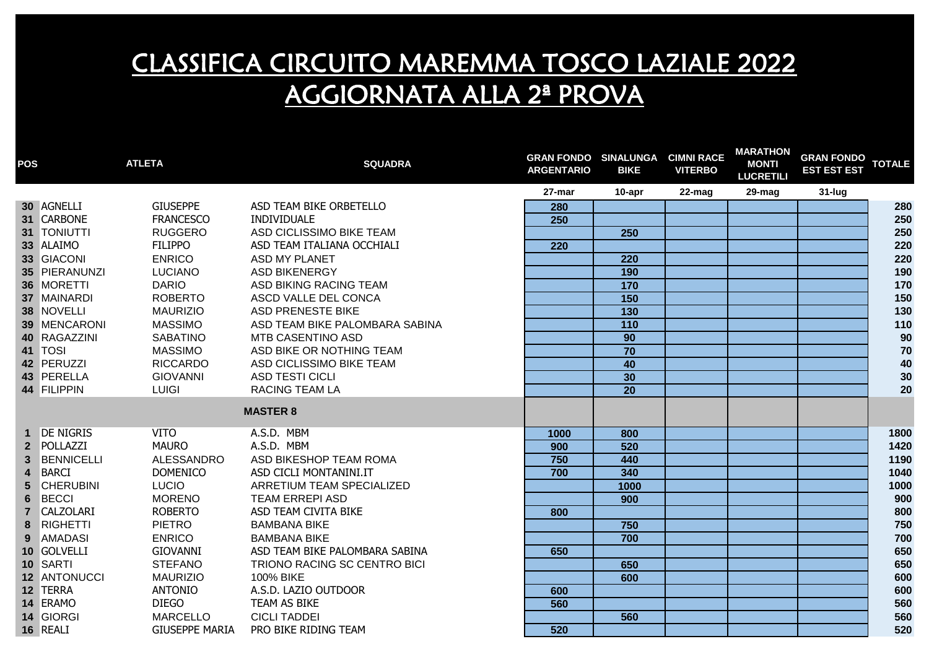| <b>POS</b>              |                   | <b>ATLETA</b>         | <b>SQUADRA</b>                 | <b>GRAN FONDO SINALUNGA</b><br><b>ARGENTARIO</b> | <b>BIKE</b>      | <b>CIMNI RACE</b><br><b>VITERBO</b> | <b>MARATHON</b><br><b>MONTI</b><br><b>LUCRETILI</b> | <b>GRAN FONDO</b><br><b>EST EST EST</b> | <b>TOTALE</b> |
|-------------------------|-------------------|-----------------------|--------------------------------|--------------------------------------------------|------------------|-------------------------------------|-----------------------------------------------------|-----------------------------------------|---------------|
|                         |                   |                       |                                | 27-mar                                           | 10-apr           | $22$ -mag                           | 29-mag                                              | 31-lug                                  |               |
|                         | 30 AGNELLI        | <b>GIUSEPPE</b>       | ASD TEAM BIKE ORBETELLO        | 280                                              |                  |                                     |                                                     |                                         | 280           |
|                         | 31 CARBONE        | <b>FRANCESCO</b>      | INDIVIDUALE                    | 250                                              |                  |                                     |                                                     |                                         | 250           |
|                         | 31 TONIUTTI       | <b>RUGGERO</b>        | ASD CICLISSIMO BIKE TEAM       |                                                  | 250              |                                     |                                                     |                                         | 250           |
|                         | 33 ALAIMO         | <b>FILIPPO</b>        | ASD TEAM ITALIANA OCCHIALI     | 220                                              |                  |                                     |                                                     |                                         | 220           |
|                         | 33 GIACONI        | <b>ENRICO</b>         | ASD MY PLANET                  |                                                  | 220              |                                     |                                                     |                                         | 220           |
|                         | 35 PIERANUNZI     | <b>LUCIANO</b>        | <b>ASD BIKENERGY</b>           |                                                  | 190              |                                     |                                                     |                                         | 190           |
|                         | 36 MORETTI        | <b>DARIO</b>          | ASD BIKING RACING TEAM         |                                                  | 170              |                                     |                                                     |                                         | 170           |
|                         | 37 MAINARDI       | <b>ROBERTO</b>        | ASCD VALLE DEL CONCA           |                                                  | 150              |                                     |                                                     |                                         | 150           |
|                         | 38 NOVELLI        | <b>MAURIZIO</b>       | <b>ASD PRENESTE BIKE</b>       |                                                  | 130              |                                     |                                                     |                                         | 130           |
|                         | 39 MENCARONI      | <b>MASSIMO</b>        | ASD TEAM BIKE PALOMBARA SABINA |                                                  | $\overline{110}$ |                                     |                                                     |                                         | 110           |
|                         | 40 RAGAZZINI      | <b>SABATINO</b>       | <b>MTB CASENTINO ASD</b>       |                                                  | 90               |                                     |                                                     |                                         | 90            |
|                         | 41 TOSI           | <b>MASSIMO</b>        | ASD BIKE OR NOTHING TEAM       |                                                  | $\overline{70}$  |                                     |                                                     |                                         | 70            |
|                         | 42 PERUZZI        | <b>RICCARDO</b>       | ASD CICLISSIMO BIKE TEAM       |                                                  | 40               |                                     |                                                     |                                         | 40            |
|                         | 43 PERELLA        | <b>GIOVANNI</b>       | <b>ASD TESTI CICLI</b>         |                                                  | 30               |                                     |                                                     |                                         | 30            |
|                         | 44 FILIPPIN       | <b>LUIGI</b>          | <b>RACING TEAM LA</b>          |                                                  | 20               |                                     |                                                     |                                         | 20            |
|                         |                   |                       | <b>MASTER 8</b>                |                                                  |                  |                                     |                                                     |                                         |               |
|                         | 1 DE NIGRIS       | <b>VITO</b>           | A.S.D. MBM                     | 1000                                             | 800              |                                     |                                                     |                                         | 1800          |
|                         | 2 POLLAZZI        | <b>MAURO</b>          | A.S.D. MBM                     | 900                                              | 520              |                                     |                                                     |                                         | 1420          |
| 3 <sup>1</sup>          | <b>BENNICELLI</b> | ALESSANDRO            | ASD BIKESHOP TEAM ROMA         | 750                                              | 440              |                                     |                                                     |                                         | 1190          |
| $\overline{\mathbf{4}}$ | <b>BARCI</b>      | <b>DOMENICO</b>       | ASD CICLI MONTANINI.IT         | 700                                              | 340              |                                     |                                                     |                                         | 1040          |
| 5 <sup>5</sup>          | <b>CHERUBINI</b>  | <b>LUCIO</b>          | ARRETIUM TEAM SPECIALIZED      |                                                  | 1000             |                                     |                                                     |                                         | 1000          |
| $6\phantom{1}$          | <b>BECCI</b>      | <b>MORENO</b>         | <b>TEAM ERREPI ASD</b>         |                                                  | 900              |                                     |                                                     |                                         | 900           |
| $\overline{7}$          | <b>CALZOLARI</b>  | <b>ROBERTO</b>        | ASD TEAM CIVITA BIKE           | 800                                              |                  |                                     |                                                     |                                         | 800           |
| 8                       | RIGHETTI          | <b>PIETRO</b>         | <b>BAMBANA BIKE</b>            |                                                  | 750              |                                     |                                                     |                                         | 750           |
| $9^{\circ}$             | <b>AMADASI</b>    | <b>ENRICO</b>         | <b>BAMBANA BIKE</b>            |                                                  | 700              |                                     |                                                     |                                         | 700           |
|                         | 10 GOLVELLI       | <b>GIOVANNI</b>       | ASD TEAM BIKE PALOMBARA SABINA | 650                                              |                  |                                     |                                                     |                                         | 650           |
|                         | 10 SARTI          | <b>STEFANO</b>        | TRIONO RACING SC CENTRO BICI   |                                                  | 650              |                                     |                                                     |                                         | 650           |
|                         | 12 ANTONUCCI      | <b>MAURIZIO</b>       | 100% BIKE                      |                                                  | 600              |                                     |                                                     |                                         | 600           |
|                         | 12 TERRA          | <b>ANTONIO</b>        | A.S.D. LAZIO OUTDOOR           | 600                                              |                  |                                     |                                                     |                                         | 600           |
|                         | 14 ERAMO          | <b>DIEGO</b>          | TEAM AS BIKE                   | 560                                              |                  |                                     |                                                     |                                         | 560           |
|                         | 14 GIORGI         | <b>MARCELLO</b>       | <b>CICLI TADDEI</b>            |                                                  | 560              |                                     |                                                     |                                         | 560           |
|                         | 16 REALI          | <b>GIUSEPPE MARIA</b> | PRO BIKE RIDING TEAM           | 520                                              |                  |                                     |                                                     |                                         | 520           |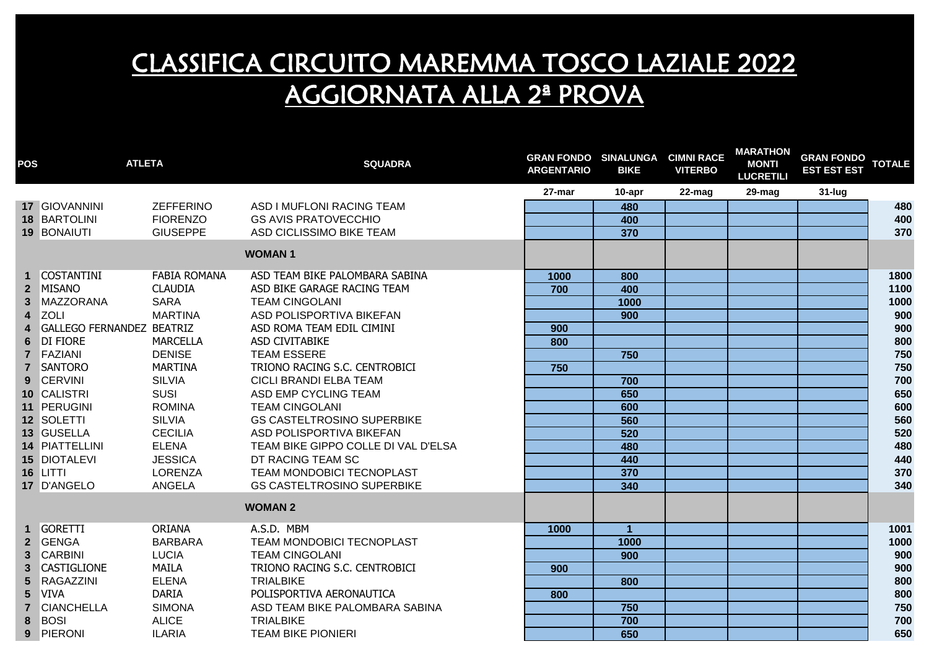| POS                     | <b>ATLETA</b>                    |                     | <b>SQUADRA</b>                      | <b>GRAN FONDO SINALUNGA CIMNI RACE</b><br><b>ARGENTARIO</b> | <b>BIKE</b>          | <b>VITERBO</b> | <b>MARATHON</b><br><b>MONTI</b><br><b>LUCRETILI</b> | <b>GRAN FONDO</b><br><b>EST EST EST</b> | <b>TOTALE</b> |
|-------------------------|----------------------------------|---------------------|-------------------------------------|-------------------------------------------------------------|----------------------|----------------|-----------------------------------------------------|-----------------------------------------|---------------|
|                         |                                  |                     |                                     | 27-mar                                                      | $10$ -apr            | 22-mag         | 29-mag                                              | $31$ -lug                               |               |
|                         | 17 GIOVANNINI                    | <b>ZEFFERINO</b>    | ASD I MUFLONI RACING TEAM           |                                                             | 480                  |                |                                                     |                                         | 480           |
|                         | 18 BARTOLINI                     | <b>FIORENZO</b>     | <b>GS AVIS PRATOVECCHIO</b>         |                                                             | 400                  |                |                                                     |                                         | 400           |
|                         | 19 BONAIUTI                      | <b>GIUSEPPE</b>     | ASD CICLISSIMO BIKE TEAM            |                                                             | 370                  |                |                                                     |                                         | 370           |
|                         |                                  |                     | <b>WOMAN1</b>                       |                                                             |                      |                |                                                     |                                         |               |
|                         | <b>COSTANTINI</b>                | <b>FABIA ROMANA</b> | ASD TEAM BIKE PALOMBARA SABINA      | 1000                                                        | 800                  |                |                                                     |                                         | 1800          |
| $\overline{2}$          | <b>MISANO</b>                    | <b>CLAUDIA</b>      | ASD BIKE GARAGE RACING TEAM         | 700                                                         | 400                  |                |                                                     |                                         | 1100          |
| $\mathbf{3}$            | <b>MAZZORANA</b>                 | <b>SARA</b>         | <b>TEAM CINGOLANI</b>               |                                                             | 1000                 |                |                                                     |                                         | 1000          |
| $\overline{\mathbf{4}}$ | <b>ZOLI</b>                      | <b>MARTINA</b>      | ASD POLISPORTIVA BIKEFAN            |                                                             | 900                  |                |                                                     |                                         | 900           |
| 4                       | <b>GALLEGO FERNANDEZ BEATRIZ</b> |                     | ASD ROMA TEAM EDIL CIMINI           | 900                                                         |                      |                |                                                     |                                         | 900           |
| 6                       | <b>DI FIORE</b>                  | <b>MARCELLA</b>     | ASD CIVITABIKE                      | 800                                                         |                      |                |                                                     |                                         | 800           |
| $\overline{7}$          | FAZIANI                          | <b>DENISE</b>       | <b>TEAM ESSERE</b>                  |                                                             | 750                  |                |                                                     |                                         | 750           |
|                         | 7 SANTORO                        | <b>MARTINA</b>      | TRIONO RACING S.C. CENTROBICI       | 750                                                         |                      |                |                                                     |                                         | 750           |
| 9                       | <b>CERVINI</b>                   | <b>SILVIA</b>       | CICLI BRANDI ELBA TEAM              |                                                             | 700                  |                |                                                     |                                         | 700           |
|                         | 10 CALISTRI                      | SUSI                | ASD EMP CYCLING TEAM                |                                                             | 650                  |                |                                                     |                                         | 650           |
|                         | 11 PERUGINI                      | <b>ROMINA</b>       | <b>TEAM CINGOLANI</b>               |                                                             | 600                  |                |                                                     |                                         | 600           |
|                         | 12 SOLETTI                       | <b>SILVIA</b>       | <b>GS CASTELTROSINO SUPERBIKE</b>   |                                                             | 560                  |                |                                                     |                                         | 560           |
|                         | 13 GUSELLA                       | <b>CECILIA</b>      | ASD POLISPORTIVA BIKEFAN            |                                                             | 520                  |                |                                                     |                                         | 520           |
|                         | 14 PIATTELLINI                   | <b>ELENA</b>        | TEAM BIKE GIPPO COLLE DI VAL D'ELSA |                                                             | 480                  |                |                                                     |                                         | 480           |
|                         | 15 DIOTALEVI                     | <b>JESSICA</b>      | DT RACING TEAM SC                   |                                                             | 440                  |                |                                                     |                                         | 440           |
|                         | 16 LITTI                         | <b>LORENZA</b>      | TEAM MONDOBICI TECNOPLAST           |                                                             | 370                  |                |                                                     |                                         | 370           |
|                         | 17 D'ANGELO                      | <b>ANGELA</b>       | <b>GS CASTELTROSINO SUPERBIKE</b>   |                                                             | 340                  |                |                                                     |                                         | 340           |
|                         |                                  |                     | <b>WOMAN 2</b>                      |                                                             |                      |                |                                                     |                                         |               |
|                         | <b>GORETTI</b>                   | <b>ORIANA</b>       | A.S.D. MBM                          | 1000                                                        | $\blacktriangleleft$ |                |                                                     |                                         | 1001          |
|                         | 2 GENGA                          | <b>BARBARA</b>      | TEAM MONDOBICI TECNOPLAST           |                                                             | 1000                 |                |                                                     |                                         | 1000          |
| $\mathbf{3}$            | <b>CARBINI</b>                   | <b>LUCIA</b>        | <b>TEAM CINGOLANI</b>               |                                                             | 900                  |                |                                                     |                                         | 900           |
| $\mathbf{3}$            | <b>CASTIGLIONE</b>               | <b>MAILA</b>        | TRIONO RACING S.C. CENTROBICI       | 900                                                         |                      |                |                                                     |                                         | 900           |
| $5\phantom{.0}$         | RAGAZZINI                        | <b>ELENA</b>        | <b>TRIALBIKE</b>                    |                                                             | 800                  |                |                                                     |                                         | 800           |
| $5\phantom{.0}$         | <b>VIVA</b>                      | <b>DARIA</b>        | POLISPORTIVA AERONAUTICA            | 800                                                         |                      |                |                                                     |                                         | 800           |
| $\overline{7}$          | <b>CIANCHELLA</b>                | <b>SIMONA</b>       | ASD TEAM BIKE PALOMBARA SABINA      |                                                             | 750                  |                |                                                     |                                         | 750           |
| 8                       | <b>BOSI</b>                      | <b>ALICE</b>        | <b>TRIALBIKE</b>                    |                                                             | 700                  |                |                                                     |                                         | 700           |
| 9                       | PIERONI                          | <b>ILARIA</b>       | <b>TEAM BIKE PIONIERI</b>           |                                                             | 650                  |                |                                                     |                                         | 650           |